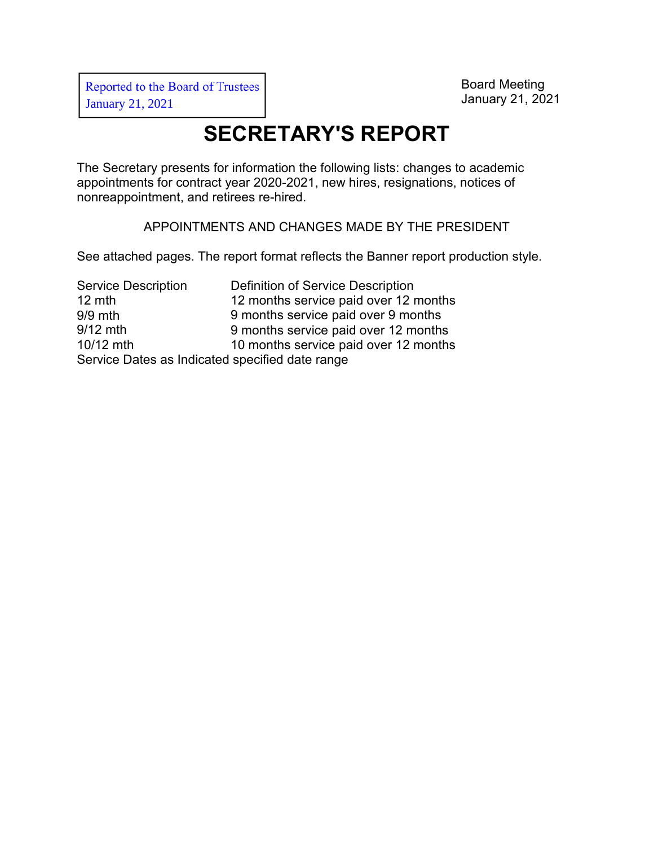# **SECRETARY'S REPORT**

The Secretary presents for information the following lists: changes to academic appointments for contract year 2020-2021, new hires, resignations, notices of nonreappointment, and retirees re-hired.

APPOINTMENTS AND CHANGES MADE BY THE PRESIDENT

See attached pages. The report format reflects the Banner report production style.

Service Description 12 mth 9/9 mth 9/12 mth 10/12 mth Definition of Service Description 12 months service paid over 12 months 9 months service paid over 9 months 9 months service paid over 12 months 10 months service paid over 12 months Service Dates as Indicated specified date range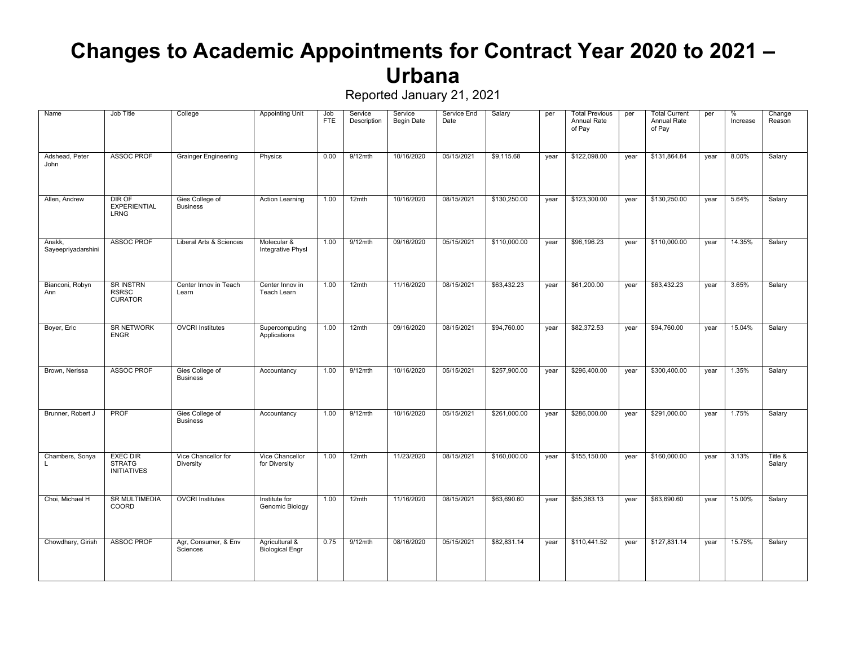#### **Changes to Academic Appointments for Contract Year 2020 to 2021 – Urbana**

| Name                         | Job Title                                              | College                            | <b>Appointing Unit</b>                   | Job<br><b>FTE</b> | Service<br>Description | Service<br>Begin Date | Service End<br>Date | Salary       | per  | <b>Total Previous</b><br>Annual Rate<br>of Pay | per  | <b>Total Current</b><br>Annual Rate<br>of Pay | per  | %<br>Increase | Change<br>Reason  |
|------------------------------|--------------------------------------------------------|------------------------------------|------------------------------------------|-------------------|------------------------|-----------------------|---------------------|--------------|------|------------------------------------------------|------|-----------------------------------------------|------|---------------|-------------------|
| Adshead, Peter<br>John       | <b>ASSOC PROF</b>                                      | <b>Grainger Engineering</b>        | Physics                                  | 0.00              | $9/12$ mth             | 10/16/2020            | 05/15/2021          | \$9,115.68   | year | \$122,098.00                                   | year | \$131,864.84                                  | year | 8.00%         | Salary            |
| Allen, Andrew                | DIR OF<br><b>EXPERIENTIAL</b><br><b>LRNG</b>           | Gies College of<br><b>Business</b> | Action Learning                          | 1.00              | 12mth                  | 10/16/2020            | 08/15/2021          | \$130,250.00 | year | \$123,300.00                                   | year | \$130,250.00                                  | year | 5.64%         | Salary            |
| Anakk,<br>Sayeepriyadarshini | <b>ASSOC PROF</b>                                      | Liberal Arts & Sciences            | Molecular &<br>Integrative Physl         | 1.00              | 9/12mth                | 09/16/2020            | 05/15/2021          | \$110,000.00 | year | \$96,196.23                                    | year | \$110,000.00                                  | year | 14.35%        | Salary            |
| Bianconi, Robyn<br>Ann       | <b>SR INSTRN</b><br><b>RSRSC</b><br><b>CURATOR</b>     | Center Innov in Teach<br>Learn     | Center Innov in<br>Teach Learn           | 1.00              | 12mth                  | 11/16/2020            | 08/15/2021          | \$63,432.23  | year | \$61,200.00                                    | year | \$63,432,23                                   | year | 3.65%         | Salary            |
| Boyer, Eric                  | <b>SR NETWORK</b><br><b>ENGR</b>                       | <b>OVCRI</b> Institutes            | Supercomputing<br>Applications           | 1.00              | 12mth                  | 09/16/2020            | 08/15/2021          | \$94,760.00  | year | \$82,372.53                                    | year | \$94,760.00                                   | year | 15.04%        | Salary            |
| Brown, Nerissa               | <b>ASSOC PROF</b>                                      | Gies College of<br><b>Business</b> | Accountancy                              | 1.00              | $9/12$ mth             | 10/16/2020            | 05/15/2021          | \$257,900.00 | year | \$296,400.00                                   | year | \$300,400.00                                  | year | 1.35%         | Salary            |
| Brunner, Robert J            | <b>PROF</b>                                            | Gies College of<br><b>Business</b> | Accountancy                              | 1.00              | $9/12$ mth             | 10/16/2020            | 05/15/2021          | \$261,000.00 | year | \$286,000.00                                   | year | \$291,000.00                                  | year | 1.75%         | Salary            |
| Chambers, Sonya<br>L.        | <b>EXEC DIR</b><br><b>STRATG</b><br><b>INITIATIVES</b> | Vice Chancellor for<br>Diversity   | Vice Chancellor<br>for Diversity         | 1.00              | 12mth                  | 11/23/2020            | 08/15/2021          | \$160,000.00 | year | \$155,150.00                                   | year | \$160,000.00                                  | year | 3.13%         | Title &<br>Salary |
| Choi, Michael H              | <b>SR MULTIMEDIA</b><br>COORD                          | <b>OVCRI</b> Institutes            | Institute for<br>Genomic Biology         | 1.00              | 12mth                  | 11/16/2020            | 08/15/2021          | \$63,690.60  | year | \$55,383.13                                    | year | \$63,690.60                                   | year | 15.00%        | Salary            |
| Chowdhary, Girish            | <b>ASSOC PROF</b>                                      | Agr, Consumer, & Env<br>Sciences   | Agricultural &<br><b>Biological Engr</b> | 0.75              | $9/12$ mth             | 08/16/2020            | 05/15/2021          | \$82,831.14  | year | \$110,441.52                                   | year | \$127,831.14                                  | year | 15.75%        | Salary            |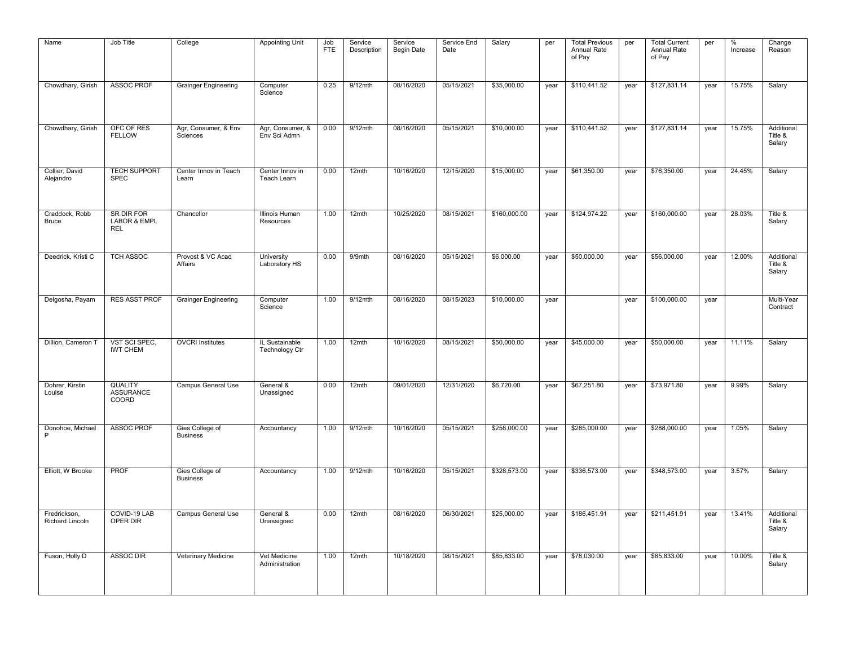| Name                            | Job Title                                           | College                            | <b>Appointing Unit</b>           | Job<br><b>FTE</b> | Service<br>Description | Service<br><b>Begin Date</b> | Service End<br>Date | Salary       | per  | <b>Total Previous</b><br>Annual Rate<br>of Pay | per  | <b>Total Current</b><br>Annual Rate<br>of Pay | per  | %<br>Increase | Change<br>Reason                |
|---------------------------------|-----------------------------------------------------|------------------------------------|----------------------------------|-------------------|------------------------|------------------------------|---------------------|--------------|------|------------------------------------------------|------|-----------------------------------------------|------|---------------|---------------------------------|
| Chowdhary, Girish               | <b>ASSOC PROF</b>                                   | <b>Grainger Engineering</b>        | Computer<br>Science              | 0.25              | $9/12$ mth             | 08/16/2020                   | 05/15/2021          | \$35,000.00  | year | \$110,441.52                                   | year | \$127,831.14                                  | year | 15.75%        | Salary                          |
| Chowdhary, Girish               | OFC OF RES<br><b>FELLOW</b>                         | Agr, Consumer, & Env<br>Sciences   | Agr, Consumer, &<br>Env Sci Admn | 0.00              | 9/12mth                | 08/16/2020                   | 05/15/2021          | \$10,000.00  | year | \$110,441.52                                   | year | \$127,831.14                                  | year | 15.75%        | Additional<br>Title &<br>Salary |
| Collier, David<br>Alejandro     | <b>TECH SUPPORT</b><br><b>SPEC</b>                  | Center Innov in Teach<br>Learn     | Center Innov in<br>Teach Learn   | 0.00              | 12mth                  | 10/16/2020                   | 12/15/2020          | \$15,000.00  | year | \$61,350.00                                    | year | \$76,350.00                                   | year | 24.45%        | Salary                          |
| Craddock, Robb<br><b>Bruce</b>  | SR DIR FOR<br><b>LABOR &amp; EMPL</b><br><b>REL</b> | Chancellor                         | Illinois Human<br>Resources      | 1.00              | 12mth                  | 10/25/2020                   | 08/15/2021          | \$160,000.00 | year | \$124,974.22                                   | year | \$160,000.00                                  | year | 28.03%        | Title &<br>Salary               |
| Deedrick, Kristi C              | <b>TCH ASSOC</b>                                    | Provost & VC Acad<br>Affairs       | University<br>Laboratory HS      | 0.00              | $9/9$ mth              | 08/16/2020                   | 05/15/2021          | \$6,000.00   | year | \$50,000.00                                    | year | \$56,000.00                                   | year | 12.00%        | Additional<br>Title &<br>Salary |
| Delgosha, Payam                 | <b>RES ASST PROF</b>                                | <b>Grainger Engineering</b>        | Computer<br>Science              | 1.00              | $9/12$ mth             | 08/16/2020                   | 08/15/2023          | \$10,000.00  | year |                                                | year | \$100,000.00                                  | year |               | Multi-Year<br>Contract          |
| Dillion, Cameron T              | VST SCI SPEC.<br><b>IWT CHEM</b>                    | <b>OVCRI Institutes</b>            | IL Sustainable<br>Technology Ctr | 1.00              | 12mth                  | 10/16/2020                   | 08/15/2021          | \$50,000.00  | year | \$45,000.00                                    | year | \$50,000.00                                   | year | 11.11%        | Salary                          |
| Dohrer, Kirstin<br>Louise       | <b>QUALITY</b><br><b>ASSURANCE</b><br>COORD         | Campus General Use                 | General &<br>Unassigned          | 0.00              | 12mth                  | 09/01/2020                   | 12/31/2020          | \$6,720.00   | year | \$67,251.80                                    | year | \$73,971.80                                   | year | 9.99%         | Salary                          |
| Donohoe, Michael<br>P           | <b>ASSOC PROF</b>                                   | Gies College of<br><b>Business</b> | Accountancy                      | 1.00              | 9/12mth                | 10/16/2020                   | 05/15/2021          | \$258,000.00 | year | \$285,000.00                                   | year | \$288,000.00                                  | year | 1.05%         | Salary                          |
| Elliott, W Brooke               | <b>PROF</b>                                         | Gies College of<br><b>Business</b> | Accountancy                      | 1.00              | $9/12$ mth             | 10/16/2020                   | 05/15/2021          | \$328,573.00 | year | \$336,573.00                                   | year | \$348,573.00                                  | year | 3.57%         | Salary                          |
| Fredrickson,<br>Richard Lincoln | COVID-19 LAB<br>OPER DIR                            | Campus General Use                 | General &<br>Unassigned          | 0.00              | 12mth                  | 08/16/2020                   | 06/30/2021          | \$25,000.00  | year | \$186,451.91                                   | year | \$211,451.91                                  | year | 13.41%        | Additional<br>Title &<br>Salary |
| Fuson, Holly D                  | <b>ASSOC DIR</b>                                    | Veterinary Medicine                | Vet Medicine<br>Administration   | 1.00              | 12mth                  | 10/18/2020                   | 08/15/2021          | \$85,833,00  | year | \$78,030.00                                    | year | \$85,833.00                                   | year | 10.00%        | Title &<br>Salary               |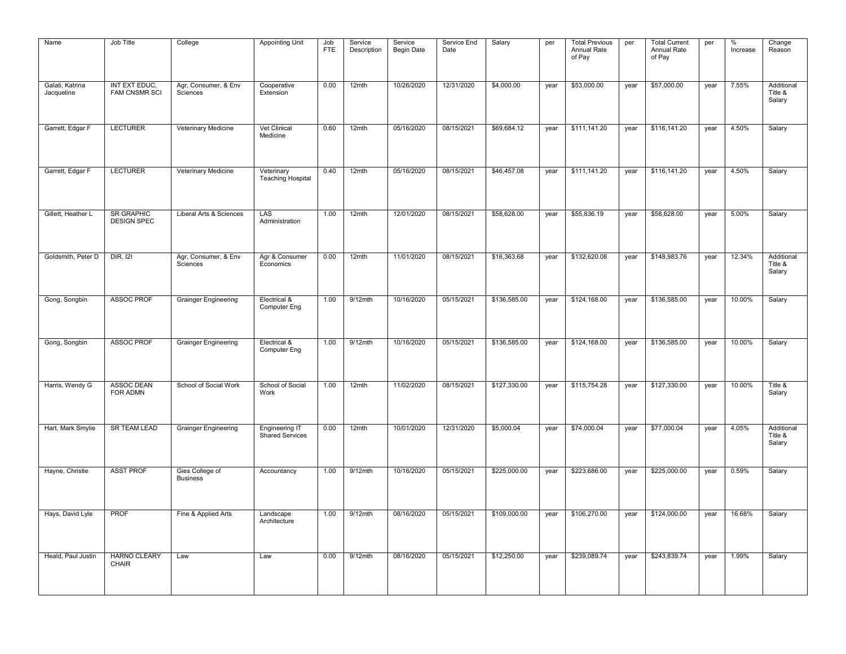| Name                          | Job Title                               | College                            | <b>Appointing Unit</b>                 | Job<br><b>FTE</b> | Service<br>Description | Service<br>Begin Date | Service End<br>Date | Salary       | per  | <b>Total Previous</b><br>Annual Rate<br>of Pay | per  | <b>Total Current</b><br>Annual Rate<br>of Pay | per  | %<br>Increase | Change<br>Reason                |
|-------------------------------|-----------------------------------------|------------------------------------|----------------------------------------|-------------------|------------------------|-----------------------|---------------------|--------------|------|------------------------------------------------|------|-----------------------------------------------|------|---------------|---------------------------------|
| Galati, Katrina<br>Jacqueline | INT EXT EDUC,<br><b>FAM CNSMR SCI</b>   | Agr, Consumer, & Env<br>Sciences   | Cooperative<br>Extension               | 0.00              | 12mth                  | 10/26/2020            | 12/31/2020          | \$4,000.00   | year | \$53,000.00                                    | year | \$57,000.00                                   | year | 7.55%         | Additional<br>Title &<br>Salary |
| Garrett, Edgar F              | <b>LECTURER</b>                         | Veterinary Medicine                | Vet Clinical<br>Medicine               | 0.60              | 12mth                  | 05/16/2020            | 08/15/2021          | \$69,684.12  | year | \$111,141.20                                   | year | \$116,141.20                                  | year | 4.50%         | Salary                          |
| Garrett, Edgar F              | <b>LECTURER</b>                         | Veterinary Medicine                | Veterinary<br><b>Teaching Hospital</b> | 0.40              | 12mth                  | 05/16/2020            | 08/15/2021          | \$46,457.08  | year | \$111,141.20                                   | year | \$116,141.20                                  | year | 4.50%         | Salary                          |
| Gillett, Heather L            | <b>SR GRAPHIC</b><br><b>DESIGN SPEC</b> | Liberal Arts & Sciences            | LAS<br>Administration                  | 1.00              | 12mth                  | 12/01/2020            | 08/15/2021          | \$58,628,00  | year | \$55,836.19                                    | year | \$58,628,00                                   | year | 5.00%         | Salary                          |
| Goldsmith, Peter D            | <b>DIR, 121</b>                         | Agr, Consumer, & Env<br>Sciences   | Agr & Consumer<br>Economics            | 0.00              | 12mth                  | 11/01/2020            | 08/15/2021          | \$16,363.68  | year | \$132,620.08                                   | year | \$148,983.76                                  | year | 12.34%        | Additional<br>Title &<br>Salary |
| Gong, Songbin                 | <b>ASSOC PROF</b>                       | <b>Grainger Engineering</b>        | Electrical &<br>Computer Eng           | 1.00              | $9/12$ mth             | 10/16/2020            | 05/15/2021          | \$136,585.00 | year | \$124,168.00                                   | year | \$136,585.00                                  | year | 10.00%        | Salary                          |
| Gong, Songbin                 | <b>ASSOC PROF</b>                       | <b>Grainger Engineering</b>        | Electrical &<br>Computer Eng           | 1.00              | $9/12$ mth             | 10/16/2020            | 05/15/2021          | \$136,585.00 | year | \$124,168.00                                   | year | \$136,585.00                                  | year | 10.00%        | Salary                          |
| Harris, Wendy G               | <b>ASSOC DEAN</b><br>FOR ADMN           | School of Social Work              | School of Social<br>Work               | 1.00              | 12mth                  | 11/02/2020            | 08/15/2021          | \$127,330.00 | year | \$115,754.28                                   | year | \$127,330.00                                  | year | 10.00%        | Title &<br>Salary               |
| Hart, Mark Smylie             | <b>SR TEAM LEAD</b>                     | <b>Grainger Engineering</b>        | Engineering IT<br>Shared Services      | 0.00              | 12mth                  | 10/01/2020            | 12/31/2020          | \$5,000.04   | year | \$74,000.04                                    | year | \$77,000.04                                   | year | 4.05%         | Additional<br>Title &<br>Salary |
| Hayne, Christie               | <b>ASST PROF</b>                        | Gies College of<br><b>Business</b> | Accountancy                            | 1.00              | $9/12$ mth             | 10/16/2020            | 05/15/2021          | \$225,000.00 | year | \$223,686.00                                   | year | \$225,000.00                                  | year | 0.59%         | Salary                          |
| Hays, David Lyle              | <b>PROF</b>                             | Fine & Applied Arts                | Landscape<br>Architecture              | 1.00              | $9/12$ mth             | 08/16/2020            | 05/15/2021          | \$109,000.00 | year | \$106,270.00                                   | year | \$124,000.00                                  | year | 16.68%        | Salary                          |
| Heald, Paul Justin            | <b>HARNO CLEARY</b><br>CHAIR            | Law                                | Law                                    | 0.00              | 9/12mth                | 08/16/2020            | 05/15/2021          | \$12,250.00  | year | \$239,089.74                                   | year | \$243,839.74                                  | year | 1.99%         | Salary                          |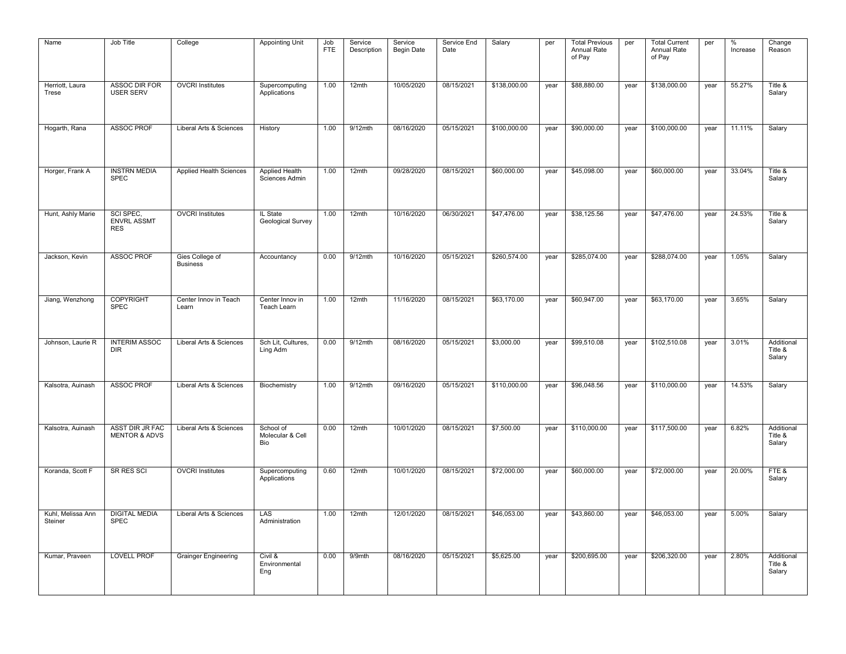| Name                         | Job Title                                     | College                            | <b>Appointing Unit</b>               | Job<br><b>FTE</b> | Service<br>Description | Service<br>Begin Date | Service End<br>Date | Salary       | per  | <b>Total Previous</b><br>Annual Rate<br>of Pay | per  | <b>Total Current</b><br>Annual Rate<br>of Pay | per  | %<br>Increase | Change<br>Reason                |
|------------------------------|-----------------------------------------------|------------------------------------|--------------------------------------|-------------------|------------------------|-----------------------|---------------------|--------------|------|------------------------------------------------|------|-----------------------------------------------|------|---------------|---------------------------------|
| Herriott, Laura<br>Trese     | <b>ASSOC DIR FOR</b><br><b>USER SERV</b>      | <b>OVCRI</b> Institutes            | Supercomputing<br>Applications       | 1.00              | 12mth                  | 10/05/2020            | 08/15/2021          | \$138,000.00 | year | \$88,880.00                                    | year | \$138,000.00                                  | year | 55.27%        | Title &<br>Salary               |
| Hogarth, Rana                | <b>ASSOC PROF</b>                             | Liberal Arts & Sciences            | History                              | 1.00              | 9/12mth                | 08/16/2020            | 05/15/2021          | \$100,000.00 | year | \$90,000.00                                    | year | \$100,000.00                                  | year | 11.11%        | Salary                          |
| Horger, Frank A              | <b>INSTRN MEDIA</b><br><b>SPEC</b>            | <b>Applied Health Sciences</b>     | Applied Health<br>Sciences Admin     | 1.00              | 12mth                  | 09/28/2020            | 08/15/2021          | \$60,000.00  | year | \$45,098.00                                    | year | \$60,000.00                                   | year | 33.04%        | Title &<br>Salary               |
| Hunt, Ashly Marie            | SCI SPEC,<br><b>ENVRL ASSMT</b><br><b>RES</b> | <b>OVCRI</b> Institutes            | IL State<br>Geological Survey        | 1.00              | 12mth                  | 10/16/2020            | 06/30/2021          | \$47,476.00  | year | \$38,125.56                                    | year | \$47,476.00                                   | year | 24.53%        | Title &<br>Salary               |
| Jackson, Kevin               | <b>ASSOC PROF</b>                             | Gies College of<br><b>Business</b> | Accountancy                          | 0.00              | 9/12mth                | 10/16/2020            | 05/15/2021          | \$260,574.00 | year | \$285,074.00                                   | year | \$288,074.00                                  | year | 1.05%         | Salary                          |
| Jiang, Wenzhong              | COPYRIGHT<br><b>SPEC</b>                      | Center Innov in Teach<br>Learn     | Center Innov in<br>Teach Learn       | 1.00              | 12mth                  | 11/16/2020            | 08/15/2021          | \$63,170.00  | year | \$60,947.00                                    | year | \$63,170.00                                   | year | 3.65%         | Salary                          |
| Johnson, Laurie R            | <b>INTERIM ASSOC</b><br><b>DIR</b>            | Liberal Arts & Sciences            | Sch Lit, Cultures,<br>Ling Adm       | 0.00              | $9/12$ mth             | 08/16/2020            | 05/15/2021          | \$3,000.00   | year | \$99,510.08                                    | year | \$102,510.08                                  | year | 3.01%         | Additional<br>Title &<br>Salary |
| Kalsotra, Auinash            | <b>ASSOC PROF</b>                             | Liberal Arts & Sciences            | Biochemistry                         | 1.00              | 9/12mth                | 09/16/2020            | 05/15/2021          | \$110,000.00 | year | \$96,048.56                                    | year | \$110,000.00                                  | year | 14.53%        | Salary                          |
| Kalsotra, Auinash            | ASST DIR JR FAC<br><b>MENTOR &amp; ADVS</b>   | Liberal Arts & Sciences            | School of<br>Molecular & Cell<br>Bio | 0.00              | 12mth                  | 10/01/2020            | 08/15/2021          | \$7,500.00   | year | \$110,000.00                                   | year | \$117,500.00                                  | year | 6.82%         | Additional<br>Title &<br>Salary |
| Koranda, Scott F             | SR RES SCI                                    | <b>OVCRI</b> Institutes            | Supercomputing<br>Applications       | 0.60              | 12mth                  | 10/01/2020            | 08/15/2021          | \$72,000.00  | year | \$60,000.00                                    | year | \$72,000.00                                   | year | 20.00%        | FTE&<br>Salary                  |
| Kuhl, Melissa Ann<br>Steiner | <b>DIGITAL MEDIA</b><br><b>SPEC</b>           | Liberal Arts & Sciences            | LAS<br>Administration                | 1.00              | 12mth                  | 12/01/2020            | 08/15/2021          | \$46,053.00  | year | \$43,860.00                                    | year | \$46,053.00                                   | year | 5.00%         | Salary                          |
| Kumar, Praveen               | <b>LOVELL PROF</b>                            | <b>Grainger Engineering</b>        | Civil &<br>Environmental<br>Eng      | 0.00              | 9/9mth                 | 08/16/2020            | 05/15/2021          | \$5,625.00   | year | \$200,695.00                                   | year | \$206,320.00                                  | year | 2.80%         | Additional<br>Title &<br>Salary |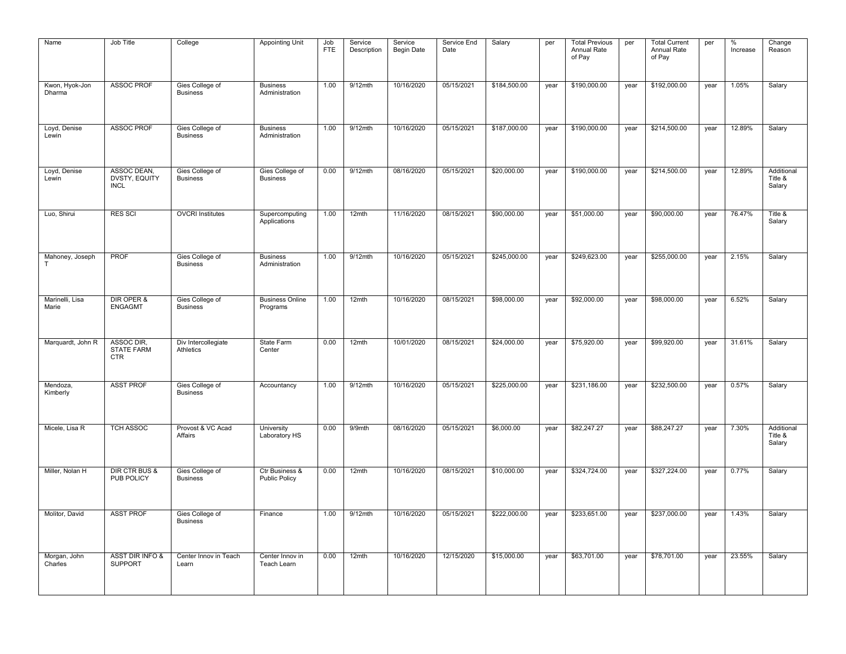| Name                     | Job Title                                     | College                            | <b>Appointing Unit</b>                 | Job<br><b>FTE</b> | Service<br>Description | Service<br><b>Begin Date</b> | Service End<br>Date | Salary       | per  | <b>Total Previous</b><br>Annual Rate<br>of Pay | per  | <b>Total Current</b><br>Annual Rate<br>of Pay | per  | %<br>Increase | Change<br>Reason                |
|--------------------------|-----------------------------------------------|------------------------------------|----------------------------------------|-------------------|------------------------|------------------------------|---------------------|--------------|------|------------------------------------------------|------|-----------------------------------------------|------|---------------|---------------------------------|
| Kwon, Hyok-Jon<br>Dharma | <b>ASSOC PROF</b>                             | Gies College of<br><b>Business</b> | <b>Business</b><br>Administration      | 1.00              | $9/12$ mth             | 10/16/2020                   | 05/15/2021          | \$184,500.00 | year | \$190,000.00                                   | year | \$192,000.00                                  | year | 1.05%         | Salary                          |
| Loyd, Denise<br>Lewin    | <b>ASSOC PROF</b>                             | Gies College of<br><b>Business</b> | <b>Business</b><br>Administration      | 1.00              | 9/12mth                | 10/16/2020                   | 05/15/2021          | \$187,000.00 | year | \$190,000.00                                   | year | \$214,500.00                                  | year | 12.89%        | Salary                          |
| Loyd, Denise<br>Lewin    | ASSOC DEAN,<br>DVSTY, EQUITY<br><b>INCL</b>   | Gies College of<br><b>Business</b> | Gies College of<br><b>Business</b>     | 0.00              | $9/12$ mth             | 08/16/2020                   | 05/15/2021          | \$20,000.00  | year | \$190,000.00                                   | year | \$214,500.00                                  | year | 12.89%        | Additional<br>Title &<br>Salary |
| Luo, Shirui              | <b>RES SCI</b>                                | <b>OVCRI</b> Institutes            | Supercomputing<br>Applications         | 1.00              | 12mth                  | 11/16/2020                   | 08/15/2021          | \$90,000.00  | year | \$51,000.00                                    | year | \$90,000.00                                   | year | 76.47%        | Title &<br>Salary               |
| Mahoney, Joseph<br>T     | <b>PROF</b>                                   | Gies College of<br><b>Business</b> | <b>Business</b><br>Administration      | 1.00              | $9/12$ mth             | 10/16/2020                   | 05/15/2021          | \$245,000.00 | year | \$249,623.00                                   | year | \$255,000.00                                  | year | 2.15%         | Salary                          |
| Marinelli, Lisa<br>Marie | DIR OPER &<br><b>ENGAGMT</b>                  | Gies College of<br><b>Business</b> | <b>Business Online</b><br>Programs     | 1.00              | 12mth                  | 10/16/2020                   | 08/15/2021          | \$98,000.00  | year | \$92,000.00                                    | year | \$98,000.00                                   | year | 6.52%         | Salary                          |
| Marquardt, John R        | ASSOC DIR,<br><b>STATE FARM</b><br><b>CTR</b> | Div Intercollegiate<br>Athletics   | State Farm<br>Center                   | 0.00              | 12mth                  | 10/01/2020                   | 08/15/2021          | \$24,000.00  | year | \$75,920.00                                    | year | \$99,920.00                                   | year | 31.61%        | Salary                          |
| Mendoza,<br>Kimberly     | <b>ASST PROF</b>                              | Gies College of<br><b>Business</b> | Accountancy                            | 1.00              | $9/12$ mth             | 10/16/2020                   | 05/15/2021          | \$225,000.00 | year | \$231,186.00                                   | year | \$232,500.00                                  | year | 0.57%         | Salary                          |
| Micele, Lisa R           | <b>TCH ASSOC</b>                              | Provost & VC Acad<br>Affairs       | University<br>Laboratory HS            | 0.00              | 9/9mth                 | 08/16/2020                   | 05/15/2021          | \$6,000.00   | year | \$82,247.27                                    | year | \$88,247.27                                   | year | 7.30%         | Additional<br>Title &<br>Salary |
| Miller, Nolan H          | <b>DIR CTR BUS &amp;</b><br>PUB POLICY        | Gies College of<br><b>Business</b> | Ctr Business &<br><b>Public Policy</b> | 0.00              | 12mth                  | 10/16/2020                   | 08/15/2021          | \$10,000.00  | year | \$324,724.00                                   | year | \$327,224.00                                  | year | 0.77%         | Salary                          |
| Molitor, David           | <b>ASST PROF</b>                              | Gies College of<br><b>Business</b> | Finance                                | 1.00              | $9/12$ mth             | 10/16/2020                   | 05/15/2021          | \$222,000.00 | year | \$233,651.00                                   | year | \$237,000.00                                  | year | 1.43%         | Salary                          |
| Morgan, John<br>Charles  | <b>ASST DIR INFO &amp;</b><br><b>SUPPORT</b>  | Center Innov in Teach<br>Learn     | Center Innov in<br>Teach Learn         | 0.00              | 12mth                  | 10/16/2020                   | 12/15/2020          | \$15,000.00  | year | \$63,701.00                                    | year | \$78,701.00                                   | year | 23.55%        | Salary                          |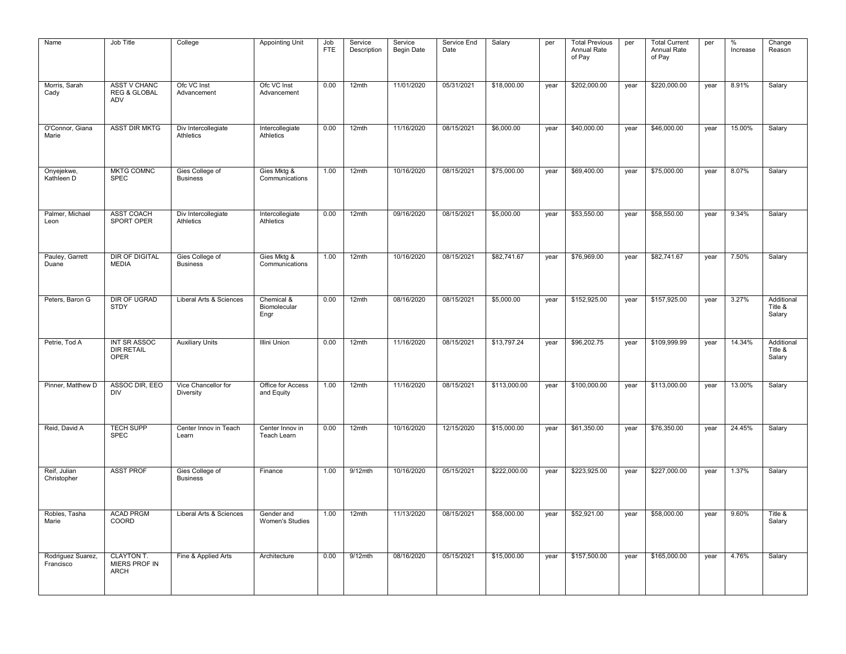| Name                           | Job Title                                             | College                            | <b>Appointing Unit</b>             | Job<br><b>FTE</b> | Service<br>Description | Service<br><b>Begin Date</b> | Service End<br>Date | Salary       | per  | <b>Total Previous</b><br>Annual Rate<br>of Pay | per  | <b>Total Current</b><br>Annual Rate<br>of Pay | per  | %<br>Increase | Change<br>Reason                |
|--------------------------------|-------------------------------------------------------|------------------------------------|------------------------------------|-------------------|------------------------|------------------------------|---------------------|--------------|------|------------------------------------------------|------|-----------------------------------------------|------|---------------|---------------------------------|
| Morris, Sarah<br>Cady          | <b>ASST V CHANC</b><br><b>REG &amp; GLOBAL</b><br>ADV | Ofc VC Inst<br>Advancement         | Ofc VC Inst<br>Advancement         | 0.00              | 12mth                  | 11/01/2020                   | 05/31/2021          | \$18,000.00  | year | \$202,000.00                                   | year | \$220,000.00                                  | year | 8.91%         | Salary                          |
| O'Connor, Giana<br>Marie       | <b>ASST DIR MKTG</b>                                  | Div Intercollegiate<br>Athletics   | Intercollegiate<br>Athletics       | 0.00              | 12mth                  | 11/16/2020                   | 08/15/2021          | \$6,000.00   | year | \$40,000.00                                    | year | \$46,000.00                                   | year | 15.00%        | Salary                          |
| Onyejekwe,<br>Kathleen D       | <b>MKTG COMNC</b><br><b>SPEC</b>                      | Gies College of<br><b>Business</b> | Gies Mktg &<br>Communications      | 1.00              | 12mth                  | 10/16/2020                   | 08/15/2021          | \$75,000.00  | year | \$69,400.00                                    | year | \$75,000.00                                   | year | 8.07%         | Salary                          |
| Palmer, Michael<br>Leon        | <b>ASST COACH</b><br>SPORT OPER                       | Div Intercollegiate<br>Athletics   | Intercollegiate<br>Athletics       | 0.00              | 12mth                  | 09/16/2020                   | 08/15/2021          | \$5,000.00   | year | \$53,550.00                                    | year | \$58,550.00                                   | year | 9.34%         | Salary                          |
| Pauley, Garrett<br>Duane       | <b>DIR OF DIGITAL</b><br><b>MEDIA</b>                 | Gies College of<br><b>Business</b> | Gies Mktg &<br>Communications      | 1.00              | 12mth                  | 10/16/2020                   | 08/15/2021          | \$82,741.67  | year | \$76,969.00                                    | year | \$82,741.67                                   | year | 7.50%         | Salary                          |
| Peters, Baron G                | <b>DIR OF UGRAD</b><br><b>STDY</b>                    | Liberal Arts & Sciences            | Chemical &<br>Biomolecular<br>Engr | 0.00              | 12mth                  | 08/16/2020                   | 08/15/2021          | \$5,000.00   | year | \$152,925.00                                   | year | \$157,925.00                                  | year | 3.27%         | Additional<br>Title &<br>Salary |
| Petrie, Tod A                  | <b>INT SR ASSOC</b><br><b>DIR RETAIL</b><br>OPER      | <b>Auxiliary Units</b>             | <b>Illini Union</b>                | 0.00              | 12mth                  | 11/16/2020                   | 08/15/2021          | \$13,797.24  | year | \$96,202.75                                    | year | \$109,999.99                                  | year | 14.34%        | Additional<br>Title &<br>Salary |
| Pinner, Matthew D              | ASSOC DIR, EEO<br><b>DIV</b>                          | Vice Chancellor for<br>Diversity   | Office for Access<br>and Equity    | 1.00              | 12mth                  | 11/16/2020                   | 08/15/2021          | \$113,000.00 | year | \$100,000.00                                   | year | \$113,000.00                                  | year | 13.00%        | Salary                          |
| Reid, David A                  | <b>TECH SUPP</b><br><b>SPEC</b>                       | Center Innov in Teach<br>Learn     | Center Innov in<br>Teach Learn     | 0.00              | 12mth                  | 10/16/2020                   | 12/15/2020          | \$15,000.00  | year | \$61,350.00                                    | year | \$76,350.00                                   | year | 24.45%        | Salary                          |
| Reif, Julian<br>Christopher    | <b>ASST PROF</b>                                      | Gies College of<br><b>Business</b> | Finance                            | 1.00              | $9/12$ mth             | 10/16/2020                   | 05/15/2021          | \$222,000.00 | year | \$223,925.00                                   | year | \$227,000.00                                  | year | 1.37%         | Salary                          |
| Robles, Tasha<br>Marie         | <b>ACAD PRGM</b><br>COORD                             | Liberal Arts & Sciences            | Gender and<br>Women's Studies      | 1.00              | 12mth                  | 11/13/2020                   | 08/15/2021          | \$58,000.00  | year | \$52,921.00                                    | year | \$58,000.00                                   | year | 9.60%         | Title &<br>Salary               |
| Rodriguez Suarez,<br>Francisco | <b>CLAYTON T.</b><br>MIERS PROF IN<br><b>ARCH</b>     | Fine & Applied Arts                | Architecture                       | 0.00              | $9/12$ mth             | 08/16/2020                   | 05/15/2021          | \$15,000.00  | year | \$157,500.00                                   | year | \$165,000.00                                  | year | 4.76%         | Salary                          |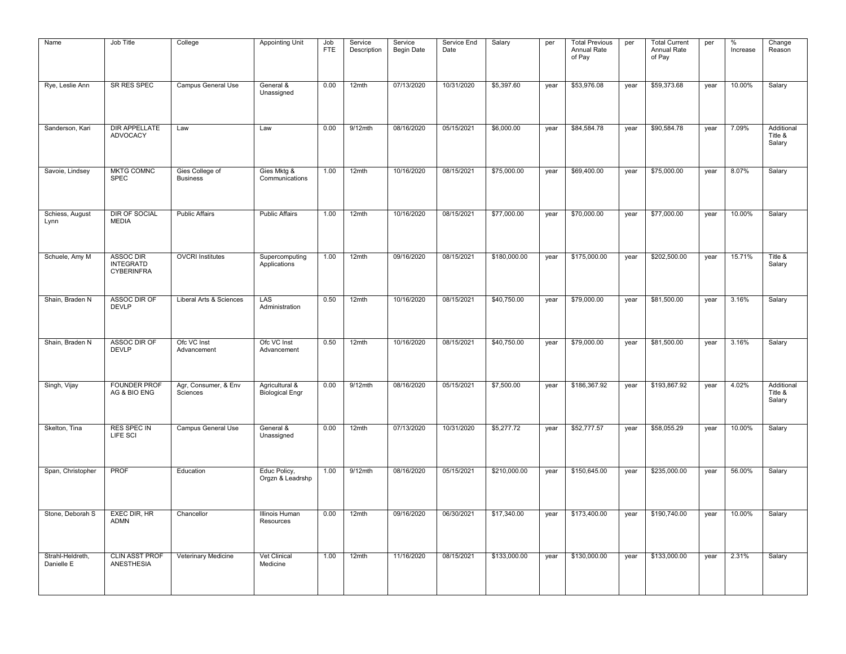| Name                           | Job Title                                                 | College                            | <b>Appointing Unit</b>                   | Job<br><b>FTE</b> | Service<br>Description | Service<br><b>Begin Date</b> | Service End<br>Date | Salary       | per  | <b>Total Previous</b><br>Annual Rate<br>of Pay | per  | <b>Total Current</b><br>Annual Rate<br>of Pay | per  | %<br>Increase | Change<br>Reason                |
|--------------------------------|-----------------------------------------------------------|------------------------------------|------------------------------------------|-------------------|------------------------|------------------------------|---------------------|--------------|------|------------------------------------------------|------|-----------------------------------------------|------|---------------|---------------------------------|
| Rye, Leslie Ann                | SR RES SPEC                                               | <b>Campus General Use</b>          | General &<br>Unassigned                  | 0.00              | 12mth                  | 07/13/2020                   | 10/31/2020          | \$5,397.60   | year | \$53,976.08                                    | year | \$59,373.68                                   | year | 10.00%        | Salary                          |
| Sanderson, Kari                | DIR APPELLATE<br><b>ADVOCACY</b>                          | Law                                | Law                                      | 0.00              | 9/12mth                | 08/16/2020                   | 05/15/2021          | \$6,000.00   | year | \$84,584.78                                    | year | \$90,584.78                                   | year | 7.09%         | Additional<br>Title &<br>Salary |
| Savoie, Lindsey                | <b>MKTG COMNC</b><br><b>SPEC</b>                          | Gies College of<br><b>Business</b> | Gies Mktg &<br>Communications            | 1.00              | 12mth                  | 10/16/2020                   | 08/15/2021          | \$75,000.00  | year | \$69,400.00                                    | year | \$75,000.00                                   | year | 8.07%         | Salary                          |
| Schiess, August<br>Lynn        | <b>DIR OF SOCIAL</b><br><b>MEDIA</b>                      | <b>Public Affairs</b>              | <b>Public Affairs</b>                    | 1.00              | 12mth                  | 10/16/2020                   | 08/15/2021          | \$77,000.00  | year | \$70,000.00                                    | year | \$77,000.00                                   | year | 10.00%        | Salary                          |
| Schuele, Amy M                 | <b>ASSOC DIR</b><br><b>INTEGRATD</b><br><b>CYBERINFRA</b> | <b>OVCRI</b> Institutes            | Supercomputing<br>Applications           | 1.00              | 12mth                  | 09/16/2020                   | 08/15/2021          | \$180,000.00 | year | \$175,000.00                                   | year | \$202,500.00                                  | year | 15.71%        | Title &<br>Salary               |
| Shain, Braden N                | ASSOC DIR OF<br><b>DEVLP</b>                              | Liberal Arts & Sciences            | LAS<br>Administration                    | 0.50              | 12mth                  | 10/16/2020                   | 08/15/2021          | \$40,750.00  | year | \$79,000.00                                    | year | \$81,500.00                                   | year | 3.16%         | Salary                          |
| Shain, Braden N                | ASSOC DIR OF<br><b>DEVLP</b>                              | Ofc VC Inst<br>Advancement         | Ofc VC Inst<br>Advancement               | 0.50              | 12mth                  | 10/16/2020                   | 08/15/2021          | \$40,750.00  | year | \$79,000.00                                    | year | \$81,500.00                                   | year | 3.16%         | Salary                          |
| Singh, Vijay                   | <b>FOUNDER PROF</b><br>AG & BIO ENG                       | Agr, Consumer, & Env<br>Sciences   | Agricultural &<br><b>Biological Engr</b> | 0.00              | 9/12mth                | 08/16/2020                   | 05/15/2021          | \$7,500.00   | year | \$186,367.92                                   | year | \$193,867.92                                  | year | 4.02%         | Additional<br>Title &<br>Salary |
| Skelton, Tina                  | RES SPEC IN<br>LIFE SCI                                   | Campus General Use                 | General &<br>Unassigned                  | 0.00              | 12mth                  | 07/13/2020                   | 10/31/2020          | \$5,277.72   | year | \$52,777.57                                    | year | \$58,055.29                                   | year | 10.00%        | Salary                          |
| Span, Christopher              | <b>PROF</b>                                               | Education                          | Educ Policy,<br>Orgzn & Leadrshp         | 1.00              | $9/12$ mth             | 08/16/2020                   | 05/15/2021          | \$210,000.00 | year | \$150,645.00                                   | year | \$235,000.00                                  | year | 56.00%        | Salary                          |
| Stone, Deborah S               | <b>EXEC DIR. HR</b><br><b>ADMN</b>                        | Chancellor                         | <b>Illinois Human</b><br>Resources       | 0.00              | 12mth                  | 09/16/2020                   | 06/30/2021          | \$17,340.00  | year | \$173,400.00                                   | year | \$190,740.00                                  | year | 10.00%        | Salary                          |
| Strahl-Heldreth,<br>Danielle E | <b>CLIN ASST PROF</b><br><b>ANESTHESIA</b>                | Veterinary Medicine                | Vet Clinical<br>Medicine                 | 1.00              | 12mth                  | 11/16/2020                   | 08/15/2021          | \$133,000.00 | year | \$130,000.00                                   | year | \$133,000.00                                  | year | 2.31%         | Salary                          |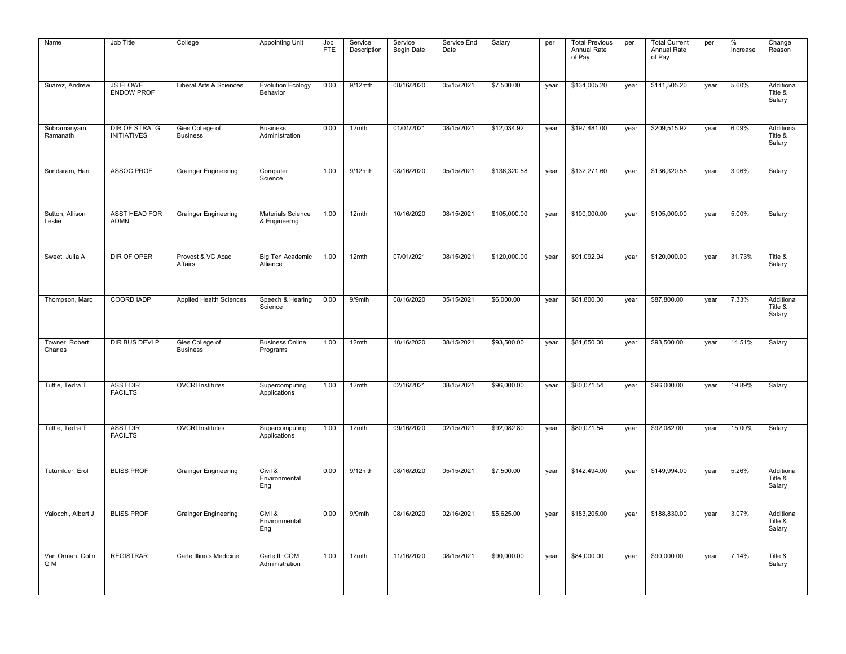| Name                      | Job Title                                  | College                            | <b>Appointing Unit</b>               | Job<br><b>FTE</b> | Service<br>Description | Service<br><b>Begin Date</b> | Service End<br>Date | Salary       | per  | <b>Total Previous</b><br>Annual Rate<br>of Pay | per  | <b>Total Current</b><br>Annual Rate<br>of Pay | per  | %<br>Increase | Change<br>Reason                |
|---------------------------|--------------------------------------------|------------------------------------|--------------------------------------|-------------------|------------------------|------------------------------|---------------------|--------------|------|------------------------------------------------|------|-----------------------------------------------|------|---------------|---------------------------------|
| Suarez, Andrew            | <b>JS ELOWE</b><br><b>ENDOW PROF</b>       | Liberal Arts & Sciences            | <b>Evolution Ecology</b><br>Behavior | 0.00              | $9/12$ mth             | 08/16/2020                   | 05/15/2021          | \$7,500.00   | year | \$134,005.20                                   | year | \$141,505.20                                  | year | 5.60%         | Additional<br>Title &<br>Salary |
| Subramanyam,<br>Ramanath  | <b>DIR OF STRATG</b><br><b>INITIATIVES</b> | Gies College of<br><b>Business</b> | <b>Business</b><br>Administration    | 0.00              | 12mth                  | 01/01/2021                   | 08/15/2021          | \$12,034.92  | year | \$197,481.00                                   | year | \$209,515.92                                  | year | 6.09%         | Additional<br>Title &<br>Salary |
| Sundaram, Hari            | <b>ASSOC PROF</b>                          | <b>Grainger Engineering</b>        | Computer<br>Science                  | 1.00              | $9/12$ mth             | 08/16/2020                   | 05/15/2021          | \$136,320.58 | year | \$132,271.60                                   | year | \$136,320.58                                  | year | 3.06%         | Salary                          |
| Sutton, Allison<br>Leslie | <b>ASST HEAD FOR</b><br><b>ADMN</b>        | <b>Grainger Engineering</b>        | Materials Science<br>& Engineerng    | 1.00              | 12mth                  | 10/16/2020                   | 08/15/2021          | \$105,000.00 | year | \$100,000.00                                   | year | \$105,000.00                                  | year | 5.00%         | Salary                          |
| Sweet, Julia A            | DIR OF OPER                                | Provost & VC Acad<br>Affairs       | Big Ten Academic<br>Alliance         | 1.00              | 12mth                  | 07/01/2021                   | 08/15/2021          | \$120,000.00 | year | \$91,092.94                                    | year | \$120,000.00                                  | year | 31.73%        | Title &<br>Salary               |
| Thompson, Marc            | <b>COORD IADP</b>                          | <b>Applied Health Sciences</b>     | Speech & Hearing<br>Science          | 0.00              | 9/9mth                 | 08/16/2020                   | 05/15/2021          | \$6,000.00   | year | \$81,800.00                                    | year | \$87,800.00                                   | year | 7.33%         | Additional<br>Title &<br>Salary |
| Towner, Robert<br>Charles | <b>DIR BUS DEVLP</b>                       | Gies College of<br><b>Business</b> | <b>Business Online</b><br>Programs   | 1.00              | $12$ mth               | 10/16/2020                   | 08/15/2021          | \$93,500.00  | year | \$81,650.00                                    | year | \$93,500.00                                   | year | 14.51%        | Salary                          |
| Tuttle, Tedra T           | <b>ASST DIR</b><br><b>FACILTS</b>          | <b>OVCRI</b> Institutes            | Supercomputing<br>Applications       | 1.00              | 12mth                  | 02/16/2021                   | 08/15/2021          | \$96,000.00  | year | \$80,071.54                                    | year | \$96,000.00                                   | year | 19.89%        | Salary                          |
| Tuttle, Tedra T           | <b>ASST DIR</b><br><b>FACILTS</b>          | <b>OVCRI Institutes</b>            | Supercomputing<br>Applications       | 1.00              | $12$ mth               | 09/16/2020                   | 02/15/2021          | \$92,082.80  | year | \$80,071.54                                    | year | \$92,082.00                                   | year | 15.00%        | Salary                          |
| Tutumluer, Erol           | <b>BLISS PROF</b>                          | <b>Grainger Engineering</b>        | Civil &<br>Environmental<br>Eng      | 0.00              | $9/12$ mth             | 08/16/2020                   | 05/15/2021          | \$7,500.00   | year | \$142,494.00                                   | year | \$149,994.00                                  | year | 5.26%         | Additional<br>Title &<br>Salary |
| Valocchi, Albert J        | <b>BLISS PROF</b>                          | <b>Grainger Engineering</b>        | Civil &<br>Environmental<br>Eng      | 0.00              | 9/9mth                 | 08/16/2020                   | 02/16/2021          | \$5,625.00   | year | \$183,205.00                                   | year | \$188,830.00                                  | year | 3.07%         | Additional<br>Title &<br>Salary |
| Van Orman, Colin<br>G M   | <b>REGISTRAR</b>                           | Carle Illinois Medicine            | Carle IL COM<br>Administration       | 1.00              | 12mth                  | 11/16/2020                   | 08/15/2021          | \$90,000.00  | year | \$84,000.00                                    | year | \$90,000.00                                   | year | 7.14%         | Title &<br>Salary               |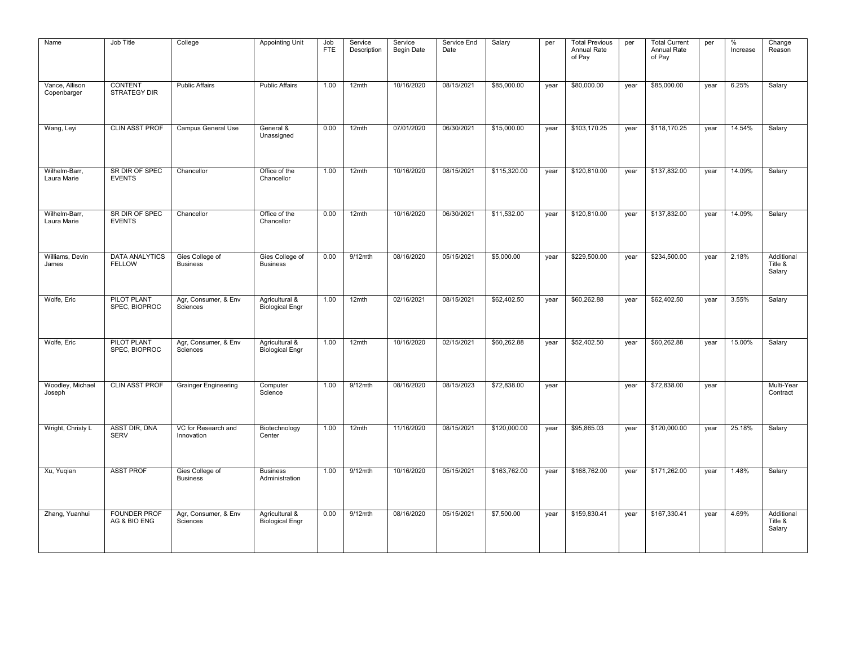| Zhang, Yuanhui                           | Xu, Yuqian                         | Wright, Christy L                   | Woodley, Michael<br>Joseph  | Wolfe, Eric                              | Wolfe, Eric                              | Williams, Devin<br>James               | Wilhelm-Barr,<br>Laura Marie    | Wilhelm-Barr,<br>Laura Marie    | Wang, Leyi              | Vance, Allison<br>Copenbarger         | Name                                           |
|------------------------------------------|------------------------------------|-------------------------------------|-----------------------------|------------------------------------------|------------------------------------------|----------------------------------------|---------------------------------|---------------------------------|-------------------------|---------------------------------------|------------------------------------------------|
| <b>FOUNDER PROF</b><br>AG & BIO ENG      | <b>ASST PROF</b>                   | <b>ASST DIR, DNA</b><br><b>SERV</b> | <b>CLIN ASST PROF</b>       | PILOT PLANT<br>SPEC, BIOPROC             | <b>PILOT PLANT</b><br>SPEC, BIOPROC      | <b>DATA ANALYTICS</b><br><b>FELLOW</b> | SR DIR OF SPEC<br><b>EVENTS</b> | SR DIR OF SPEC<br><b>EVENTS</b> | <b>CLIN ASST PROF</b>   | <b>CONTENT</b><br><b>STRATEGY DIR</b> | Job Title                                      |
| Agr, Consumer, & Env<br>Sciences         | Gies College of<br><b>Business</b> | VC for Research and<br>Innovation   | <b>Grainger Engineering</b> | Agr, Consumer, & Env<br>Sciences         | Agr, Consumer, & Env<br>Sciences         | Gies College of<br><b>Business</b>     | Chancellor                      | Chancellor                      | Campus General Use      | <b>Public Affairs</b>                 | College                                        |
| Agricultural &<br><b>Biological Engr</b> | <b>Business</b><br>Administration  | Biotechnology<br>Center             | Computer<br>Science         | Agricultural &<br><b>Biological Engr</b> | Agricultural &<br><b>Biological Engr</b> | Gies College of<br><b>Business</b>     | Office of the<br>Chancellor     | Office of the<br>Chancellor     | General &<br>Unassigned | <b>Public Affairs</b>                 | <b>Appointing Unit</b>                         |
| 0.00                                     | 1.00                               | 1.00                                | 1.00                        | 1.00                                     | 1.00                                     | 0.00                                   | 0.00                            | 1.00                            | 0.00                    | 1.00                                  | Job<br><b>FTE</b>                              |
| $9/12$ mth                               | $9/12$ mth                         | 12mth                               | $9/12$ mth                  | 12mth                                    | 12mth                                    | $9/12$ mth                             | 12mth                           | 12mth                           | 12mth                   | 12mth                                 | Service<br>Description                         |
| 08/16/2020                               | 10/16/2020                         | 11/16/2020                          | 08/16/2020                  | 10/16/2020                               | 02/16/2021                               | 08/16/2020                             | 10/16/2020                      | 10/16/2020                      | 07/01/2020              | 10/16/2020                            | Service<br><b>Begin Date</b>                   |
| 05/15/2021                               | 05/15/2021                         | 08/15/2021                          | 08/15/2023                  | 02/15/2021                               | 08/15/2021                               | 05/15/2021                             | 06/30/2021                      | 08/15/2021                      | 06/30/2021              | 08/15/2021                            | Service End<br>Date                            |
| \$7,500.00                               | \$163,762.00                       | \$120,000.00                        | \$72,838.00                 | \$60,262.88                              | \$62,402.50                              | \$5,000.00                             | \$11,532.00                     | \$115,320.00                    | \$15,000.00             | \$85,000.00                           | Salary                                         |
| year                                     | year                               | year                                | year                        | year                                     | year                                     | year                                   | year                            | year                            | year                    | year                                  | per                                            |
| \$159,830.41                             | \$168,762.00                       | \$95,865.03                         |                             | \$52,402.50                              | \$60,262.88                              | \$229,500.00                           | \$120,810.00                    | \$120,810.00                    | \$103,170.25            | \$80,000.00                           | <b>Total Previous</b><br>Annual Rate<br>of Pay |
| year                                     | year                               | year                                | year                        | year                                     | year                                     | year                                   | year                            | year                            | year                    | year                                  | per                                            |
| \$167,330.41                             | \$171,262.00                       | \$120,000.00                        | \$72,838.00                 | \$60,262.88                              | \$62,402.50                              | \$234,500.00                           | \$137,832.00                    | \$137,832.00                    | \$118,170.25            | \$85,000.00                           | <b>Total Current</b><br>Annual Rate<br>of Pay  |
| year                                     | year                               | year                                | year                        | year                                     | year                                     | year                                   | year                            | year                            | year                    | year                                  | per                                            |
| 4.69%                                    | 1.48%                              | 25.18%                              |                             | 15.00%                                   | 3.55%                                    | 2.18%                                  | 14.09%                          | 14.09%                          | 14.54%                  | 6.25%                                 | %<br>Increase                                  |
| Additional<br>Title &<br>Salary          | Salary                             | Salary                              | Multi-Year<br>Contract      | Salary                                   | Salary                                   | Additional<br>Title &<br>Salary        | Salary                          | Salary                          | Salary                  | Salary                                | Change<br>Reason                               |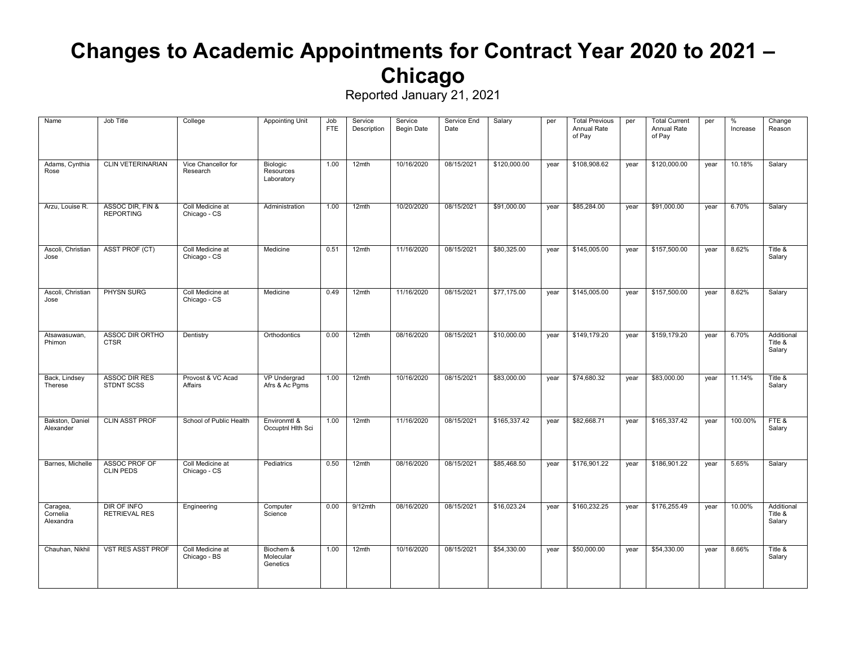### **Changes to Academic Appointments for Contract Year 2020 to 2021 – Chicago**

Reported January 21, 2021

Service End J. Octom

 $\Gamma$  Total Current

| Name                              | Job Title                            | College                          | <b>Appointing Unit</b>              | Job<br><b>FTE</b> | Service<br>Description | Service<br><b>Begin Date</b> | Service End<br>Date | Salary       | per  | <b>Total Previous</b><br>Annual Rate<br>of Pay | per  | <b>Total Current</b><br>Annual Rate<br>of Pay | per  | %<br>Increase | Change<br>Reason                |
|-----------------------------------|--------------------------------------|----------------------------------|-------------------------------------|-------------------|------------------------|------------------------------|---------------------|--------------|------|------------------------------------------------|------|-----------------------------------------------|------|---------------|---------------------------------|
| Adams, Cynthia<br>Rose            | <b>CLIN VETERINARIAN</b>             | Vice Chancellor for<br>Research  | Biologic<br>Resources<br>Laboratory | 1.00              | $12$ mth               | 10/16/2020                   | 08/15/2021          | \$120,000.00 | year | \$108,908.62                                   | year | \$120,000.00                                  | year | 10.18%        | Salary                          |
| Arzu, Louise R.                   | ASSOC DIR, FIN &<br><b>REPORTING</b> | Coll Medicine at<br>Chicago - CS | Administration                      | 1.00              | $12$ mth               | 10/20/2020                   | 08/15/2021          | \$91,000.00  | year | \$85,284.00                                    | year | \$91,000.00                                   | year | 6.70%         | Salary                          |
| Ascoli, Christian<br>Jose         | ASST PROF (CT)                       | Coll Medicine at<br>Chicago - CS | Medicine                            | 0.51              | 12mth                  | 11/16/2020                   | 08/15/2021          | \$80,325.00  | year | \$145,005.00                                   | year | \$157,500.00                                  | year | 8.62%         | Title &<br>Salary               |
| Ascoli, Christian<br>Jose         | PHYSN SURG                           | Coll Medicine at<br>Chicago - CS | Medicine                            | 0.49              | 12mth                  | 11/16/2020                   | 08/15/2021          | \$77,175.00  | year | \$145,005.00                                   | year | \$157,500.00                                  | year | 8.62%         | Salary                          |
| Atsawasuwan,<br>Phimon            | ASSOC DIR ORTHO<br><b>CTSR</b>       | Dentistry                        | Orthodontics                        | 0.00              | 12mth                  | 08/16/2020                   | 08/15/2021          | \$10,000.00  | year | \$149,179.20                                   | year | \$159,179.20                                  | year | 6.70%         | Additional<br>Title &<br>Salary |
| Back, Lindsey<br>Therese          | <b>ASSOC DIR RES</b><br>STDNT SCSS   | Provost & VC Acad<br>Affairs     | VP Undergrad<br>Afrs & Ac Pgms      | 1.00              | 12mth                  | 10/16/2020                   | 08/15/2021          | \$83,000.00  | year | \$74,680.32                                    | year | \$83,000.00                                   | year | 11.14%        | Title &<br>Salary               |
| Bakston, Daniel<br>Alexander      | <b>CLIN ASST PROF</b>                | School of Public Health          | Environmtl &<br>Occuptnl Hlth Sci   | 1.00              | 12mth                  | 11/16/2020                   | 08/15/2021          | \$165,337.42 | year | \$82,668.71                                    | year | \$165,337.42                                  | year | 100.00%       | FTE&<br>Salary                  |
| Barnes, Michelle                  | ASSOC PROF OF<br><b>CLIN PEDS</b>    | Coll Medicine at<br>Chicago - CS | Pediatrics                          | 0.50              | 12mth                  | 08/16/2020                   | 08/15/2021          | \$85,468.50  | year | \$176,901.22                                   | year | \$186,901.22                                  | year | 5.65%         | Salary                          |
| Caragea,<br>Cornelia<br>Alexandra | DIR OF INFO<br><b>RETRIEVAL RES</b>  | Engineering                      | Computer<br>Science                 | 0.00              | $9/12$ mth             | 08/16/2020                   | 08/15/2021          | \$16,023.24  | year | \$160,232.25                                   | year | \$176,255.49                                  | year | 10.00%        | Additional<br>Title &<br>Salary |
| Chauhan, Nikhil                   | <b>VST RES ASST PROF</b>             | Coll Medicine at<br>Chicago - BS | Biochem &<br>Molecular<br>Genetics  | 1.00              | 12mth                  | 10/16/2020                   | 08/15/2021          | \$54,330.00  | year | \$50,000.00                                    | year | \$54,330.00                                   | year | 8.66%         | Title &<br>Salary               |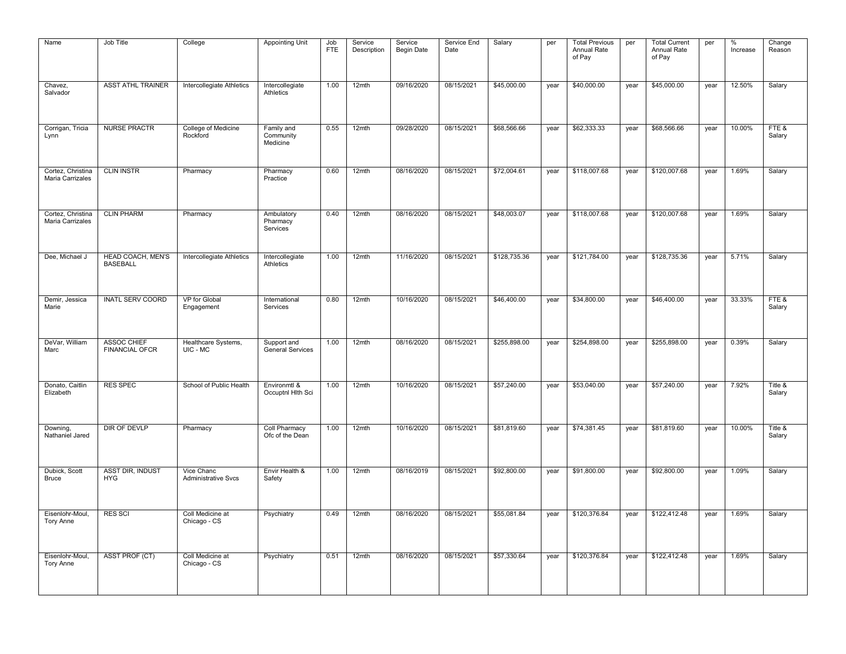| Name                                  | Job Title                                   | College                                  | <b>Appointing Unit</b>                 | Job<br><b>FTE</b> | Service<br>Description | Service<br><b>Begin Date</b> | Service End<br>Date | Salary       | per  | <b>Total Previous</b><br>Annual Rate<br>of Pay | per  | <b>Total Current</b><br>Annual Rate<br>of Pay | per  | $\%$<br>Increase | Change<br>Reason  |
|---------------------------------------|---------------------------------------------|------------------------------------------|----------------------------------------|-------------------|------------------------|------------------------------|---------------------|--------------|------|------------------------------------------------|------|-----------------------------------------------|------|------------------|-------------------|
| Chavez,<br>Salvador                   | <b>ASST ATHL TRAINER</b>                    | Intercollegiate Athletics                | Intercollegiate<br>Athletics           | 1.00              | 12mth                  | 09/16/2020                   | 08/15/2021          | \$45,000.00  | year | \$40,000.00                                    | year | \$45,000.00                                   | year | 12.50%           | Salary            |
| Corrigan, Tricia<br>Lynn              | <b>NURSE PRACTR</b>                         | College of Medicine<br>Rockford          | Family and<br>Community<br>Medicine    | 0.55              | 12mth                  | 09/28/2020                   | 08/15/2021          | \$68,566.66  | year | \$62,333.33                                    | year | \$68,566.66                                   | year | 10.00%           | FTE&<br>Salary    |
| Cortez, Christina<br>Maria Carrizales | <b>CLIN INSTR</b>                           | Pharmacy                                 | Pharmacy<br>Practice                   | 0.60              | 12mth                  | 08/16/2020                   | 08/15/2021          | \$72,004.61  | year | \$118,007.68                                   | year | \$120,007.68                                  | year | 1.69%            | Salary            |
| Cortez, Christina<br>Maria Carrizales | <b>CLIN PHARM</b>                           | Pharmacy                                 | Ambulatory<br>Pharmacy<br>Services     | 0.40              | 12mth                  | 08/16/2020                   | 08/15/2021          | \$48,003.07  | year | \$118,007.68                                   | year | \$120,007.68                                  | year | 1.69%            | Salary            |
| Dee, Michael J                        | <b>HEAD COACH, MEN'S</b><br><b>BASEBALL</b> | Intercollegiate Athletics                | Intercollegiate<br>Athletics           | 1.00              | 12mth                  | 11/16/2020                   | 08/15/2021          | \$128,735.36 | year | \$121,784.00                                   | year | \$128,735.36                                  | year | 5.71%            | Salary            |
| Demir, Jessica<br>Marie               | <b>INATL SERV COORD</b>                     | VP for Global<br>Engagement              | International<br>Services              | 0.80              | 12mth                  | 10/16/2020                   | 08/15/2021          | \$46,400.00  | year | \$34,800.00                                    | year | \$46,400.00                                   | year | 33.33%           | FTE&<br>Salary    |
| DeVar, William<br>Marc                | <b>ASSOC CHIEF</b><br><b>FINANCIAL OFCR</b> | Healthcare Systems,<br>UIC - MC          | Support and<br><b>General Services</b> | 1.00              | 12mth                  | 08/16/2020                   | 08/15/2021          | \$255,898.00 | year | \$254,898.00                                   | year | \$255,898.00                                  | year | 0.39%            | Salary            |
| Donato, Caitlin<br>Elizabeth          | <b>RES SPEC</b>                             | School of Public Health                  | Environmtl &<br>Occuptnl Hlth Sci      | 1.00              | 12mth                  | 10/16/2020                   | 08/15/2021          | \$57,240.00  | year | \$53,040.00                                    | year | \$57,240.00                                   | year | 7.92%            | Title &<br>Salary |
| Downing,<br>Nathaniel Jared           | DIR OF DEVLP                                | Pharmacy                                 | Coll Pharmacy<br>Ofc of the Dean       | 1.00              | 12mth                  | 10/16/2020                   | 08/15/2021          | \$81,819.60  | year | \$74,381.45                                    | year | \$81,819.60                                   | year | 10.00%           | Title &<br>Salary |
| Dubick, Scott<br><b>Bruce</b>         | <b>ASST DIR, INDUST</b><br><b>HYG</b>       | Vice Chanc<br><b>Administrative Svcs</b> | Envir Health &<br>Safety               | 1.00              | 12mth                  | 08/16/2019                   | 08/15/2021          | \$92,800.00  | year | \$91,800.00                                    | year | \$92,800.00                                   | year | 1.09%            | Salary            |
| Eisenlohr-Moul,<br><b>Tory Anne</b>   | <b>RES SCI</b>                              | Coll Medicine at<br>Chicago - CS         | Psychiatry                             | 0.49              | 12mth                  | 08/16/2020                   | 08/15/2021          | \$55,081.84  | year | \$120,376.84                                   | year | \$122,412.48                                  | year | 1.69%            | Salary            |
| Eisenlohr-Moul,<br><b>Tory Anne</b>   | <b>ASST PROF (CT)</b>                       | Coll Medicine at<br>Chicago - CS         | Psychiatry                             | 0.51              | 12mth                  | 08/16/2020                   | 08/15/2021          | \$57,330.64  | year | \$120,376.84                                   | year | \$122,412.48                                  | year | 1.69%            | Salary            |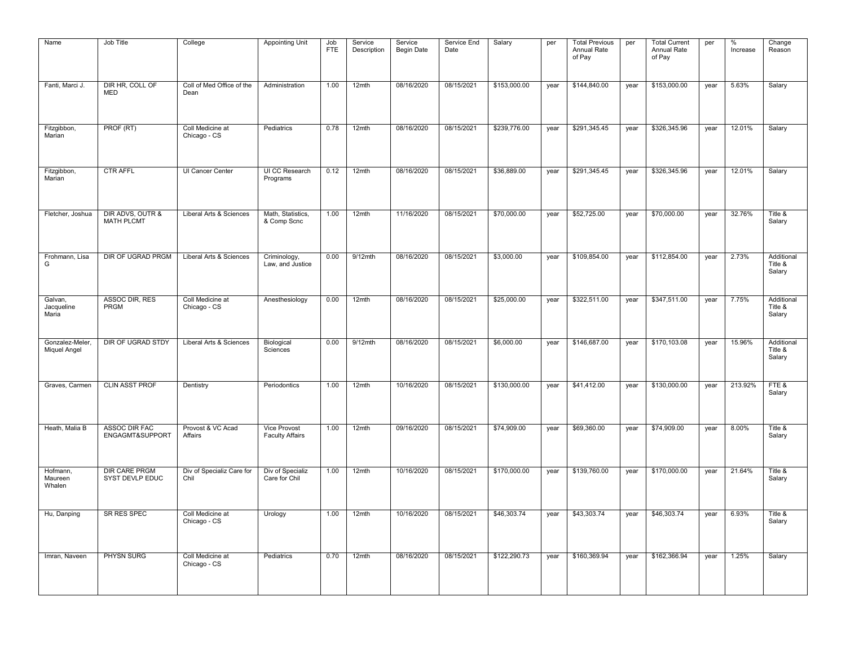| Name                            | Job Title                               | College                           | <b>Appointing Unit</b>                 | Job<br><b>FTE</b> | Service<br>Description | Service<br><b>Begin Date</b> | Service End<br>Date | Salary       | per  | <b>Total Previous</b><br>Annual Rate<br>of Pay | per  | <b>Total Current</b><br>Annual Rate<br>of Pay | per  | $\%$<br>Increase | Change<br>Reason                |
|---------------------------------|-----------------------------------------|-----------------------------------|----------------------------------------|-------------------|------------------------|------------------------------|---------------------|--------------|------|------------------------------------------------|------|-----------------------------------------------|------|------------------|---------------------------------|
| Fanti, Marci J.                 | DIR HR, COLL OF<br><b>MED</b>           | Coll of Med Office of the<br>Dean | Administration                         | 1.00              | 12mth                  | 08/16/2020                   | 08/15/2021          | \$153,000.00 | year | \$144,840.00                                   | year | \$153,000.00                                  | year | 5.63%            | Salary                          |
| Fitzgibbon,<br>Marian           | PROF (RT)                               | Coll Medicine at<br>Chicago - CS  | Pediatrics                             | 0.78              | 12mth                  | 08/16/2020                   | 08/15/2021          | \$239,776.00 | year | \$291,345.45                                   | year | \$326,345.96                                  | year | 12.01%           | Salary                          |
| Fitzgibbon,<br>Marian           | <b>CTR AFFL</b>                         | UI Cancer Center                  | UI CC Research<br>Programs             | 0.12              | $12$ mth               | 08/16/2020                   | 08/15/2021          | \$36,889.00  | year | \$291,345.45                                   | year | \$326,345.96                                  | year | 12.01%           | Salary                          |
| Fletcher, Joshua                | DIR ADVS, OUTR &<br><b>MATH PLCMT</b>   | Liberal Arts & Sciences           | Math, Statistics,<br>& Comp Scnc       | 1.00              | 12mth                  | 11/16/2020                   | 08/15/2021          | \$70,000.00  | year | \$52,725.00                                    | year | \$70,000.00                                   | year | 32.76%           | Title &<br>Salary               |
| Frohmann, Lisa<br>G             | DIR OF UGRAD PRGM                       | Liberal Arts & Sciences           | Criminology,<br>Law, and Justice       | 0.00              | $9/12$ mth             | 08/16/2020                   | 08/15/2021          | \$3,000.00   | year | \$109,854.00                                   | year | \$112,854.00                                  | year | 2.73%            | Additional<br>Title &<br>Salary |
| Galvan,<br>Jacqueline<br>Maria  | ASSOC DIR, RES<br>PRGM                  | Coll Medicine at<br>Chicago - CS  | Anesthesiology                         | 0.00              | 12mth                  | 08/16/2020                   | 08/15/2021          | \$25,000.00  | year | \$322,511.00                                   | year | \$347,511.00                                  | year | 7.75%            | Additional<br>Title &<br>Salary |
| Gonzalez-Meler.<br>Miquel Angel | DIR OF UGRAD STDY                       | Liberal Arts & Sciences           | Biological<br>Sciences                 | 0.00              | $9/12$ mth             | 08/16/2020                   | 08/15/2021          | \$6,000.00   | year | \$146,687.00                                   | year | \$170,103.08                                  | year | 15.96%           | Additional<br>Title &<br>Salary |
| Graves, Carmen                  | <b>CLIN ASST PROF</b>                   | Dentistry                         | Periodontics                           | 1.00              | 12mth                  | 10/16/2020                   | 08/15/2021          | \$130,000.00 | year | \$41,412.00                                    | year | \$130,000.00                                  | year | 213.92%          | FTE&<br>Salary                  |
| Heath, Malia B                  | <b>ASSOC DIR FAC</b><br>ENGAGMT&SUPPORT | Provost & VC Acad<br>Affairs      | Vice Provost<br><b>Faculty Affairs</b> | 1.00              | 12mth                  | 09/16/2020                   | 08/15/2021          | \$74,909.00  | year | \$69,360.00                                    | year | \$74,909.00                                   | year | 8.00%            | Title &<br>Salary               |
| Hofmann,<br>Maureen<br>Whalen   | <b>DIR CARE PRGM</b><br>SYST DEVLP EDUC | Div of Specializ Care for<br>Chil | Div of Specializ<br>Care for Chil      | 1.00              | 12mth                  | 10/16/2020                   | 08/15/2021          | \$170,000.00 | year | \$139,760.00                                   | year | \$170,000.00                                  | year | 21.64%           | Title &<br>Salary               |
| Hu, Danping                     | <b>SR RES SPEC</b>                      | Coll Medicine at<br>Chicago - CS  | Urology                                | 1.00              | 12mth                  | 10/16/2020                   | 08/15/2021          | \$46,303.74  | year | \$43,303.74                                    | year | \$46,303.74                                   | year | 6.93%            | Title &<br>Salary               |
| Imran, Naveen                   | <b>PHYSN SURG</b>                       | Coll Medicine at<br>Chicago - CS  | Pediatrics                             | 0.70              | 12mth                  | 08/16/2020                   | 08/15/2021          | \$122,290.73 | year | \$160,369.94                                   | year | \$162,366.94                                  | year | 1.25%            | Salary                          |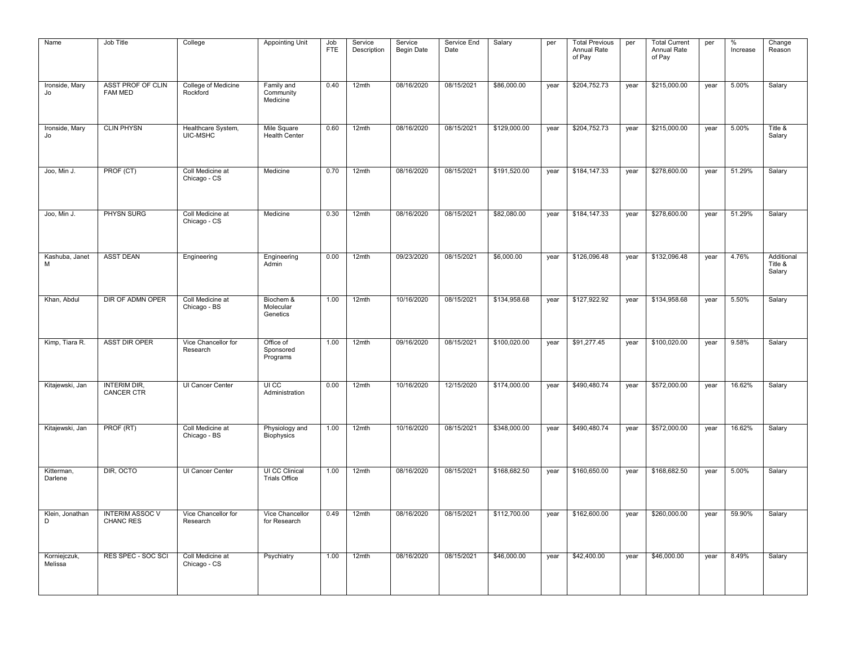| Name                    | Job Title                                  | College                          | <b>Appointing Unit</b>                 | Job<br><b>FTE</b> | Service<br>Description | Service<br>Begin Date | Service End<br>Date | Salary       | per  | <b>Total Previous</b><br>Annual Rate<br>of Pay | per  | <b>Total Current</b><br>Annual Rate<br>of Pay | per  | %<br>Increase | Change<br>Reason                |
|-------------------------|--------------------------------------------|----------------------------------|----------------------------------------|-------------------|------------------------|-----------------------|---------------------|--------------|------|------------------------------------------------|------|-----------------------------------------------|------|---------------|---------------------------------|
| Ironside, Mary<br>Jo    | <b>ASST PROF OF CLIN</b><br><b>FAM MED</b> | College of Medicine<br>Rockford  | Family and<br>Community<br>Medicine    | 0.40              | 12mth                  | 08/16/2020            | 08/15/2021          | \$86,000.00  | year | \$204,752.73                                   | year | \$215,000.00                                  | year | 5.00%         | Salary                          |
| Ironside, Mary<br>Jo    | <b>CLIN PHYSN</b>                          | Healthcare System,<br>UIC-MSHC   | Mile Square<br><b>Health Center</b>    | 0.60              | 12mth                  | 08/16/2020            | 08/15/2021          | \$129,000.00 | year | \$204,752.73                                   | year | \$215,000.00                                  | year | 5.00%         | Title &<br>Salary               |
| Joo, Min J.             | PROF (CT)                                  | Coll Medicine at<br>Chicago - CS | Medicine                               | 0.70              | 12mth                  | 08/16/2020            | 08/15/2021          | \$191,520.00 | year | \$184,147.33                                   | year | \$278,600.00                                  | year | 51.29%        | Salary                          |
| Joo, Min J.             | PHYSN SURG                                 | Coll Medicine at<br>Chicago - CS | Medicine                               | 0.30              | 12mth                  | 08/16/2020            | 08/15/2021          | \$82,080.00  | year | \$184,147.33                                   | year | \$278,600.00                                  | year | 51.29%        | Salary                          |
| Kashuba, Janet<br>M     | <b>ASST DEAN</b>                           | Engineering                      | Engineering<br>Admin                   | 0.00              | 12mth                  | 09/23/2020            | 08/15/2021          | \$6,000.00   | year | \$126,096.48                                   | year | \$132,096.48                                  | year | 4.76%         | Additional<br>Title &<br>Salary |
| Khan, Abdul             | DIR OF ADMN OPER                           | Coll Medicine at<br>Chicago - BS | Biochem &<br>Molecular<br>Genetics     | 1.00              | 12mth                  | 10/16/2020            | 08/15/2021          | \$134,958.68 | year | \$127,922.92                                   | year | \$134,958.68                                  | year | 5.50%         | Salary                          |
| Kimp, Tiara R.          | <b>ASST DIR OPER</b>                       | Vice Chancellor for<br>Research  | Office of<br>Sponsored<br>Programs     | 1.00              | 12mth                  | 09/16/2020            | 08/15/2021          | \$100,020.00 | year | \$91,277.45                                    | year | \$100,020.00                                  | year | 9.58%         | Salary                          |
| Kitajewski, Jan         | <b>INTERIM DIR,</b><br><b>CANCER CTR</b>   | UI Cancer Center                 | UI CC<br>Administration                | 0.00              | 12mth                  | 10/16/2020            | 12/15/2020          | \$174,000.00 | year | \$490,480.74                                   | year | \$572,000.00                                  | year | 16.62%        | Salary                          |
| Kitajewski, Jan         | PROF (RT)                                  | Coll Medicine at<br>Chicago - BS | Physiology and<br>Biophysics           | 1.00              | 12mth                  | 10/16/2020            | 08/15/2021          | \$348,000.00 | year | \$490,480.74                                   | year | \$572,000.00                                  | year | 16.62%        | Salary                          |
| Kitterman,<br>Darlene   | DIR. OCTO                                  | <b>UI Cancer Center</b>          | UI CC Clinical<br><b>Trials Office</b> | 1.00              | 12mth                  | 08/16/2020            | 08/15/2021          | \$168,682.50 | year | \$160,650.00                                   | year | \$168,682.50                                  | year | 5.00%         | Salary                          |
| Klein, Jonathan<br>D    | <b>INTERIM ASSOC V</b><br><b>CHANC RES</b> | Vice Chancellor for<br>Research  | Vice Chancellor<br>for Research        | 0.49              | $12$ mth               | 08/16/2020            | 08/15/2021          | \$112,700.00 | year | \$162,600.00                                   | year | \$260,000.00                                  | year | 59.90%        | Salary                          |
| Korniejczuk,<br>Melissa | RES SPEC - SOC SCI                         | Coll Medicine at<br>Chicago - CS | Psychiatry                             | 1.00              | 12mth                  | 08/16/2020            | 08/15/2021          | \$46,000.00  | year | \$42,400.00                                    | year | \$46,000.00                                   | year | 8.49%         | Salary                          |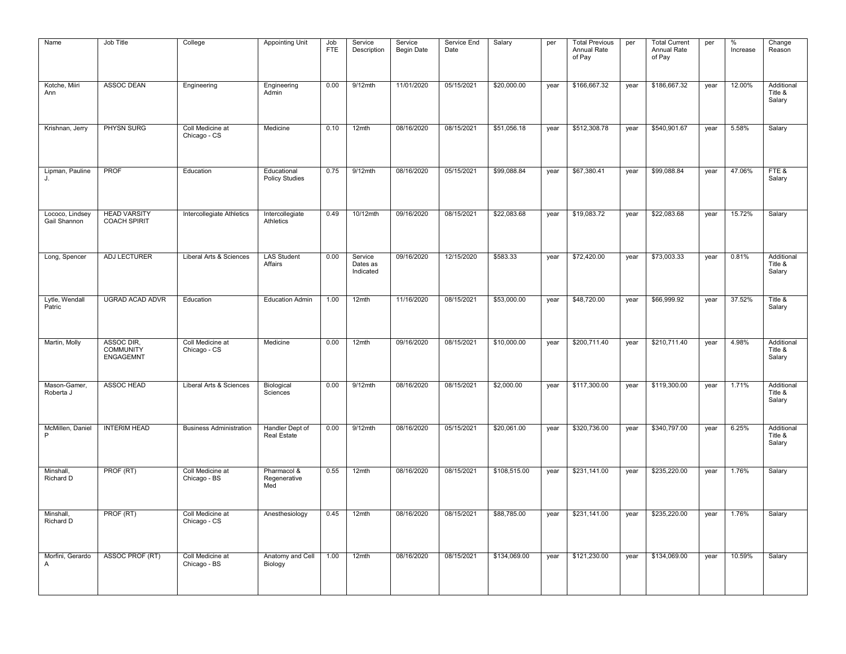| Name                            | Job Title                                          | College                          | <b>Appointing Unit</b>               | Job<br><b>FTE</b> | Service<br>Description           | Service<br><b>Begin Date</b> | Service End<br>Date | Salary       | per  | <b>Total Previous</b><br>Annual Rate<br>of Pay | per  | <b>Total Current</b><br>Annual Rate<br>of Pay | per  | $\%$<br>Increase | Change<br>Reason                |
|---------------------------------|----------------------------------------------------|----------------------------------|--------------------------------------|-------------------|----------------------------------|------------------------------|---------------------|--------------|------|------------------------------------------------|------|-----------------------------------------------|------|------------------|---------------------------------|
| Kotche, Miiri<br>Ann            | <b>ASSOC DEAN</b>                                  | Engineering                      | Engineering<br>Admin                 | 0.00              | $9/12$ mth                       | 11/01/2020                   | 05/15/2021          | \$20,000.00  | year | \$166,667.32                                   | year | \$186,667.32                                  | year | 12.00%           | Additional<br>Title &<br>Salary |
| Krishnan, Jerry                 | PHYSN SURG                                         | Coll Medicine at<br>Chicago - CS | Medicine                             | 0.10              | 12mth                            | 08/16/2020                   | 08/15/2021          | \$51,056.18  | year | \$512,308.78                                   | year | \$540,901.67                                  | year | 5.58%            | Salary                          |
| Lipman, Pauline<br>J.           | <b>PROF</b>                                        | Education                        | Educational<br><b>Policy Studies</b> | 0.75              | $9/12$ mth                       | 08/16/2020                   | 05/15/2021          | \$99,088.84  | year | \$67,380.41                                    | year | \$99,088.84                                   | year | 47.06%           | FTE&<br>Salary                  |
| Lococo, Lindsey<br>Gail Shannon | <b>HEAD VARSITY</b><br><b>COACH SPIRIT</b>         | Intercollegiate Athletics        | Intercollegiate<br>Athletics         | 0.49              | 10/12mth                         | 09/16/2020                   | 08/15/2021          | \$22,083.68  | year | \$19,083.72                                    | year | \$22,083.68                                   | year | 15.72%           | Salary                          |
| Long, Spencer                   | <b>ADJ LECTURER</b>                                | Liberal Arts & Sciences          | <b>LAS Student</b><br>Affairs        | 0.00              | Service<br>Dates as<br>Indicated | 09/16/2020                   | 12/15/2020          | \$583.33     | year | \$72,420.00                                    | year | \$73,003.33                                   | year | 0.81%            | Additional<br>Title &<br>Salary |
| Lytle, Wendall<br>Patric        | <b>UGRAD ACAD ADVR</b>                             | Education                        | <b>Education Admin</b>               | 1.00              | 12mth                            | 11/16/2020                   | 08/15/2021          | \$53,000.00  | year | \$48,720.00                                    | year | \$66,999.92                                   | year | 37.52%           | Title &<br>Salary               |
| Martin, Molly                   | ASSOC DIR,<br><b>COMMUNITY</b><br><b>ENGAGEMNT</b> | Coll Medicine at<br>Chicago - CS | Medicine                             | 0.00              | 12mth                            | 09/16/2020                   | 08/15/2021          | \$10,000.00  | year | \$200,711.40                                   | year | \$210,711.40                                  | year | 4.98%            | Additional<br>Title &<br>Salary |
| Mason-Gamer,<br>Roberta J       | ASSOC HEAD                                         | Liberal Arts & Sciences          | Biological<br>Sciences               | 0.00              | 9/12mth                          | 08/16/2020                   | 08/15/2021          | \$2,000.00   | year | \$117,300.00                                   | year | \$119,300.00                                  | year | 1.71%            | Additional<br>Title &<br>Salary |
| McMillen, Daniel<br>P           | <b>INTERIM HEAD</b>                                | <b>Business Administration</b>   | Handler Dept of<br>Real Estate       | 0.00              | 9/12mth                          | 08/16/2020                   | 05/15/2021          | \$20,061.00  | year | \$320,736.00                                   | year | \$340,797.00                                  | year | 6.25%            | Additional<br>Title &<br>Salary |
| Minshall,<br>Richard D          | PROF (RT)                                          | Coll Medicine at<br>Chicago - BS | Pharmacol &<br>Regenerative<br>Med   | 0.55              | 12mth                            | 08/16/2020                   | 08/15/2021          | \$108,515.00 | year | \$231,141.00                                   | year | \$235,220.00                                  | year | 1.76%            | Salary                          |
| Minshall,<br>Richard D          | PROF (RT)                                          | Coll Medicine at<br>Chicago - CS | Anesthesiology                       | 0.45              | 12mth                            | 08/16/2020                   | 08/15/2021          | \$88,785.00  | year | \$231,141.00                                   | year | \$235,220.00                                  | year | 1.76%            | Salary                          |
| Morfini, Gerardo<br>Α           | ASSOC PROF (RT)                                    | Coll Medicine at<br>Chicago - BS | Anatomy and Cell<br>Biology          | 1.00              | 12mth                            | 08/16/2020                   | 08/15/2021          | \$134,069.00 | year | \$121,230.00                                   | year | \$134,069.00                                  | year | 10.59%           | Salary                          |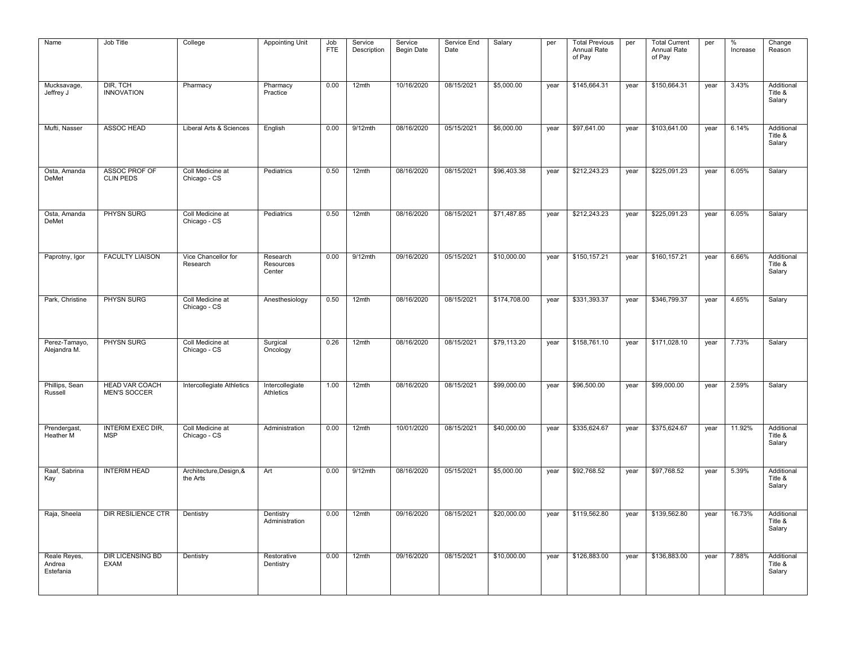| Name                                | Job Title                                    | College                             | <b>Appointing Unit</b>          | Job<br><b>FTE</b> | Service<br>Description | Service<br><b>Begin Date</b> | Service End<br>Date | Salary       | per  | <b>Total Previous</b><br>Annual Rate<br>of Pay | per  | <b>Total Current</b><br>Annual Rate<br>of Pay | per  | %<br>Increase | Change<br>Reason                |
|-------------------------------------|----------------------------------------------|-------------------------------------|---------------------------------|-------------------|------------------------|------------------------------|---------------------|--------------|------|------------------------------------------------|------|-----------------------------------------------|------|---------------|---------------------------------|
| Mucksavage,<br>Jeffrey J            | DIR, TCH<br><b>INNOVATION</b>                | Pharmacy                            | Pharmacy<br>Practice            | 0.00              | 12mth                  | 10/16/2020                   | 08/15/2021          | \$5,000.00   | year | \$145,664.31                                   | year | \$150,664.31                                  | year | 3.43%         | Additional<br>Title &<br>Salary |
| Mufti, Nasser                       | ASSOC HEAD                                   | Liberal Arts & Sciences             | English                         | 0.00              | 9/12mth                | 08/16/2020                   | 05/15/2021          | \$6,000.00   | year | \$97,641.00                                    | year | \$103,641.00                                  | year | 6.14%         | Additional<br>Title &<br>Salary |
| Osta, Amanda<br><b>DeMet</b>        | ASSOC PROF OF<br><b>CLIN PEDS</b>            | Coll Medicine at<br>Chicago - CS    | Pediatrics                      | 0.50              | 12mth                  | 08/16/2020                   | 08/15/2021          | \$96,403.38  | year | \$212,243.23                                   | year | \$225,091.23                                  | year | 6.05%         | Salary                          |
| Osta, Amanda<br><b>DeMet</b>        | PHYSN SURG                                   | Coll Medicine at<br>Chicago - CS    | Pediatrics                      | 0.50              | 12mth                  | 08/16/2020                   | 08/15/2021          | \$71,487.85  | year | \$212,243.23                                   | year | \$225,091.23                                  | year | 6.05%         | Salary                          |
| Paprotny, Igor                      | <b>FACULTY LIAISON</b>                       | Vice Chancellor for<br>Research     | Research<br>Resources<br>Center | 0.00              | $9/12$ mth             | 09/16/2020                   | 05/15/2021          | \$10,000.00  | year | \$150,157.21                                   | year | \$160,157.21                                  | year | 6.66%         | Additional<br>Title &<br>Salary |
| Park, Christine                     | PHYSN SURG                                   | Coll Medicine at<br>Chicago - CS    | Anesthesiology                  | 0.50              | 12mth                  | 08/16/2020                   | 08/15/2021          | \$174,708.00 | year | \$331,393.37                                   | year | \$346,799.37                                  | year | 4.65%         | Salary                          |
| Perez-Tamayo,<br>Alejandra M.       | PHYSN SURG                                   | Coll Medicine at<br>Chicago - CS    | Surgical<br>Oncology            | 0.26              | 12mth                  | 08/16/2020                   | 08/15/2021          | \$79,113.20  | year | \$158,761.10                                   | year | \$171,028.10                                  | year | 7.73%         | Salary                          |
| Phillips, Sean<br>Russell           | <b>HEAD VAR COACH</b><br><b>MEN'S SOCCER</b> | Intercollegiate Athletics           | Intercollegiate<br>Athletics    | 1.00              | 12mth                  | 08/16/2020                   | 08/15/2021          | \$99,000.00  | year | \$96,500.00                                    | year | \$99,000.00                                   | year | 2.59%         | Salary                          |
| Prendergast,<br>Heather M           | <b>INTERIM EXEC DIR.</b><br><b>MSP</b>       | Coll Medicine at<br>Chicago - CS    | Administration                  | 0.00              | 12mth                  | 10/01/2020                   | 08/15/2021          | \$40,000.00  | year | \$335,624.67                                   | year | \$375,624.67                                  | year | 11.92%        | Additional<br>Title &<br>Salary |
| Raaf, Sabrina<br>Kay                | <b>INTERIM HEAD</b>                          | Architecture, Design, &<br>the Arts | Art                             | 0.00              | $9/12$ mth             | 08/16/2020                   | 05/15/2021          | \$5,000.00   | year | \$92,768.52                                    | year | \$97,768.52                                   | year | 5.39%         | Additional<br>Title &<br>Salary |
| Raja, Sheela                        | <b>DIR RESILIENCE CTR</b>                    | Dentistry                           | Dentistry<br>Administration     | 0.00              | 12mth                  | 09/16/2020                   | 08/15/2021          | \$20,000.00  | year | \$119,562.80                                   | year | \$139,562.80                                  | year | 16.73%        | Additional<br>Title &<br>Salary |
| Reale Reyes,<br>Andrea<br>Estefania | <b>DIR LICENSING BD</b><br><b>EXAM</b>       | Dentistry                           | Restorative<br>Dentistry        | 0.00              | 12mth                  | 09/16/2020                   | 08/15/2021          | \$10,000.00  | year | \$126,883.00                                   | year | \$136,883.00                                  | year | 7.88%         | Additional<br>Title &<br>Salary |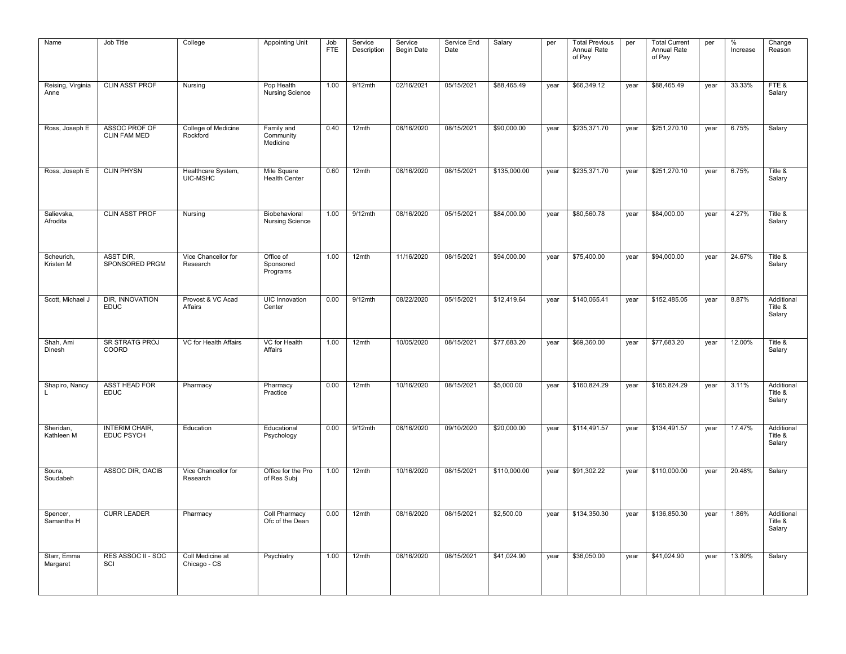| Name                      | Job Title                            | College                          | <b>Appointing Unit</b>                  | Job<br><b>FTE</b> | Service<br>Description | Service<br><b>Begin Date</b> | Service End<br>Date | Salary       | per  | <b>Total Previous</b><br>Annual Rate<br>of Pay | per  | <b>Total Current</b><br>Annual Rate<br>of Pay | per  | $\%$<br>Increase | Change<br>Reason                |
|---------------------------|--------------------------------------|----------------------------------|-----------------------------------------|-------------------|------------------------|------------------------------|---------------------|--------------|------|------------------------------------------------|------|-----------------------------------------------|------|------------------|---------------------------------|
| Reising, Virginia<br>Anne | <b>CLIN ASST PROF</b>                | Nursing                          | Pop Health<br><b>Nursing Science</b>    | 1.00              | $9/12$ mth             | 02/16/2021                   | 05/15/2021          | \$88,465.49  | year | \$66,349.12                                    | year | \$88,465.49                                   | year | 33.33%           | FTE&<br>Salary                  |
| Ross, Joseph E            | ASSOC PROF OF<br><b>CLIN FAM MED</b> | College of Medicine<br>Rockford  | Family and<br>Community<br>Medicine     | 0.40              | 12mth                  | 08/16/2020                   | 08/15/2021          | \$90,000.00  | year | \$235,371.70                                   | year | \$251,270.10                                  | year | 6.75%            | Salary                          |
| Ross, Joseph E            | <b>CLIN PHYSN</b>                    | Healthcare System,<br>UIC-MSHC   | Mile Square<br><b>Health Center</b>     | 0.60              | 12mth                  | 08/16/2020                   | 08/15/2021          | \$135,000.00 | year | \$235,371.70                                   | year | \$251,270.10                                  | year | 6.75%            | Title &<br>Salary               |
| Salievska,<br>Afrodita    | <b>CLIN ASST PROF</b>                | Nursing                          | Biobehavioral<br><b>Nursing Science</b> | 1.00              | $9/12$ mth             | 08/16/2020                   | 05/15/2021          | \$84,000.00  | year | \$80,560.78                                    | year | \$84,000.00                                   | year | 4.27%            | Title &<br>Salary               |
| Scheurich,<br>Kristen M   | <b>ASST DIR.</b><br>SPONSORED PRGM   | Vice Chancellor for<br>Research  | Office of<br>Sponsored<br>Programs      | 1.00              | 12mth                  | 11/16/2020                   | 08/15/2021          | \$94,000.00  | year | \$75,400.00                                    | year | \$94,000.00                                   | year | 24.67%           | Title &<br>Salary               |
| Scott, Michael J          | DIR, INNOVATION<br><b>EDUC</b>       | Provost & VC Acad<br>Affairs     | UIC Innovation<br>Center                | 0.00              | $9/12$ mth             | 08/22/2020                   | 05/15/2021          | \$12,419.64  | year | \$140,065.41                                   | year | \$152,485.05                                  | year | 8.87%            | Additional<br>Title &<br>Salary |
| Shah, Ami<br>Dinesh       | <b>SR STRATG PROJ</b><br>COORD       | VC for Health Affairs            | <b>VC</b> for Health<br>Affairs         | 1.00              | 12mth                  | 10/05/2020                   | 08/15/2021          | \$77,683.20  | year | \$69,360.00                                    | year | \$77,683.20                                   | year | 12.00%           | Title &<br>Salary               |
| Shapiro, Nancy            | ASST HEAD FOR<br><b>EDUC</b>         | Pharmacy                         | Pharmacy<br>Practice                    | 0.00              | 12mth                  | 10/16/2020                   | 08/15/2021          | \$5,000.00   | year | \$160,824.29                                   | year | \$165,824.29                                  | year | 3.11%            | Additional<br>Title &<br>Salary |
| Sheridan,<br>Kathleen M   | INTERIM CHAIR,<br>EDUC PSYCH         | Education                        | Educational<br>Psychology               | 0.00              | 9/12mth                | 08/16/2020                   | 09/10/2020          | \$20,000.00  | year | \$114,491.57                                   | year | \$134,491.57                                  | year | 17.47%           | Additional<br>Title &<br>Salary |
| Soura,<br>Soudabeh        | ASSOC DIR, OACIB                     | Vice Chancellor for<br>Research  | Office for the Pro<br>of Res Subj       | 1.00              | 12mth                  | 10/16/2020                   | 08/15/2021          | \$110,000.00 | year | \$91,302.22                                    | year | \$110,000.00                                  | year | 20.48%           | Salary                          |
| Spencer,<br>Samantha H    | <b>CURR LEADER</b>                   | Pharmacy                         | Coll Pharmacy<br>Ofc of the Dean        | 0.00              | 12mth                  | 08/16/2020                   | 08/15/2021          | \$2,500.00   | year | \$134,350.30                                   | year | \$136,850.30                                  | year | 1.86%            | Additional<br>Title &<br>Salary |
| Starr, Emma<br>Margaret   | RES ASSOC II - SOC<br>SCI            | Coll Medicine at<br>Chicago - CS | Psychiatry                              | 1.00              | 12mth                  | 08/16/2020                   | 08/15/2021          | \$41,024.90  | year | \$36,050.00                                    | year | \$41,024.90                                   | year | 13.80%           | Salary                          |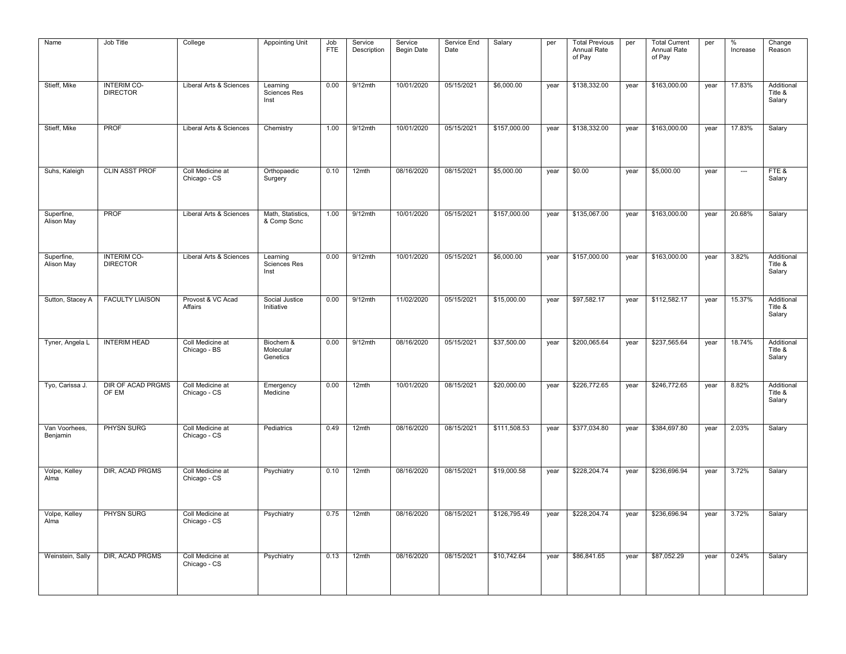| Name                      | Job Title                             | College                          | <b>Appointing Unit</b>             | Job<br><b>FTE</b> | Service<br>Description | Service<br><b>Begin Date</b> | Service End<br>Date | Salary       | per  | <b>Total Previous</b><br>Annual Rate<br>of Pay | per  | <b>Total Current</b><br>Annual Rate<br>of Pay | per  | %<br>Increase            | Change<br>Reason                |
|---------------------------|---------------------------------------|----------------------------------|------------------------------------|-------------------|------------------------|------------------------------|---------------------|--------------|------|------------------------------------------------|------|-----------------------------------------------|------|--------------------------|---------------------------------|
| Stieff, Mike              | <b>INTERIM CO-</b><br><b>DIRECTOR</b> | Liberal Arts & Sciences          | Learning<br>Sciences Res<br>Inst   | 0.00              | $9/12$ mth             | 10/01/2020                   | 05/15/2021          | \$6,000.00   | year | \$138,332.00                                   | year | \$163,000.00                                  | year | 17.83%                   | Additional<br>Title &<br>Salary |
| Stieff, Mike              | <b>PROF</b>                           | Liberal Arts & Sciences          | Chemistry                          | 1.00              | 9/12mth                | 10/01/2020                   | 05/15/2021          | \$157,000.00 | year | \$138,332.00                                   | year | \$163,000.00                                  | year | 17.83%                   | Salary                          |
| Suhs, Kaleigh             | <b>CLIN ASST PROF</b>                 | Coll Medicine at<br>Chicago - CS | Orthopaedic<br>Surgery             | 0.10              | 12mth                  | 08/16/2020                   | 08/15/2021          | \$5,000.00   | year | \$0.00                                         | year | \$5,000.00                                    | year | $\hspace{0.05cm} \cdots$ | FTE&<br>Salary                  |
| Superfine,<br>Alison May  | <b>PROF</b>                           | Liberal Arts & Sciences          | Math, Statistics,<br>& Comp Scnc   | 1.00              | 9/12mth                | 10/01/2020                   | 05/15/2021          | \$157,000.00 | year | \$135,067.00                                   | year | \$163,000.00                                  | year | 20.68%                   | Salary                          |
| Superfine,<br>Alison May  | <b>INTERIM CO-</b><br><b>DIRECTOR</b> | Liberal Arts & Sciences          | Learning<br>Sciences Res<br>Inst   | 0.00              | 9/12mth                | 10/01/2020                   | 05/15/2021          | \$6,000.00   | year | \$157,000.00                                   | year | \$163,000.00                                  | year | 3.82%                    | Additional<br>Title &<br>Salary |
| Sutton, Stacey A          | <b>FACULTY LIAISON</b>                | Provost & VC Acad<br>Affairs     | Social Justice<br>Initiative       | 0.00              | 9/12mth                | 11/02/2020                   | 05/15/2021          | \$15,000.00  | year | \$97,582.17                                    | year | \$112,582.17                                  | year | 15.37%                   | Additional<br>Title &<br>Salary |
| Tyner, Angela L           | <b>INTERIM HEAD</b>                   | Coll Medicine at<br>Chicago - BS | Biochem &<br>Molecular<br>Genetics | 0.00              | $9/12$ mth             | 08/16/2020                   | 05/15/2021          | \$37,500.00  | year | \$200,065.64                                   | year | \$237,565.64                                  | year | 18.74%                   | Additional<br>Title &<br>Salary |
| Tyo, Carissa J.           | DIR OF ACAD PRGMS<br>OF EM            | Coll Medicine at<br>Chicago - CS | Emergency<br>Medicine              | 0.00              | 12mth                  | 10/01/2020                   | 08/15/2021          | \$20,000.00  | year | \$226,772.65                                   | year | \$246,772.65                                  | year | 8.82%                    | Additional<br>Title &<br>Salary |
| Van Voorhees,<br>Benjamin | PHYSN SURG                            | Coll Medicine at<br>Chicago - CS | Pediatrics                         | 0.49              | 12mth                  | 08/16/2020                   | 08/15/2021          | \$111,508.53 | year | \$377,034.80                                   | year | \$384,697.80                                  | year | 2.03%                    | Salary                          |
| Volpe, Kelley<br>Alma     | <b>DIR. ACAD PRGMS</b>                | Coll Medicine at<br>Chicago - CS | Psychiatry                         | 0.10              | 12mth                  | 08/16/2020                   | 08/15/2021          | \$19,000.58  | year | \$228,204.74                                   | year | \$236,696.94                                  | year | 3.72%                    | Salary                          |
| Volpe, Kelley<br>Alma     | <b>PHYSN SURG</b>                     | Coll Medicine at<br>Chicago - CS | Psychiatry                         | 0.75              | 12mth                  | 08/16/2020                   | 08/15/2021          | \$126,795.49 | year | \$228,204.74                                   | year | \$236,696.94                                  | year | 3.72%                    | Salary                          |
| Weinstein, Sally          | <b>DIR, ACAD PRGMS</b>                | Coll Medicine at<br>Chicago - CS | Psychiatry                         | 0.13              | 12mth                  | 08/16/2020                   | 08/15/2021          | \$10,742.64  | year | \$86,841.65                                    | year | \$87,052,29                                   | year | 0.24%                    | Salary                          |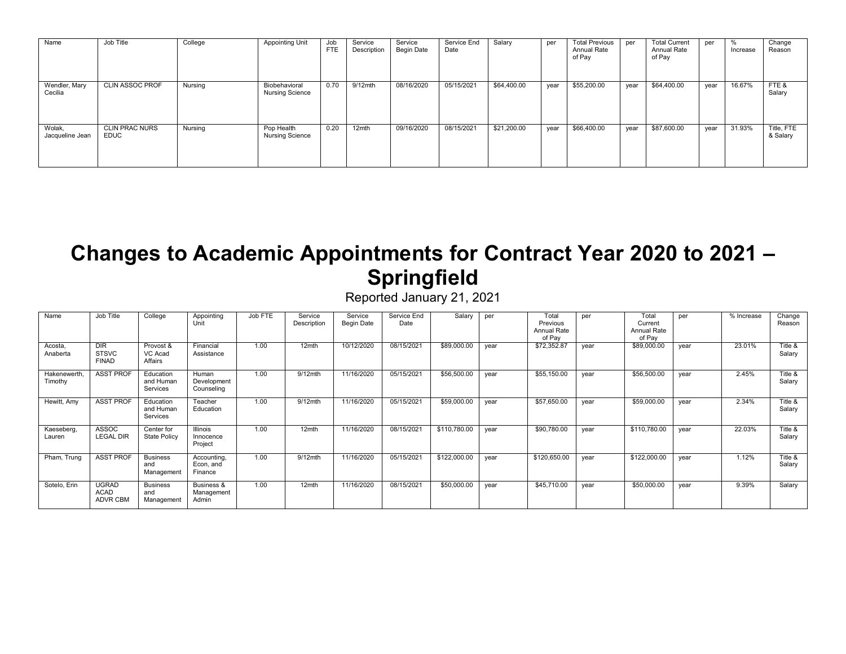| Name                      | Job Title                            | College | <b>Appointing Unit</b>                  | Job<br><b>FTE</b> | Service<br>Description | Service<br>Begin Date | Service End<br>Date | Salary      | per  | <b>Total Previous</b><br>Annual Rate<br>of Pay | per  | <b>Total Current</b><br>Annual Rate<br>of Pay | per  | %<br>Increase | Change<br>Reason       |
|---------------------------|--------------------------------------|---------|-----------------------------------------|-------------------|------------------------|-----------------------|---------------------|-------------|------|------------------------------------------------|------|-----------------------------------------------|------|---------------|------------------------|
| Wendler, Mary<br>Cecilia  | <b>CLIN ASSOC PROF</b>               | Nursing | Biobehavioral<br><b>Nursing Science</b> | 0.70              | $9/12$ mth             | 08/16/2020            | 05/15/2021          | \$64,400.00 | year | \$55,200.00                                    | year | \$64,400.00                                   | vear | 16.67%        | FTE&<br>Salary         |
| Wolak,<br>Jacqueline Jean | <b>CLIN PRAC NURS</b><br><b>EDUC</b> | Nursing | Pop Health<br><b>Nursing Science</b>    | 0.20              | 12 <sub>mth</sub>      | 09/16/2020            | 08/15/2021          | \$21,200.00 | year | \$66,400.00                                    | year | \$87,600.00                                   | year | 31.93%        | Title, FTE<br>& Salary |

#### **Changes to Academic Appointments for Contract Year 2020 to 2021 – Springfield**

| Name                    | Job Title                                      | College                              | Appointing<br>Unit                  | Job FTE | Service<br>Description | Service<br><b>Begin Date</b> | Service End<br>Date | Salary       | per  | Total<br>Previous<br>Annual Rate<br>of Pay | per  | Total<br>Current<br><b>Annual Rate</b><br>of Pay | per  | % Increase | Change<br>Reason  |
|-------------------------|------------------------------------------------|--------------------------------------|-------------------------------------|---------|------------------------|------------------------------|---------------------|--------------|------|--------------------------------------------|------|--------------------------------------------------|------|------------|-------------------|
| Acosta,<br>Anaberta     | <b>DIR</b><br><b>STSVC</b><br><b>FINAD</b>     | Provost &<br>VC Acad<br>Affairs      | Financial<br>Assistance             | 1.00    | 12mth                  | 10/12/2020                   | 08/15/2021          | \$89,000.00  | year | \$72,352.87                                | year | \$89,000.00                                      | vear | 23.01%     | Title &<br>Salary |
| Hakenewerth,<br>Timothy | <b>ASST PROF</b>                               | Education<br>and Human<br>Services   | Human<br>Development<br>Counseling  | 1.00    | $9/12$ mth             | 11/16/2020                   | 05/15/2021          | \$56,500.00  | year | \$55,150.00                                | year | \$56,500.00                                      | vear | 2.45%      | Title &<br>Salary |
| Hewitt, Amy             | <b>ASST PROF</b>                               | Education<br>and Human<br>Services   | Teacher<br>Education                | 1.00    | 9/12mth                | 11/16/2020                   | 05/15/2021          | \$59,000.00  | vear | \$57,650.00                                | vear | \$59,000.00                                      | vear | 2.34%      | Title &<br>Salary |
| Kaeseberg,<br>Lauren    | ASSOC<br><b>LEGAL DIR</b>                      | Center for<br>State Policy           | Illinois<br>Innocence<br>Project    | 1.00    | 12mth                  | 11/16/2020                   | 08/15/2021          | \$110,780.00 | year | \$90,780.00                                | year | \$110,780.00                                     | year | 22.03%     | Title &<br>Salary |
| Pham, Trung             | <b>ASST PROF</b>                               | <b>Business</b><br>and<br>Management | Accounting,<br>Econ, and<br>Finance | 1.00    | $9/12$ mth             | 11/16/2020                   | 05/15/2021          | \$122,000.00 | vear | \$120,650.00                               | vear | \$122,000.00                                     | vear | 1.12%      | Title &<br>Salary |
| Sotelo, Erin            | <b>UGRAD</b><br><b>ACAD</b><br><b>ADVR CBM</b> | <b>Business</b><br>and<br>Management | Business &<br>Management<br>Admin   | 1.00    | 12mth                  | 11/16/2020                   | 08/15/2021          | \$50,000.00  | vear | \$45,710.00                                | vear | \$50,000.00                                      | vear | 9.39%      | Salary            |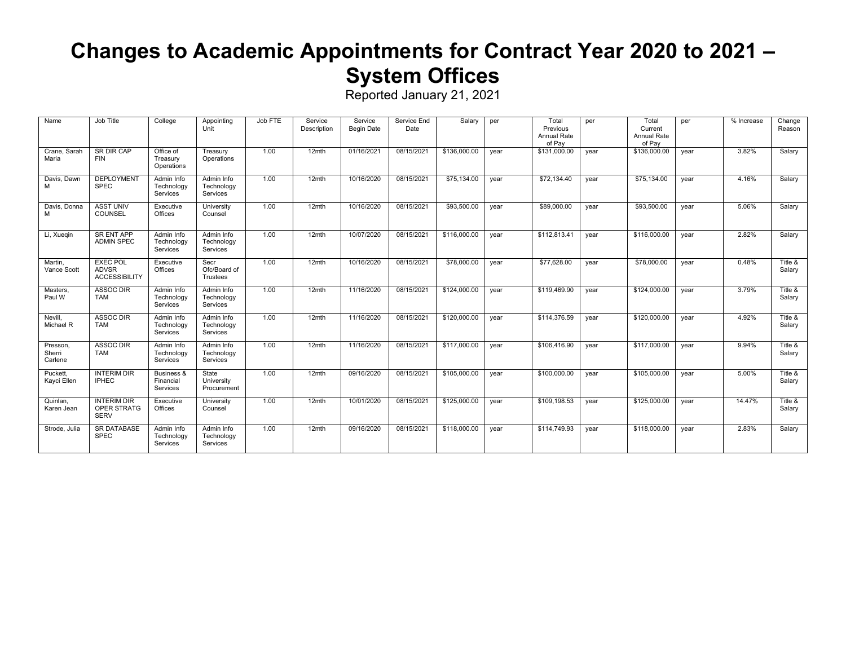### **Changes to Academic Appointments for Contract Year 2020 to 2021 – System Offices**

| Name                          | Job Title                                               | College                                        | Appointing<br>Unit                   | Job FTE | Service<br>Description | Service<br>Begin Date | Service End<br>Date | Salary       | per  | Total<br>Previous<br>Annual Rate<br>of Pay | per  | Total<br>Current<br>Annual Rate<br>of Pav | per  | % Increase | Change<br>Reason  |
|-------------------------------|---------------------------------------------------------|------------------------------------------------|--------------------------------------|---------|------------------------|-----------------------|---------------------|--------------|------|--------------------------------------------|------|-------------------------------------------|------|------------|-------------------|
| Crane, Sarah<br>Maria         | SR DIR CAP<br><b>FIN</b>                                | Office of<br>Treasury<br>Operations            | Treasury<br>Operations               | 1.00    | $12$ mth               | 01/16/2021            | 08/15/2021          | \$136,000.00 | year | \$131,000.00                               | year | \$136,000.00                              | year | 3.82%      | Salary            |
| Davis, Dawn<br>м              | <b>DEPLOYMENT</b><br><b>SPEC</b>                        | Admin Info<br>Technology<br>Services           | Admin Info<br>Technology<br>Services | 1.00    | $12$ mth               | 10/16/2020            | 08/15/2021          | \$75,134.00  | year | \$72,134.40                                | year | \$75,134.00                               | vear | 4.16%      | Salary            |
| Davis, Donna<br>м             | <b>ASST UNIV</b><br><b>COUNSEL</b>                      | Executive<br>Offices                           | University<br>Counsel                | 1.00    | $12$ mth               | 10/16/2020            | 08/15/2021          | \$93,500.00  | year | \$89,000.00                                | year | \$93,500,00                               | vear | 5.06%      | Salary            |
| Li, Xuegin                    | <b>SR ENT APP</b><br><b>ADMIN SPEC</b>                  | Admin Info<br>Technology<br>Services           | Admin Info<br>Technology<br>Services | 1.00    | 12mth                  | 10/07/2020            | 08/15/2021          | \$116,000.00 | year | \$112,813.41                               | year | \$116,000.00                              | year | 2.82%      | Salary            |
| Martin.<br>Vance Scott        | <b>EXEC POL</b><br><b>ADVSR</b><br><b>ACCESSIBILITY</b> | Executive<br>Offices                           | Secr<br>Ofc/Board of<br>Trustees     | 1.00    | $12$ mth               | 10/16/2020            | 08/15/2021          | \$78,000.00  | vear | \$77,628.00                                | year | \$78,000.00                               | vear | 0.48%      | Title &<br>Salary |
| Masters,<br>Paul W            | <b>ASSOC DIR</b><br><b>TAM</b>                          | Admin Info<br>Technology<br><b>Services</b>    | Admin Info<br>Technology<br>Services | 1.00    | $12$ mth               | 11/16/2020            | 08/15/2021          | \$124,000.00 | year | \$119,469.90                               | year | \$124,000.00                              | year | 3.79%      | Title &<br>Salary |
| Nevill.<br>Michael R          | <b>ASSOC DIR</b><br><b>TAM</b>                          | Admin Info<br>Technology<br>Services           | Admin Info<br>Technology<br>Services | 1.00    | $12$ mth               | 11/16/2020            | 08/15/2021          | \$120,000.00 | vear | \$114,376.59                               | year | \$120,000.00                              | year | 4.92%      | Title &<br>Salary |
| Presson.<br>Sherri<br>Carlene | ASSOC DIR<br><b>TAM</b>                                 | Admin Info<br>Technology<br>Services           | Admin Info<br>Technology<br>Services | 1.00    | 12mth                  | 11/16/2020            | 08/15/2021          | \$117,000.00 | year | \$106,416.90                               | year | \$117,000.00                              | vear | 9.94%      | Title &<br>Salary |
| Puckett.<br>Kayci Ellen       | <b>INTERIM DIR</b><br><b>IPHEC</b>                      | <b>Business &amp;</b><br>Financial<br>Services | State<br>University<br>Procurement   | 1.00    | $12$ mth               | 09/16/2020            | 08/15/2021          | \$105,000.00 | year | \$100,000.00                               | year | \$105,000.00                              | vear | 5.00%      | Title &<br>Salary |
| Quinlan,<br>Karen Jean        | <b>INTERIM DIR</b><br>OPER STRATG<br><b>SERV</b>        | Executive<br>Offices                           | University<br>Counsel                | 1.00    | $12$ mth               | 10/01/2020            | 08/15/2021          | \$125,000.00 | year | \$109,198.53                               | year | \$125,000.00                              | year | 14.47%     | Title &<br>Salary |
| Strode, Julia                 | <b>SR DATABASE</b><br><b>SPEC</b>                       | Admin Info<br>Technology<br>Services           | Admin Info<br>Technology<br>Services | 1.00    | $12$ mth               | 09/16/2020            | 08/15/2021          | \$118,000.00 | year | \$114,749.93                               | year | \$118,000.00                              | year | 2.83%      | Salary            |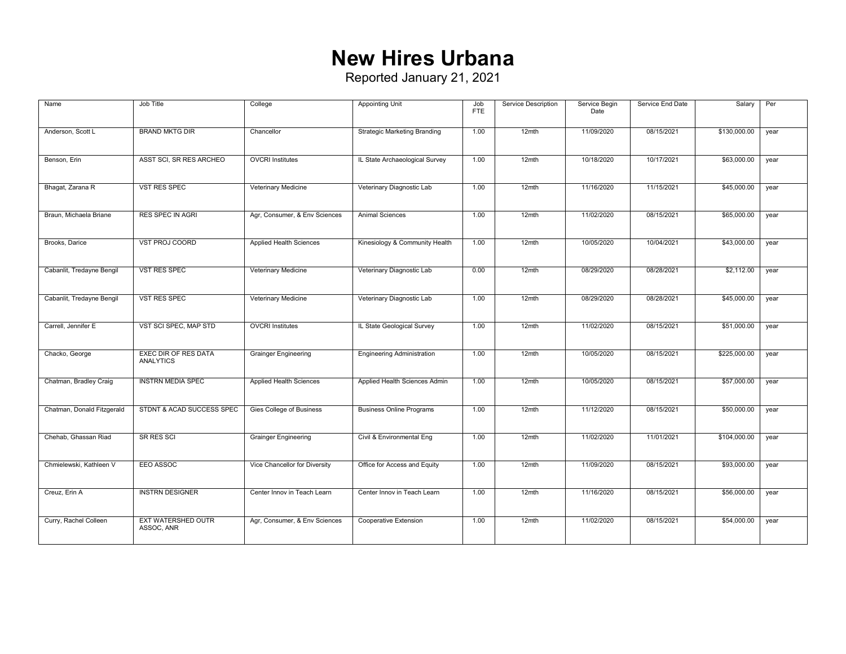#### **New Hires Urbana**

| Name                       | Job Title                                       | College                        | <b>Appointing Unit</b>              | Job<br><b>FTE</b> | Service Description | Service Begin<br>Date | Service End Date | Salary       | Per  |
|----------------------------|-------------------------------------------------|--------------------------------|-------------------------------------|-------------------|---------------------|-----------------------|------------------|--------------|------|
| Anderson, Scott L          | <b>BRAND MKTG DIR</b>                           | Chancellor                     | <b>Strategic Marketing Branding</b> | 1.00              | 12mth               | 11/09/2020            | 08/15/2021       | \$130,000.00 | year |
| Benson, Erin               | ASST SCI, SR RES ARCHEO                         | <b>OVCRI Institutes</b>        | IL State Archaeological Survey      | 1.00              | 12mth               | 10/18/2020            | 10/17/2021       | \$63,000.00  | year |
| Bhagat, Zarana R           | VST RES SPEC                                    | Veterinary Medicine            | Veterinary Diagnostic Lab           | 1.00              | 12mth               | 11/16/2020            | 11/15/2021       | \$45,000.00  | year |
| Braun, Michaela Briane     | <b>RES SPEC IN AGRI</b>                         | Agr, Consumer, & Env Sciences  | <b>Animal Sciences</b>              | 1.00              | 12mth               | 11/02/2020            | 08/15/2021       | \$65,000.00  | year |
| Brooks, Darice             | VST PROJ COORD                                  | Applied Health Sciences        | Kinesiology & Community Health      | 1.00              | 12mth               | 10/05/2020            | 10/04/2021       | \$43,000.00  | year |
| Cabanlit, Tredayne Bengil  | <b>VST RES SPEC</b>                             | Veterinary Medicine            | Veterinary Diagnostic Lab           | 0.00              | 12mth               | 08/29/2020            | 08/28/2021       | \$2,112.00   | year |
| Cabanlit, Tredayne Bengil  | <b>VST RES SPEC</b>                             | Veterinary Medicine            | Veterinary Diagnostic Lab           | 1.00              | 12mth               | 08/29/2020            | 08/28/2021       | \$45,000.00  | year |
| Carrell, Jennifer E        | VST SCI SPEC, MAP STD                           | <b>OVCRI Institutes</b>        | IL State Geological Survey          | 1.00              | 12mth               | 11/02/2020            | 08/15/2021       | \$51,000.00  | year |
| Chacko, George             | <b>EXEC DIR OF RES DATA</b><br><b>ANALYTICS</b> | <b>Grainger Engineering</b>    | <b>Engineering Administration</b>   | 1.00              | $12$ mth            | 10/05/2020            | 08/15/2021       | \$225,000.00 | year |
| Chatman, Bradley Craig     | <b>INSTRN MEDIA SPEC</b>                        | <b>Applied Health Sciences</b> | Applied Health Sciences Admin       | 1.00              | 12mth               | 10/05/2020            | 08/15/2021       | \$57,000.00  | year |
| Chatman, Donald Fitzgerald | STDNT & ACAD SUCCESS SPEC                       | Gies College of Business       | <b>Business Online Programs</b>     | 1.00              | $12$ mth            | 11/12/2020            | 08/15/2021       | \$50,000.00  | year |
| Chehab, Ghassan Riad       | <b>SR RES SCI</b>                               | <b>Grainger Engineering</b>    | Civil & Environmental Eng           | 1.00              | $12$ mth            | 11/02/2020            | 11/01/2021       | \$104,000.00 | year |
| Chmielewski, Kathleen V    | EEO ASSOC                                       | Vice Chancellor for Diversity  | Office for Access and Equity        | 1.00              | 12mth               | 11/09/2020            | 08/15/2021       | \$93,000.00  | year |
| Creuz, Erin A              | <b>INSTRN DESIGNER</b>                          | Center Innov in Teach Learn    | Center Innov in Teach Learn         | 1.00              | 12mth               | 11/16/2020            | 08/15/2021       | \$56,000.00  | year |
| Curry, Rachel Colleen      | <b>EXT WATERSHED OUTR</b><br>ASSOC, ANR         | Agr, Consumer, & Env Sciences  | Cooperative Extension               | 1.00              | $12$ mth            | 11/02/2020            | 08/15/2021       | \$54,000.00  | year |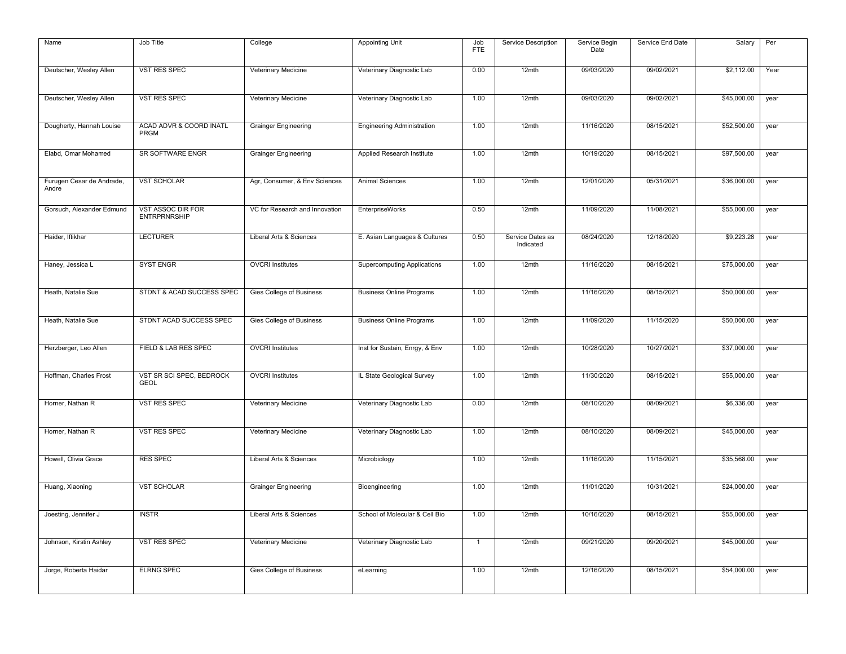| Name                               | Job Title                                | College                        | <b>Appointing Unit</b>             | Job            | Service Description           | Service Begin | Service End Date | Salary      | Per  |
|------------------------------------|------------------------------------------|--------------------------------|------------------------------------|----------------|-------------------------------|---------------|------------------|-------------|------|
|                                    |                                          |                                |                                    | <b>FTE</b>     |                               | Date          |                  |             |      |
| Deutscher, Wesley Allen            | VST RES SPEC                             | Veterinary Medicine            | Veterinary Diagnostic Lab          | 0.00           | 12mth                         | 09/03/2020    | 09/02/2021       | \$2,112.00  | Year |
| Deutscher, Wesley Allen            | <b>VST RES SPEC</b>                      | Veterinary Medicine            | Veterinary Diagnostic Lab          | 1.00           | 12mth                         | 09/03/2020    | 09/02/2021       | \$45,000.00 | year |
| Dougherty, Hannah Louise           | ACAD ADVR & COORD INATL<br>PRGM          | <b>Grainger Engineering</b>    | <b>Engineering Administration</b>  | 1.00           | 12mth                         | 11/16/2020    | 08/15/2021       | \$52,500.00 | year |
| Elabd, Omar Mohamed                | SR SOFTWARE ENGR                         | <b>Grainger Engineering</b>    | Applied Research Institute         | 1.00           | 12mth                         | 10/19/2020    | 08/15/2021       | \$97,500.00 | year |
| Furugen Cesar de Andrade,<br>Andre | <b>VST SCHOLAR</b>                       | Agr, Consumer, & Env Sciences  | Animal Sciences                    | 1.00           | 12mth                         | 12/01/2020    | 05/31/2021       | \$36,000.00 | year |
| Gorsuch, Alexander Edmund          | VST ASSOC DIR FOR<br><b>ENTRPRNRSHIP</b> | VC for Research and Innovation | <b>EnterpriseWorks</b>             | 0.50           | 12mth                         | 11/09/2020    | 11/08/2021       | \$55,000.00 | year |
| Haider, Iftikhar                   | <b>LECTURER</b>                          | Liberal Arts & Sciences        | E. Asian Languages & Cultures      | 0.50           | Service Dates as<br>Indicated | 08/24/2020    | 12/18/2020       | \$9,223.28  | year |
| Haney, Jessica L                   | <b>SYST ENGR</b>                         | <b>OVCRI</b> Institutes        | <b>Supercomputing Applications</b> | 1.00           | $12$ mth                      | 11/16/2020    | 08/15/2021       | \$75,000.00 | year |
| Heath, Natalie Sue                 | STDNT & ACAD SUCCESS SPEC                | Gies College of Business       | <b>Business Online Programs</b>    | 1.00           | 12mth                         | 11/16/2020    | 08/15/2021       | \$50,000.00 | year |
| Heath, Natalie Sue                 | STDNT ACAD SUCCESS SPEC                  | Gies College of Business       | <b>Business Online Programs</b>    | 1.00           | 12mth                         | 11/09/2020    | 11/15/2020       | \$50,000.00 | year |
| Herzberger, Leo Allen              | FIELD & LAB RES SPEC                     | <b>OVCRI</b> Institutes        | Inst for Sustain, Enrgy, & Env     | 1.00           | 12mth                         | 10/28/2020    | 10/27/2021       | \$37,000.00 | year |
| Hoffman, Charles Frost             | VST SR SCI SPEC, BEDROCK<br><b>GEOL</b>  | <b>OVCRI</b> Institutes        | IL State Geological Survey         | 1.00           | 12mth                         | 11/30/2020    | 08/15/2021       | \$55,000.00 | year |
| Horner, Nathan R                   | <b>VST RES SPEC</b>                      | Veterinary Medicine            | Veterinary Diagnostic Lab          | 0.00           | 12mth                         | 08/10/2020    | 08/09/2021       | \$6,336.00  | year |
| Horner, Nathan R                   | VST RES SPEC                             | Veterinary Medicine            | Veterinary Diagnostic Lab          | 1.00           | 12mth                         | 08/10/2020    | 08/09/2021       | \$45,000.00 | year |
| Howell, Olivia Grace               | <b>RES SPEC</b>                          | Liberal Arts & Sciences        | Microbiology                       | 1.00           | 12mth                         | 11/16/2020    | 11/15/2021       | \$35,568.00 | year |
| Huang, Xiaoning                    | <b>VST SCHOLAR</b>                       | <b>Grainger Engineering</b>    | Bioengineering                     | 1.00           | 12mth                         | 11/01/2020    | 10/31/2021       | \$24,000.00 | year |
| Joesting, Jennifer J               | <b>INSTR</b>                             | Liberal Arts & Sciences        | School of Molecular & Cell Bio     | 1.00           | 12mth                         | 10/16/2020    | 08/15/2021       | \$55,000.00 | year |
| Johnson, Kirstin Ashley            | VST RES SPEC                             | Veterinary Medicine            | Veterinary Diagnostic Lab          | $\overline{1}$ | 12mth                         | 09/21/2020    | 09/20/2021       | \$45,000.00 | year |
| Jorge, Roberta Haidar              | <b>ELRNG SPEC</b>                        | Gies College of Business       | eLearning                          | 1.00           | 12mth                         | 12/16/2020    | 08/15/2021       | \$54,000.00 | year |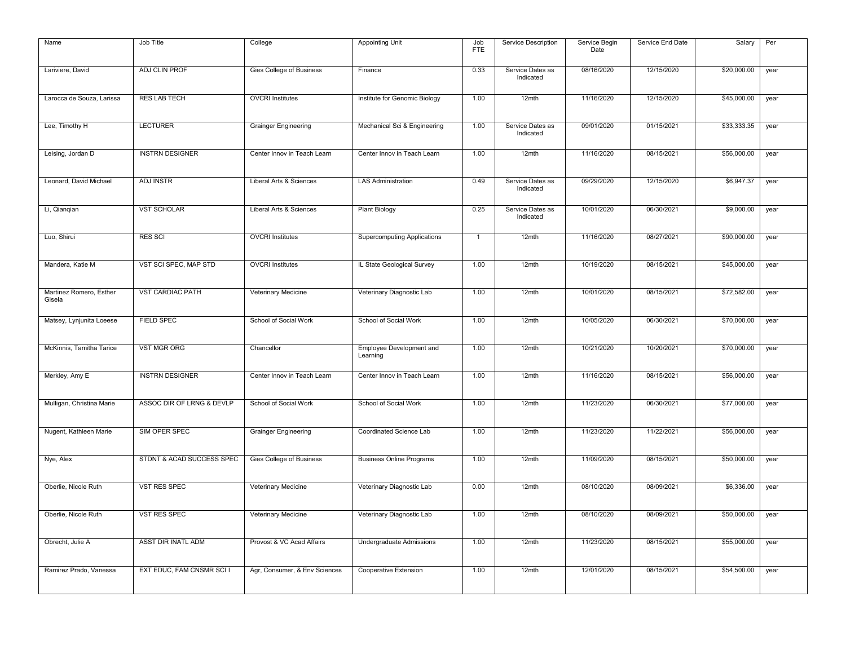| Name                              | Job Title                 | College                       | <b>Appointing Unit</b>               | Job<br><b>FTE</b> | Service Description           | Service Begin<br>Date | Service End Date | Salary      | Per  |
|-----------------------------------|---------------------------|-------------------------------|--------------------------------------|-------------------|-------------------------------|-----------------------|------------------|-------------|------|
| Lariviere, David                  | ADJ CLIN PROF             | Gies College of Business      | Finance                              | 0.33              | Service Dates as<br>Indicated | 08/16/2020            | 12/15/2020       | \$20,000.00 | year |
| Larocca de Souza, Larissa         | <b>RES LAB TECH</b>       | <b>OVCRI</b> Institutes       | Institute for Genomic Biology        | 1.00              | 12mth                         | 11/16/2020            | 12/15/2020       | \$45,000.00 | year |
| Lee, Timothy H                    | <b>LECTURER</b>           | <b>Grainger Engineering</b>   | Mechanical Sci & Engineering         | 1.00              | Service Dates as<br>Indicated | 09/01/2020            | 01/15/2021       | \$33,333.35 | year |
| Leising, Jordan D                 | <b>INSTRN DESIGNER</b>    | Center Innov in Teach Learn   | Center Innov in Teach Learn          | 1.00              | 12mth                         | 11/16/2020            | 08/15/2021       | \$56,000.00 | year |
| Leonard, David Michael            | ADJ INSTR                 | Liberal Arts & Sciences       | <b>LAS Administration</b>            | 0.49              | Service Dates as<br>Indicated | 09/29/2020            | 12/15/2020       | \$6,947.37  | year |
| Li, Qianqian                      | <b>VST SCHOLAR</b>        | Liberal Arts & Sciences       | <b>Plant Biology</b>                 | 0.25              | Service Dates as<br>Indicated | 10/01/2020            | 06/30/2021       | \$9,000.00  | year |
| Luo, Shirui                       | <b>RES SCI</b>            | <b>OVCRI</b> Institutes       | <b>Supercomputing Applications</b>   | $\mathbf{1}$      | 12mth                         | 11/16/2020            | 08/27/2021       | \$90,000.00 | year |
| Mandera, Katie M                  | VST SCI SPEC, MAP STD     | <b>OVCRI</b> Institutes       | IL State Geological Survey           | 1.00              | 12mth                         | 10/19/2020            | 08/15/2021       | \$45,000.00 | year |
| Martinez Romero, Esther<br>Gisela | <b>VST CARDIAC PATH</b>   | Veterinary Medicine           | Veterinary Diagnostic Lab            | 1.00              | 12mth                         | 10/01/2020            | 08/15/2021       | \$72,582.00 | year |
| Matsey, Lynjunita Loeese          | <b>FIELD SPEC</b>         | School of Social Work         | School of Social Work                | 1.00              | $12$ mth                      | 10/05/2020            | 06/30/2021       | \$70,000.00 | year |
| McKinnis, Tamitha Tarice          | <b>VST MGR ORG</b>        | Chancellor                    | Employee Development and<br>Learning | 1.00              | 12mth                         | 10/21/2020            | 10/20/2021       | \$70,000.00 | year |
| Merkley, Amy E                    | <b>INSTRN DESIGNER</b>    | Center Innov in Teach Learn   | Center Innov in Teach Learn          | 1.00              | $12$ mth                      | 11/16/2020            | 08/15/2021       | \$56,000.00 | year |
| Mulligan, Christina Marie         | ASSOC DIR OF LRNG & DEVLP | School of Social Work         | School of Social Work                | 1.00              | 12mth                         | 11/23/2020            | 06/30/2021       | \$77,000.00 | year |
| Nugent, Kathleen Marie            | SIM OPER SPEC             | <b>Grainger Engineering</b>   | Coordinated Science Lab              | 1.00              | 12mth                         | 11/23/2020            | 11/22/2021       | \$56,000.00 | year |
| Nye, Alex                         | STDNT & ACAD SUCCESS SPEC | Gies College of Business      | <b>Business Online Programs</b>      | 1.00              | 12mth                         | 11/09/2020            | 08/15/2021       | \$50,000.00 | year |
| Oberlie, Nicole Ruth              | VST RES SPEC              | Veterinary Medicine           | Veterinary Diagnostic Lab            | 0.00              | 12mth                         | 08/10/2020            | 08/09/2021       | \$6,336.00  | year |
| Oberlie, Nicole Ruth              | VST RES SPEC              | Veterinary Medicine           | Veterinary Diagnostic Lab            | 1.00              | 12mth                         | 08/10/2020            | 08/09/2021       | \$50,000.00 | year |
| Obrecht, Julie A                  | ASST DIR INATL ADM        | Provost & VC Acad Affairs     | Undergraduate Admissions             | 1.00              | 12mth                         | 11/23/2020            | 08/15/2021       | \$55,000.00 | year |
| Ramirez Prado, Vanessa            | EXT EDUC, FAM CNSMR SCI I | Agr, Consumer, & Env Sciences | Cooperative Extension                | 1.00              | 12mth                         | 12/01/2020            | 08/15/2021       | \$54,500.00 | year |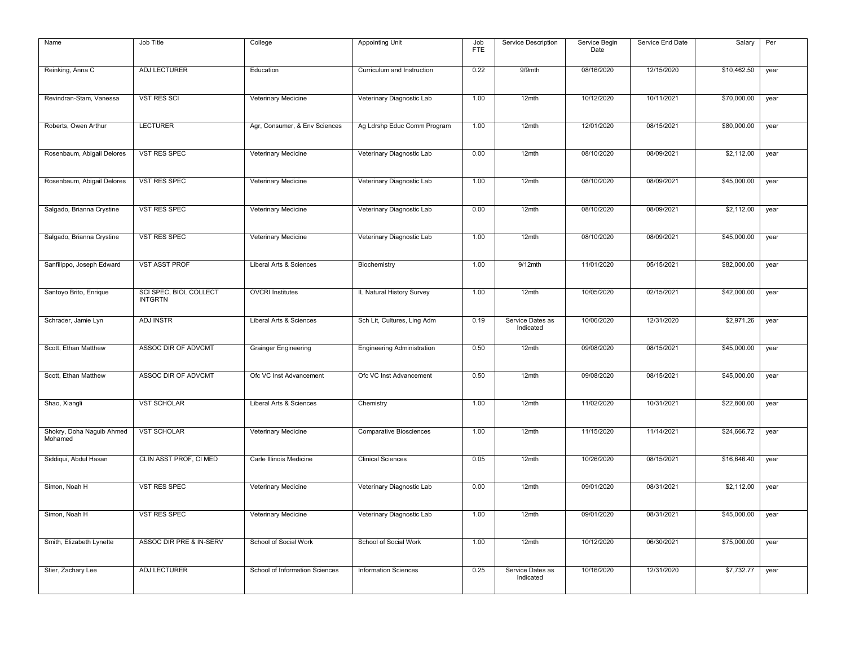| Name                                 | Job Title                                | College                        | <b>Appointing Unit</b>            | Job<br><b>FTE</b> | Service Description           | Service Begin<br>Date | Service End Date | Salary      | Per  |
|--------------------------------------|------------------------------------------|--------------------------------|-----------------------------------|-------------------|-------------------------------|-----------------------|------------------|-------------|------|
|                                      |                                          |                                |                                   |                   |                               |                       |                  |             |      |
| Reinking, Anna C                     | <b>ADJ LECTURER</b>                      | Education                      | Curriculum and Instruction        | 0.22              | 9/9mth                        | 08/16/2020            | 12/15/2020       | \$10,462.50 | year |
| Revindran-Stam, Vanessa              | <b>VST RES SCI</b>                       | Veterinary Medicine            | Veterinary Diagnostic Lab         | 1.00              | 12mth                         | 10/12/2020            | 10/11/2021       | \$70,000.00 | year |
| Roberts, Owen Arthur                 | <b>LECTURER</b>                          | Agr, Consumer, & Env Sciences  | Ag Ldrshp Educ Comm Program       | 1.00              | 12mth                         | 12/01/2020            | 08/15/2021       | \$80,000.00 | year |
| Rosenbaum, Abigail Delores           | <b>VST RES SPEC</b>                      | Veterinary Medicine            | Veterinary Diagnostic Lab         | 0.00              | 12mth                         | 08/10/2020            | 08/09/2021       | \$2,112.00  | year |
| Rosenbaum, Abigail Delores           | <b>VST RES SPEC</b>                      | Veterinary Medicine            | Veterinary Diagnostic Lab         | 1.00              | 12mth                         | 08/10/2020            | 08/09/2021       | \$45,000.00 | year |
|                                      |                                          |                                |                                   |                   |                               |                       |                  |             |      |
| Salgado, Brianna Crystine            | VST RES SPEC                             | Veterinary Medicine            | Veterinary Diagnostic Lab         | 0.00              | 12mth                         | 08/10/2020            | 08/09/2021       | \$2,112.00  | year |
| Salgado, Brianna Crystine            | <b>VST RES SPEC</b>                      | Veterinary Medicine            | Veterinary Diagnostic Lab         | 1.00              | 12mth                         | 08/10/2020            | 08/09/2021       | \$45,000.00 | year |
| Sanfilippo, Joseph Edward            | <b>VST ASST PROF</b>                     | Liberal Arts & Sciences        | Biochemistry                      | 1.00              | 9/12mth                       | 11/01/2020            | 05/15/2021       | \$82,000.00 | year |
| Santoyo Brito, Enrique               | SCI SPEC, BIOL COLLECT<br><b>INTGRTN</b> | <b>OVCRI</b> Institutes        | IL Natural History Survey         | 1.00              | $12$ mth                      | 10/05/2020            | 02/15/2021       | \$42,000.00 | year |
| Schrader, Jamie Lyn                  | <b>ADJ INSTR</b>                         | Liberal Arts & Sciences        | Sch Lit, Cultures, Ling Adm       | 0.19              | Service Dates as<br>Indicated | 10/06/2020            | 12/31/2020       | \$2,971.26  | year |
| Scott, Ethan Matthew                 | ASSOC DIR OF ADVCMT                      | <b>Grainger Engineering</b>    | <b>Engineering Administration</b> | 0.50              | 12mth                         | 09/08/2020            | 08/15/2021       | \$45,000.00 | year |
| Scott, Ethan Matthew                 | ASSOC DIR OF ADVCMT                      | Ofc VC Inst Advancement        | Ofc VC Inst Advancement           | 0.50              | 12mth                         | 09/08/2020            | 08/15/2021       | \$45,000.00 | year |
| Shao, Xiangli                        | <b>VST SCHOLAR</b>                       | Liberal Arts & Sciences        | Chemistry                         | 1.00              | 12mth                         | 11/02/2020            | 10/31/2021       | \$22,800.00 | year |
| Shokry, Doha Naguib Ahmed<br>Mohamed | <b>VST SCHOLAR</b>                       | Veterinary Medicine            | <b>Comparative Biosciences</b>    | 1.00              | 12mth                         | 11/15/2020            | 11/14/2021       | \$24,666.72 | year |
| Siddiqui, Abdul Hasan                | CLIN ASST PROF, CI MED                   | Carle Illinois Medicine        | <b>Clinical Sciences</b>          | 0.05              | 12mth                         | 10/26/2020            | 08/15/2021       | \$16,646.40 | year |
| Simon, Noah H                        | <b>VST RES SPEC</b>                      | Veterinary Medicine            | Veterinary Diagnostic Lab         | 0.00              | 12mth                         | 09/01/2020            | 08/31/2021       | \$2,112.00  | year |
| Simon, Noah H                        | VST RES SPEC                             | Veterinary Medicine            | Veterinary Diagnostic Lab         | 1.00              | 12mth                         | 09/01/2020            | 08/31/2021       | \$45,000.00 | year |
|                                      |                                          |                                |                                   |                   |                               |                       |                  |             |      |
| Smith, Elizabeth Lynette             | ASSOC DIR PRE & IN-SERV                  | School of Social Work          | School of Social Work             | 1.00              | 12mth                         | 10/12/2020            | 06/30/2021       | \$75,000.00 | year |
| Stier, Zachary Lee                   | <b>ADJ LECTURER</b>                      | School of Information Sciences | <b>Information Sciences</b>       | 0.25              | Service Dates as<br>Indicated | 10/16/2020            | 12/31/2020       | \$7,732.77  | year |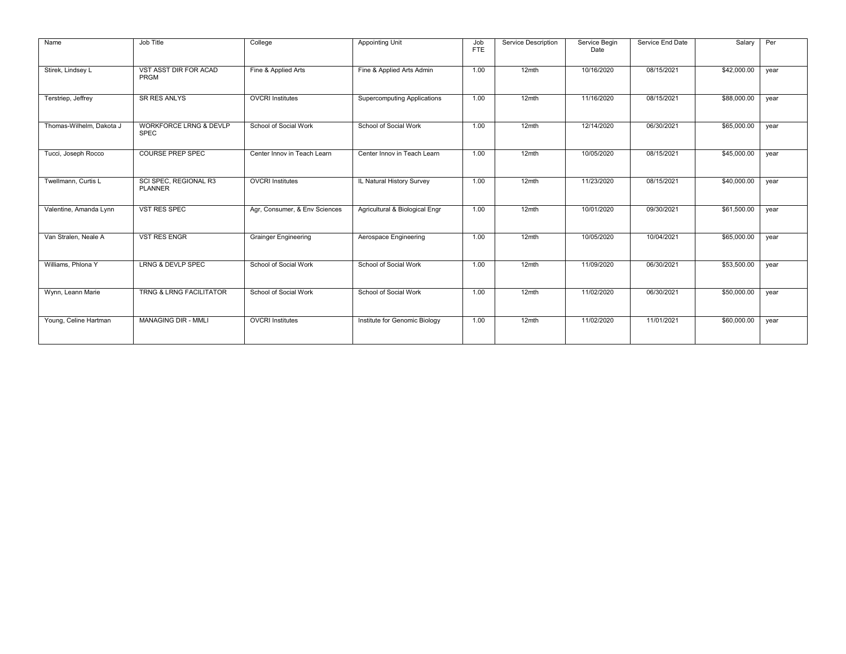| Name                     | Job Title                                        | College                       | <b>Appointing Unit</b>             | Job<br><b>FTE</b> | Service Description | Service Begin<br>Date | Service End Date | Salary      | Per  |
|--------------------------|--------------------------------------------------|-------------------------------|------------------------------------|-------------------|---------------------|-----------------------|------------------|-------------|------|
| Stirek, Lindsey L        | VST ASST DIR FOR ACAD<br>PRGM                    | Fine & Applied Arts           | Fine & Applied Arts Admin          | 1.00              | $12$ mth            | 10/16/2020            | 08/15/2021       | \$42,000.00 | year |
| Terstriep, Jeffrey       | <b>SR RES ANLYS</b>                              | <b>OVCRI</b> Institutes       | <b>Supercomputing Applications</b> | 1.00              | 12mth               | 11/16/2020            | 08/15/2021       | \$88,000.00 | year |
| Thomas-Wilhelm, Dakota J | <b>WORKFORCE LRNG &amp; DEVLP</b><br><b>SPEC</b> | School of Social Work         | School of Social Work              | 1.00              | $12$ mth            | 12/14/2020            | 06/30/2021       | \$65,000.00 | year |
| Tucci, Joseph Rocco      | <b>COURSE PREP SPEC</b>                          | Center Innov in Teach Learn   | Center Innov in Teach Learn        | 1.00              | $12$ mth            | 10/05/2020            | 08/15/2021       | \$45,000.00 | year |
| Twellmann, Curtis L      | SCI SPEC. REGIONAL R3<br><b>PLANNER</b>          | <b>OVCRI</b> Institutes       | IL Natural History Survey          | 1.00              | 12mth               | 11/23/2020            | 08/15/2021       | \$40,000.00 | year |
| Valentine, Amanda Lynn   | <b>VST RES SPEC</b>                              | Agr, Consumer, & Env Sciences | Agricultural & Biological Engr     | 1.00              | $12$ mth            | 10/01/2020            | 09/30/2021       | \$61,500.00 | year |
| Van Stralen, Neale A     | <b>VST RES ENGR</b>                              | <b>Grainger Engineering</b>   | Aerospace Engineering              | 1.00              | $12$ mth            | 10/05/2020            | 10/04/2021       | \$65,000.00 | year |
| Williams, Phlona Y       | <b>LRNG &amp; DEVLP SPEC</b>                     | School of Social Work         | School of Social Work              | 1.00              | $12$ mth            | 11/09/2020            | 06/30/2021       | \$53,500.00 | year |
| Wynn, Leann Marie        | <b>TRNG &amp; LRNG FACILITATOR</b>               | School of Social Work         | School of Social Work              | 1.00              | $12$ mth            | 11/02/2020            | 06/30/2021       | \$50,000.00 | year |
| Young, Celine Hartman    | <b>MANAGING DIR - MMLI</b>                       | <b>OVCRI</b> Institutes       | Institute for Genomic Biology      | 1.00              | $12$ mth            | 11/02/2020            | 11/01/2021       | \$60,000.00 | year |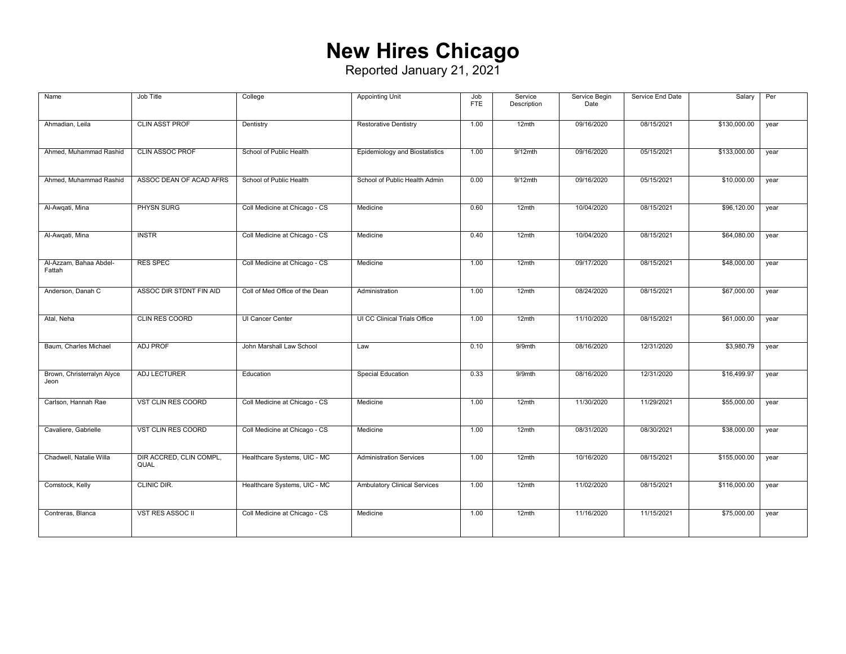## **New Hires Chicago**

| Name                               | Job Title                       | College                        | <b>Appointing Unit</b>              | Job<br>FTE. | Service<br>Description | Service Begin<br>Date | Service End Date | Salary       | Per  |
|------------------------------------|---------------------------------|--------------------------------|-------------------------------------|-------------|------------------------|-----------------------|------------------|--------------|------|
| Ahmadian, Leila                    | <b>CLIN ASST PROF</b>           | Dentistry                      | <b>Restorative Dentistry</b>        | 1.00        | $12$ mth               | 09/16/2020            | 08/15/2021       | \$130,000.00 | year |
| Ahmed, Muhammad Rashid             | <b>CLIN ASSOC PROF</b>          | School of Public Health        | Epidemiology and Biostatistics      | 1.00        | $9/12$ mth             | 09/16/2020            | 05/15/2021       | \$133,000.00 | year |
| Ahmed, Muhammad Rashid             | ASSOC DEAN OF ACAD AFRS         | School of Public Health        | School of Public Health Admin       | 0.00        | $9/12$ mth             | 09/16/2020            | 05/15/2021       | \$10,000.00  | year |
| Al-Awgati, Mina                    | <b>PHYSN SURG</b>               | Coll Medicine at Chicago - CS  | Medicine                            | 0.60        | $12$ mth               | 10/04/2020            | 08/15/2021       | \$96,120.00  | year |
| Al-Awqati, Mina                    | <b>INSTR</b>                    | Coll Medicine at Chicago - CS  | Medicine                            | 0.40        | 12mth                  | 10/04/2020            | 08/15/2021       | \$64,080.00  | year |
| Al-Azzam, Bahaa Abdel-<br>Fattah   | <b>RES SPEC</b>                 | Coll Medicine at Chicago - CS  | Medicine                            | 1.00        | 12mth                  | 09/17/2020            | 08/15/2021       | \$48,000.00  | year |
| Anderson, Danah C                  | ASSOC DIR STDNT FIN AID         | Coll of Med Office of the Dean | Administration                      | 1.00        | $12$ mth               | 08/24/2020            | 08/15/2021       | \$67,000.00  | year |
| Atal, Neha                         | <b>CLIN RES COORD</b>           | UI Cancer Center               | UI CC Clinical Trials Office        | 1.00        | 12mth                  | 11/10/2020            | 08/15/2021       | \$61,000.00  | year |
| Baum, Charles Michael              | <b>ADJ PROF</b>                 | John Marshall Law School       | Law                                 | 0.10        | 9/9mth                 | 08/16/2020            | 12/31/2020       | \$3,980.79   | year |
| Brown, Christerralyn Alyce<br>Jeon | ADJ LECTURER                    | Education                      | <b>Special Education</b>            | 0.33        | 9/9mth                 | 08/16/2020            | 12/31/2020       | \$16,499.97  | year |
| Carlson, Hannah Rae                | VST CLIN RES COORD              | Coll Medicine at Chicago - CS  | Medicine                            | 1.00        | 12mth                  | 11/30/2020            | 11/29/2021       | \$55,000.00  | year |
| Cavaliere, Gabrielle               | VST CLIN RES COORD              | Coll Medicine at Chicago - CS  | Medicine                            | 1.00        | 12mth                  | 08/31/2020            | 08/30/2021       | \$38,000.00  | year |
| Chadwell, Natalie Willa            | DIR ACCRED, CLIN COMPL,<br>QUAL | Healthcare Systems, UIC - MC   | <b>Administration Services</b>      | 1.00        | 12mth                  | 10/16/2020            | 08/15/2021       | \$155,000.00 | year |
| Comstock, Kelly                    | CLINIC DIR.                     | Healthcare Systems, UIC - MC   | <b>Ambulatory Clinical Services</b> | 1.00        | 12mth                  | 11/02/2020            | 08/15/2021       | \$116,000.00 | year |
| Contreras, Blanca                  | <b>VST RES ASSOC II</b>         | Coll Medicine at Chicago - CS  | Medicine                            | 1.00        | 12mth                  | 11/16/2020            | 11/15/2021       | \$75,000.00  | year |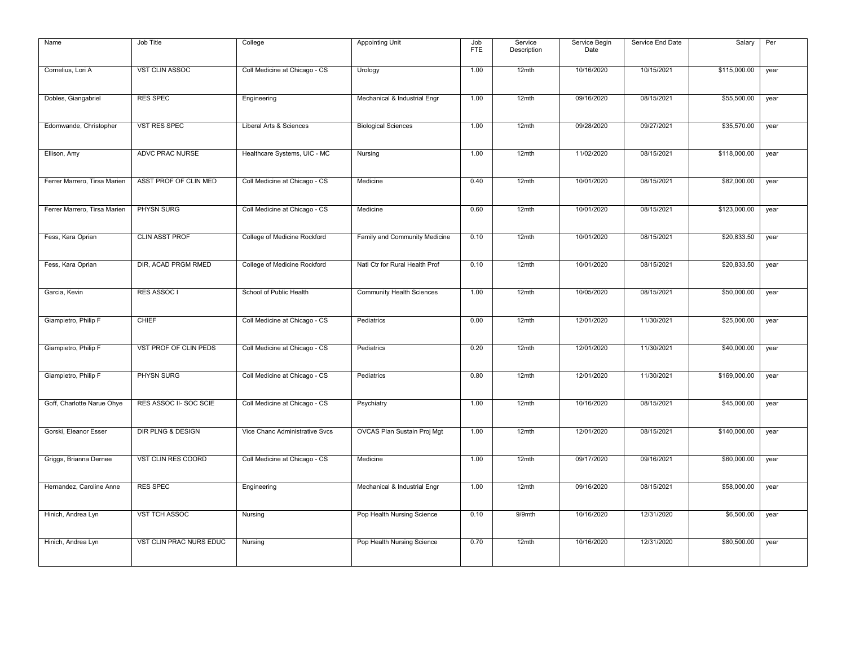| Name                         | Job Title                    | College                        | <b>Appointing Unit</b>         | Job<br><b>FTE</b> | Service<br>Description | Service Begin<br>Date | Service End Date | Salary       | Per  |
|------------------------------|------------------------------|--------------------------------|--------------------------------|-------------------|------------------------|-----------------------|------------------|--------------|------|
| Cornelius, Lori A            | VST CLIN ASSOC               | Coll Medicine at Chicago - CS  | Urology                        | 1.00              | 12mth                  | 10/16/2020            | 10/15/2021       | \$115,000.00 | year |
| Dobles, Giangabriel          | <b>RES SPEC</b>              | Engineering                    | Mechanical & Industrial Engr   | 1.00              | 12mth                  | 09/16/2020            | 08/15/2021       | \$55,500.00  | year |
| Edomwande, Christopher       | <b>VST RES SPEC</b>          | Liberal Arts & Sciences        | <b>Biological Sciences</b>     | 1.00              | 12mth                  | 09/28/2020            | 09/27/2021       | \$35,570.00  | year |
| Ellison, Amy                 | <b>ADVC PRAC NURSE</b>       | Healthcare Systems, UIC - MC   | Nursing                        | 1.00              | 12mth                  | 11/02/2020            | 08/15/2021       | \$118,000.00 | year |
| Ferrer Marrero, Tirsa Marien | ASST PROF OF CLIN MED        | Coll Medicine at Chicago - CS  | Medicine                       | 0.40              | 12mth                  | 10/01/2020            | 08/15/2021       | \$82,000.00  | year |
| Ferrer Marrero, Tirsa Marien | PHYSN SURG                   | Coll Medicine at Chicago - CS  | Medicine                       | 0.60              | 12mth                  | 10/01/2020            | 08/15/2021       | \$123,000.00 | year |
| Fess, Kara Oprian            | <b>CLIN ASST PROF</b>        | College of Medicine Rockford   | Family and Community Medicine  | 0.10              | 12mth                  | 10/01/2020            | 08/15/2021       | \$20,833.50  | year |
| Fess, Kara Oprian            | DIR, ACAD PRGM RMED          | College of Medicine Rockford   | Natl Ctr for Rural Health Prof | 0.10              | 12mth                  | 10/01/2020            | 08/15/2021       | \$20,833.50  | year |
| Garcia, Kevin                | RES ASSOC I                  | School of Public Health        | Community Health Sciences      | 1.00              | 12mth                  | 10/05/2020            | 08/15/2021       | \$50,000.00  | year |
| Giampietro, Philip F         | <b>CHIEF</b>                 | Coll Medicine at Chicago - CS  | Pediatrics                     | 0.00              | 12mth                  | 12/01/2020            | 11/30/2021       | \$25,000.00  | year |
| Giampietro, Philip F         | VST PROF OF CLIN PEDS        | Coll Medicine at Chicago - CS  | Pediatrics                     | 0.20              | 12mth                  | 12/01/2020            | 11/30/2021       | \$40,000.00  | year |
| Giampietro, Philip F         | PHYSN SURG                   | Coll Medicine at Chicago - CS  | Pediatrics                     | 0.80              | 12mth                  | 12/01/2020            | 11/30/2021       | \$169,000.00 | year |
| Goff, Charlotte Narue Ohye   | RES ASSOC II- SOC SCIE       | Coll Medicine at Chicago - CS  | Psychiatry                     | 1.00              | 12mth                  | 10/16/2020            | 08/15/2021       | \$45,000.00  | year |
| Gorski, Eleanor Esser        | <b>DIR PLNG &amp; DESIGN</b> | Vice Chanc Administrative Svcs | OVCAS Plan Sustain Proj Mgt    | 1.00              | 12mth                  | 12/01/2020            | 08/15/2021       | \$140,000.00 | year |
| Griggs, Brianna Dernee       | VST CLIN RES COORD           | Coll Medicine at Chicago - CS  | Medicine                       | 1.00              | 12mth                  | 09/17/2020            | 09/16/2021       | \$60,000.00  | year |
| Hernandez, Caroline Anne     | <b>RES SPEC</b>              | Engineering                    | Mechanical & Industrial Engr   | 1.00              | 12mth                  | 09/16/2020            | 08/15/2021       | \$58,000.00  | year |
| Hinich, Andrea Lyn           | <b>VST TCH ASSOC</b>         | Nursing                        | Pop Health Nursing Science     | 0.10              | $9/9$ mth              | 10/16/2020            | 12/31/2020       | \$6,500.00   | year |
| Hinich, Andrea Lyn           | VST CLIN PRAC NURS EDUC      | Nursing                        | Pop Health Nursing Science     | 0.70              | 12mth                  | 10/16/2020            | 12/31/2020       | \$80,500.00  | year |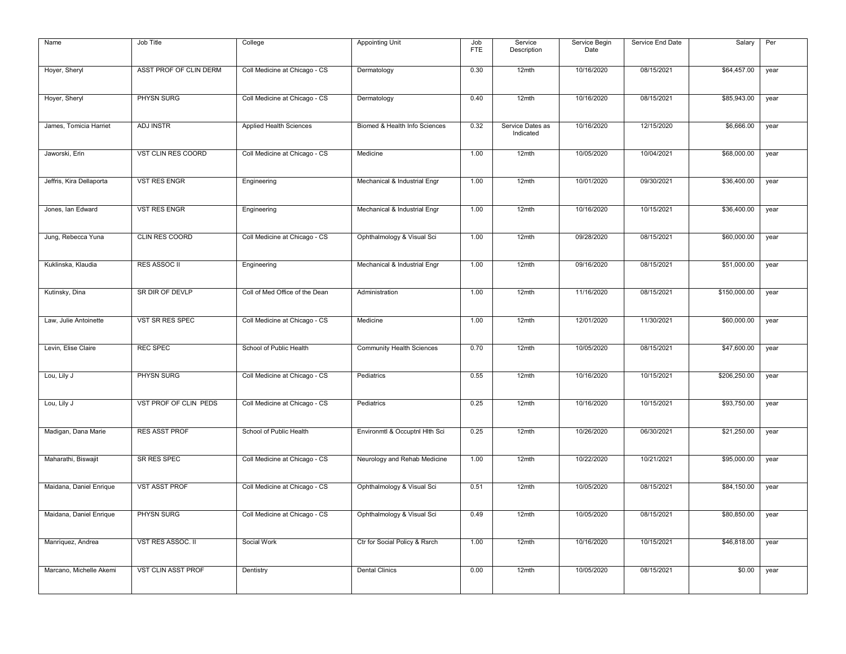| Name                     | Job Title                 | College                        | <b>Appointing Unit</b>           | Job<br><b>FTE</b> | Service<br>Description        | Service Begin<br>Date | Service End Date | Salary       | Per  |
|--------------------------|---------------------------|--------------------------------|----------------------------------|-------------------|-------------------------------|-----------------------|------------------|--------------|------|
| Hoyer, Sheryl            | ASST PROF OF CLIN DERM    | Coll Medicine at Chicago - CS  | Dermatology                      | 0.30              | 12mth                         | 10/16/2020            | 08/15/2021       | \$64,457.00  | year |
| Hoyer, Sheryl            | PHYSN SURG                | Coll Medicine at Chicago - CS  | Dermatology                      | 0.40              | $12$ mth                      | 10/16/2020            | 08/15/2021       | \$85,943.00  | year |
| James, Tomicia Harriet   | <b>ADJ INSTR</b>          | Applied Health Sciences        | Biomed & Health Info Sciences    | 0.32              | Service Dates as<br>Indicated | 10/16/2020            | 12/15/2020       | \$6,666.00   | year |
| Jaworski, Erin           | VST CLIN RES COORD        | Coll Medicine at Chicago - CS  | Medicine                         | 1.00              | 12mth                         | 10/05/2020            | 10/04/2021       | \$68,000.00  | year |
| Jeffris, Kira Dellaporta | <b>VST RES ENGR</b>       | Engineering                    | Mechanical & Industrial Engr     | 1.00              | 12mth                         | 10/01/2020            | 09/30/2021       | \$36,400.00  | year |
| Jones, Ian Edward        | <b>VST RES ENGR</b>       | Engineering                    | Mechanical & Industrial Engr     | 1.00              | 12mth                         | 10/16/2020            | 10/15/2021       | \$36,400.00  | year |
| Jung, Rebecca Yuna       | CLIN RES COORD            | Coll Medicine at Chicago - CS  | Ophthalmology & Visual Sci       | 1.00              | 12mth                         | 09/28/2020            | 08/15/2021       | \$60,000.00  | year |
| Kuklinska, Klaudia       | <b>RES ASSOC II</b>       | Engineering                    | Mechanical & Industrial Engr     | 1.00              | 12mth                         | 09/16/2020            | 08/15/2021       | \$51,000.00  | year |
| Kutinsky, Dina           | SR DIR OF DEVLP           | Coll of Med Office of the Dean | Administration                   | 1.00              | 12mth                         | 11/16/2020            | 08/15/2021       | \$150,000.00 | year |
| Law, Julie Antoinette    | VST SR RES SPEC           | Coll Medicine at Chicago - CS  | Medicine                         | 1.00              | 12mth                         | 12/01/2020            | 11/30/2021       | \$60,000.00  | year |
| Levin, Elise Claire      | <b>REC SPEC</b>           | School of Public Health        | <b>Community Health Sciences</b> | 0.70              | $12$ mth                      | 10/05/2020            | 08/15/2021       | \$47,600.00  | year |
| Lou, Lily J              | PHYSN SURG                | Coll Medicine at Chicago - CS  | Pediatrics                       | 0.55              | 12mth                         | 10/16/2020            | 10/15/2021       | \$206,250.00 | year |
| Lou, Lily J              | VST PROF OF CLIN PEDS     | Coll Medicine at Chicago - CS  | Pediatrics                       | 0.25              | 12mth                         | 10/16/2020            | 10/15/2021       | \$93,750.00  | year |
| Madigan, Dana Marie      | <b>RES ASST PROF</b>      | School of Public Health        | Environmtl & Occuptnl Hlth Sci   | 0.25              | 12mth                         | 10/26/2020            | 06/30/2021       | \$21,250.00  | year |
| Maharathi, Biswajit      | SR RES SPEC               | Coll Medicine at Chicago - CS  | Neurology and Rehab Medicine     | 1.00              | 12mth                         | 10/22/2020            | 10/21/2021       | \$95,000.00  | year |
| Maidana, Daniel Enrique  | <b>VST ASST PROF</b>      | Coll Medicine at Chicago - CS  | Ophthalmology & Visual Sci       | 0.51              | 12mth                         | 10/05/2020            | 08/15/2021       | \$84,150.00  | year |
| Maidana, Daniel Enrique  | PHYSN SURG                | Coll Medicine at Chicago - CS  | Ophthalmology & Visual Sci       | 0.49              | $12$ mth                      | 10/05/2020            | 08/15/2021       | \$80,850.00  | year |
| Manriquez, Andrea        | VST RES ASSOC. II         | Social Work                    | Ctr for Social Policy & Rsrch    | 1.00              | 12mth                         | 10/16/2020            | 10/15/2021       | \$46,818.00  | year |
| Marcano, Michelle Akemi  | <b>VST CLIN ASST PROF</b> | Dentistry                      | <b>Dental Clinics</b>            | 0.00              | 12mth                         | 10/05/2020            | 08/15/2021       | \$0.00       | year |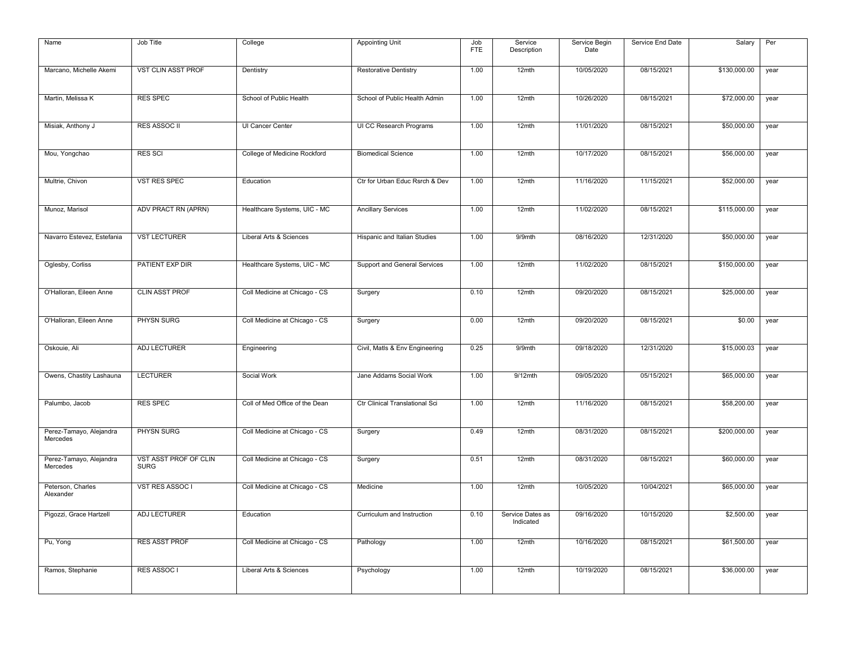| Name                                | Job Title                            | College                        | <b>Appointing Unit</b>         | Job<br><b>FTE</b> | Service<br>Description        | Service Begin<br>Date | Service End Date | Salary       | Per  |
|-------------------------------------|--------------------------------------|--------------------------------|--------------------------------|-------------------|-------------------------------|-----------------------|------------------|--------------|------|
| Marcano, Michelle Akemi             | <b>VST CLIN ASST PROF</b>            | Dentistry                      | <b>Restorative Dentistry</b>   | 1.00              | 12mth                         | 10/05/2020            | 08/15/2021       | \$130,000.00 | year |
| Martin, Melissa K                   | <b>RES SPEC</b>                      | School of Public Health        | School of Public Health Admin  | 1.00              | 12mth                         | 10/26/2020            | 08/15/2021       | \$72,000.00  | year |
| Misiak, Anthony J                   | <b>RES ASSOC II</b>                  | UI Cancer Center               | UI CC Research Programs        | 1.00              | 12mth                         | 11/01/2020            | 08/15/2021       | \$50,000.00  | year |
| Mou, Yongchao                       | <b>RES SCI</b>                       | College of Medicine Rockford   | <b>Biomedical Science</b>      | 1.00              | 12mth                         | 10/17/2020            | 08/15/2021       | \$56,000.00  | year |
| Multrie, Chivon                     | VST RES SPEC                         | Education                      | Ctr for Urban Educ Rsrch & Dev | 1.00              | 12mth                         | 11/16/2020            | 11/15/2021       | \$52,000.00  | year |
| Munoz, Marisol                      | ADV PRACT RN (APRN)                  | Healthcare Systems, UIC - MC   | <b>Ancillary Services</b>      | 1.00              | 12mth                         | 11/02/2020            | 08/15/2021       | \$115,000.00 | year |
| Navarro Estevez, Estefania          | <b>VST LECTURER</b>                  | Liberal Arts & Sciences        | Hispanic and Italian Studies   | 1.00              | 9/9mth                        | 08/16/2020            | 12/31/2020       | \$50,000.00  | year |
| Oglesby, Corliss                    | PATIENT EXP DIR                      | Healthcare Systems, UIC - MC   | Support and General Services   | 1.00              | 12mth                         | 11/02/2020            | 08/15/2021       | \$150,000.00 | year |
| O'Halloran, Eileen Anne             | <b>CLIN ASST PROF</b>                | Coll Medicine at Chicago - CS  | Surgery                        | 0.10              | 12mth                         | 09/20/2020            | 08/15/2021       | \$25,000.00  | year |
| O'Halloran, Eileen Anne             | PHYSN SURG                           | Coll Medicine at Chicago - CS  | Surgery                        | 0.00              | 12mth                         | 09/20/2020            | 08/15/2021       | \$0.00       | year |
| Oskouie, Ali                        | ADJ LECTURER                         | Engineering                    | Civil, Matls & Env Engineering | 0.25              | 9/9mth                        | 09/18/2020            | 12/31/2020       | \$15,000.03  | year |
| Owens, Chastity Lashauna            | <b>LECTURER</b>                      | Social Work                    | Jane Addams Social Work        | 1.00              | $9/12$ mth                    | 09/05/2020            | 05/15/2021       | \$65,000.00  | year |
| Palumbo, Jacob                      | <b>RES SPEC</b>                      | Coll of Med Office of the Dean | Ctr Clinical Translational Sci | 1.00              | 12mth                         | 11/16/2020            | 08/15/2021       | \$58,200.00  | year |
| Perez-Tamayo, Alejandra<br>Mercedes | PHYSN SURG                           | Coll Medicine at Chicago - CS  | Surgery                        | 0.49              | 12mth                         | 08/31/2020            | 08/15/2021       | \$200,000.00 | year |
| Perez-Tamayo, Alejandra<br>Mercedes | VST ASST PROF OF CLIN<br><b>SURG</b> | Coll Medicine at Chicago - CS  | Surgery                        | 0.51              | 12mth                         | 08/31/2020            | 08/15/2021       | \$60,000.00  | year |
| Peterson, Charles<br>Alexander      | VST RES ASSOC I                      | Coll Medicine at Chicago - CS  | Medicine                       | 1.00              | $12$ mth                      | 10/05/2020            | 10/04/2021       | \$65,000.00  | year |
| Pigozzi, Grace Hartzell             | <b>ADJ LECTURER</b>                  | Education                      | Curriculum and Instruction     | 0.10              | Service Dates as<br>Indicated | 09/16/2020            | 10/15/2020       | \$2,500.00   | year |
| Pu, Yong                            | <b>RES ASST PROF</b>                 | Coll Medicine at Chicago - CS  | Pathology                      | 1.00              | 12mth                         | 10/16/2020            | 08/15/2021       | \$61,500.00  | year |
| Ramos, Stephanie                    | RES ASSOC I                          | Liberal Arts & Sciences        | Psychology                     | 1.00              | 12mth                         | 10/19/2020            | 08/15/2021       | \$36,000.00  | year |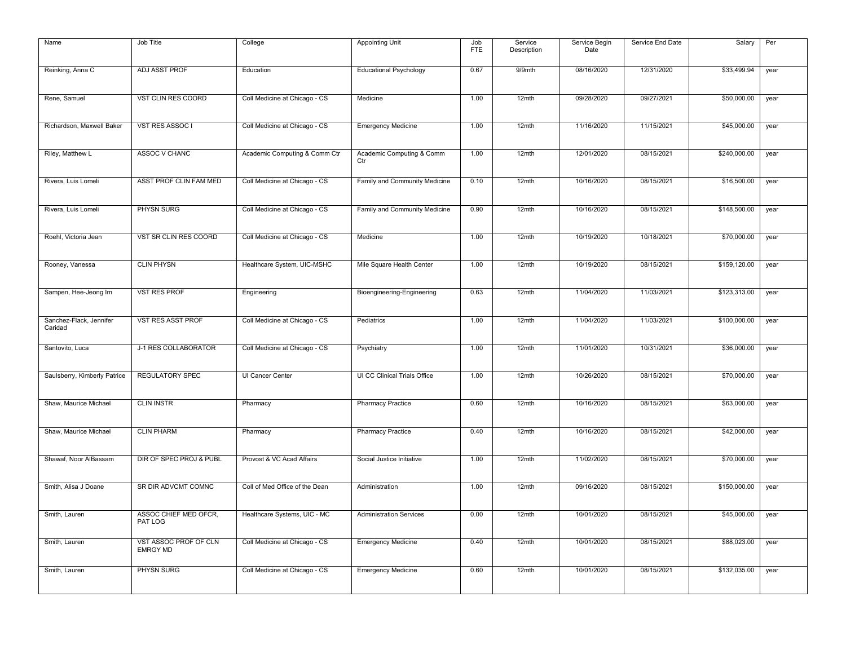| Name                               | Job Title                                | College                        | <b>Appointing Unit</b>           | Job<br><b>FTE</b> | Service<br>Description | Service Begin<br>Date | Service End Date | Salary       | Per  |
|------------------------------------|------------------------------------------|--------------------------------|----------------------------------|-------------------|------------------------|-----------------------|------------------|--------------|------|
| Reinking, Anna C                   | ADJ ASST PROF                            | Education                      | <b>Educational Psychology</b>    | 0.67              | 9/9mth                 | 08/16/2020            | 12/31/2020       | \$33,499.94  | year |
| Rene, Samuel                       | VST CLIN RES COORD                       | Coll Medicine at Chicago - CS  | Medicine                         | 1.00              | 12mth                  | 09/28/2020            | 09/27/2021       | \$50,000.00  | year |
| Richardson, Maxwell Baker          | VST RES ASSOC I                          | Coll Medicine at Chicago - CS  | <b>Emergency Medicine</b>        | 1.00              | 12mth                  | 11/16/2020            | 11/15/2021       | \$45,000.00  | year |
| Riley, Matthew L                   | ASSOC V CHANC                            | Academic Computing & Comm Ctr  | Academic Computing & Comm<br>Ctr | 1.00              | 12mth                  | 12/01/2020            | 08/15/2021       | \$240,000.00 | year |
| Rivera, Luis Lomeli                | ASST PROF CLIN FAM MED                   | Coll Medicine at Chicago - CS  | Family and Community Medicine    | 0.10              | 12mth                  | 10/16/2020            | 08/15/2021       | \$16,500.00  | year |
| Rivera, Luis Lomeli                | PHYSN SURG                               | Coll Medicine at Chicago - CS  | Family and Community Medicine    | 0.90              | 12mth                  | 10/16/2020            | 08/15/2021       | \$148,500.00 | year |
| Roehl, Victoria Jean               | VST SR CLIN RES COORD                    | Coll Medicine at Chicago - CS  | Medicine                         | 1.00              | 12mth                  | 10/19/2020            | 10/18/2021       | \$70,000.00  | year |
| Rooney, Vanessa                    | <b>CLIN PHYSN</b>                        | Healthcare System, UIC-MSHC    | Mile Square Health Center        | 1.00              | 12mth                  | 10/19/2020            | 08/15/2021       | \$159,120.00 | year |
| Sampen, Hee-Jeong Im               | <b>VST RES PROF</b>                      | Engineering                    | Bioengineering-Engineering       | 0.63              | 12mth                  | 11/04/2020            | 11/03/2021       | \$123,313.00 | year |
| Sanchez-Flack, Jennifer<br>Caridad | <b>VST RES ASST PROF</b>                 | Coll Medicine at Chicago - CS  | Pediatrics                       | 1.00              | 12mth                  | 11/04/2020            | 11/03/2021       | \$100,000.00 | year |
| Santovito, Luca                    | J-1 RES COLLABORATOR                     | Coll Medicine at Chicago - CS  | Psychiatry                       | 1.00              | 12mth                  | 11/01/2020            | 10/31/2021       | \$36,000.00  | year |
| Saulsberry, Kimberly Patrice       | <b>REGULATORY SPEC</b>                   | UI Cancer Center               | UI CC Clinical Trials Office     | 1.00              | 12mth                  | 10/26/2020            | 08/15/2021       | \$70,000.00  | year |
| Shaw, Maurice Michael              | <b>CLIN INSTR</b>                        | Pharmacy                       | <b>Pharmacy Practice</b>         | 0.60              | 12mth                  | 10/16/2020            | 08/15/2021       | \$63,000.00  | year |
| Shaw, Maurice Michael              | <b>CLIN PHARM</b>                        | Pharmacy                       | <b>Pharmacy Practice</b>         | 0.40              | 12mth                  | 10/16/2020            | 08/15/2021       | \$42,000.00  | year |
| Shawaf, Noor AlBassam              | DIR OF SPEC PROJ & PUBL                  | Provost & VC Acad Affairs      | Social Justice Initiative        | 1.00              | 12mth                  | 11/02/2020            | 08/15/2021       | \$70,000.00  | year |
| Smith, Alisa J Doane               | SR DIR ADVCMT COMNC                      | Coll of Med Office of the Dean | Administration                   | 1.00              | 12mth                  | 09/16/2020            | 08/15/2021       | \$150,000.00 | year |
| Smith, Lauren                      | ASSOC CHIEF MED OFCR.<br>PAT LOG         | Healthcare Systems, UIC - MC   | <b>Administration Services</b>   | 0.00              | 12mth                  | 10/01/2020            | 08/15/2021       | \$45,000.00  | year |
| Smith, Lauren                      | VST ASSOC PROF OF CLN<br><b>EMRGY MD</b> | Coll Medicine at Chicago - CS  | <b>Emergency Medicine</b>        | 0.40              | 12mth                  | 10/01/2020            | 08/15/2021       | \$88,023.00  | year |
| Smith, Lauren                      | PHYSN SURG                               | Coll Medicine at Chicago - CS  | <b>Emergency Medicine</b>        | 0.60              | 12mth                  | 10/01/2020            | 08/15/2021       | \$132,035.00 | year |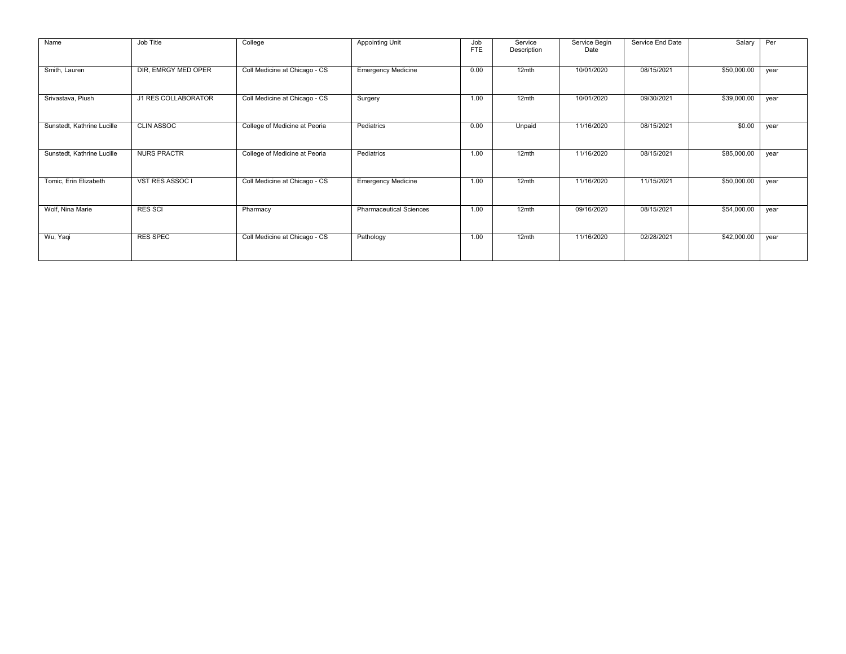| Name                       | Job Title           | College                       | Appointing Unit                | Job<br><b>FTE</b> | Service<br>Description | Service Begin<br>Date | Service End Date | Salary      | Per  |
|----------------------------|---------------------|-------------------------------|--------------------------------|-------------------|------------------------|-----------------------|------------------|-------------|------|
| Smith, Lauren              | DIR, EMRGY MED OPER | Coll Medicine at Chicago - CS | <b>Emergency Medicine</b>      | 0.00              | 12mth                  | 10/01/2020            | 08/15/2021       | \$50,000.00 | year |
| Srivastava, Piush          | J1 RES COLLABORATOR | Coll Medicine at Chicago - CS | Surgery                        | 1.00              | 12mth                  | 10/01/2020            | 09/30/2021       | \$39,000.00 | year |
| Sunstedt, Kathrine Lucille | <b>CLIN ASSOC</b>   | College of Medicine at Peoria | Pediatrics                     | 0.00              | Unpaid                 | 11/16/2020            | 08/15/2021       | \$0.00      | year |
| Sunstedt, Kathrine Lucille | <b>NURS PRACTR</b>  | College of Medicine at Peoria | Pediatrics                     | 1.00              | 12mth                  | 11/16/2020            | 08/15/2021       | \$85,000.00 | year |
| Tomic, Erin Elizabeth      | VST RES ASSOC I     | Coll Medicine at Chicago - CS | <b>Emergency Medicine</b>      | 1.00              | 12mth                  | 11/16/2020            | 11/15/2021       | \$50,000.00 | year |
| Wolf, Nina Marie           | <b>RES SCI</b>      | Pharmacy                      | <b>Pharmaceutical Sciences</b> | 1.00              | $12$ mth               | 09/16/2020            | 08/15/2021       | \$54,000.00 | year |
| Wu, Yaqi                   | <b>RES SPEC</b>     | Coll Medicine at Chicago - CS | Pathology                      | 1.00              | 12mth                  | 11/16/2020            | 02/28/2021       | \$42,000.00 | year |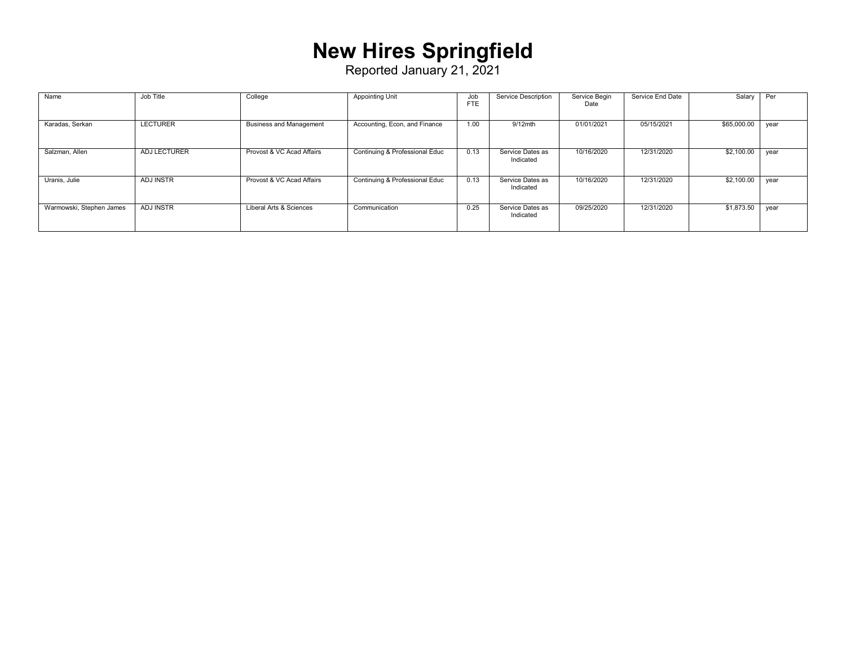### **New Hires Springfield**

| Name                     | Job Title        | College                        | <b>Appointing Unit</b>         | Job<br><b>FTE</b> | Service Description           | Service Begin<br>Date | Service End Date | Salary      | Per  |
|--------------------------|------------------|--------------------------------|--------------------------------|-------------------|-------------------------------|-----------------------|------------------|-------------|------|
| Karadas, Serkan          | <b>LECTURER</b>  | <b>Business and Management</b> | Accounting, Econ, and Finance  | 1.00              | $9/12$ mth                    | 01/01/2021            | 05/15/2021       | \$65,000.00 | year |
| Salzman, Allen           | ADJ LECTURER     | Provost & VC Acad Affairs      | Continuing & Professional Educ | 0.13              | Service Dates as<br>Indicated | 10/16/2020            | 12/31/2020       | \$2,100.00  | year |
| Uranis, Julie            | <b>ADJ INSTR</b> | Provost & VC Acad Affairs      | Continuing & Professional Educ | 0.13              | Service Dates as<br>Indicated | 10/16/2020            | 12/31/2020       | \$2,100.00  | vear |
| Warmowski, Stephen James | <b>ADJ INSTR</b> | Liberal Arts & Sciences        | Communication                  | 0.25              | Service Dates as<br>Indicated | 09/25/2020            | 12/31/2020       | \$1,873.50  | vear |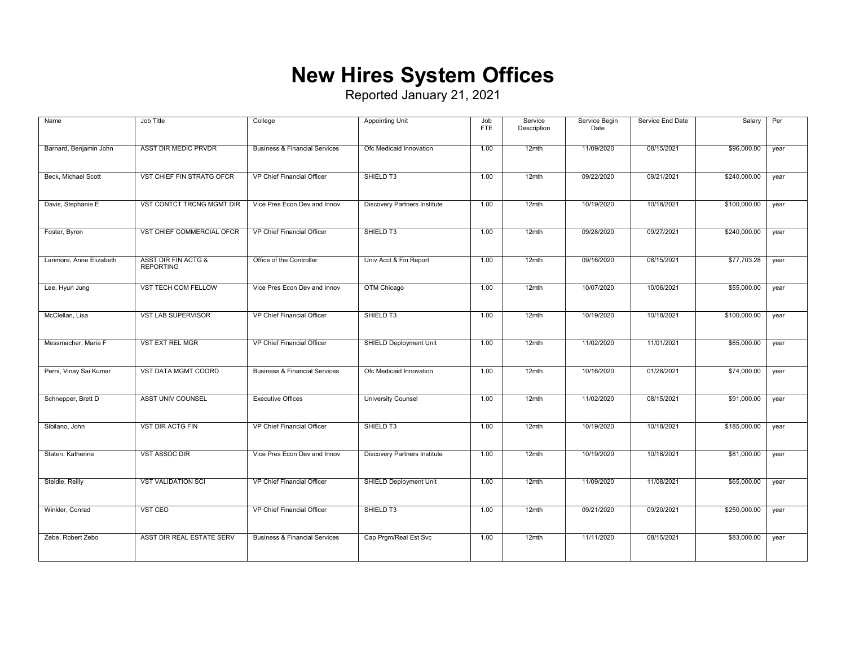### **New Hires System Offices**

| Name                     | Job Title                                          | College                                  | <b>Appointing Unit</b>              | Job<br><b>FTE</b> | Service<br>Description | Service Begin<br>Date | Service End Date | Salary       | Per  |
|--------------------------|----------------------------------------------------|------------------------------------------|-------------------------------------|-------------------|------------------------|-----------------------|------------------|--------------|------|
| Barnard, Benjamin John   | ASST DIR MEDIC PRVDR                               | <b>Business &amp; Financial Services</b> | Ofc Medicaid Innovation             | 1.00              | 12mth                  | 11/09/2020            | 08/15/2021       | \$96,000.00  | year |
| Beck, Michael Scott      | VST CHIEF FIN STRATG OFCR                          | VP Chief Financial Officer               | SHIELD T3                           | 1.00              | 12mth                  | 09/22/2020            | 09/21/2021       | \$240,000.00 | year |
| Davis, Stephanie E       | VST CONTCT TRCNG MGMT DIR                          | Vice Pres Econ Dev and Innov             | <b>Discovery Partners Institute</b> | 1.00              | 12mth                  | 10/19/2020            | 10/18/2021       | \$100,000.00 | year |
| Foster, Byron            | VST CHIEF COMMERCIAL OFCR                          | VP Chief Financial Officer               | SHIELD T3                           | 1.00              | 12mth                  | 09/28/2020            | 09/27/2021       | \$240,000.00 | year |
| Larimore, Anne Elizabeth | <b>ASST DIR FIN ACTG &amp;</b><br><b>REPORTING</b> | Office of the Controller                 | Univ Acct & Fin Report              | 1.00              | 12mth                  | 09/16/2020            | 08/15/2021       | \$77,703.28  | year |
| Lee, Hyun Jung           | VST TECH COM FELLOW                                | Vice Pres Econ Dev and Innov             | OTM Chicago                         | 1.00              | 12mth                  | 10/07/2020            | 10/06/2021       | \$55,000.00  | year |
| McClellan, Lisa          | <b>VST LAB SUPERVISOR</b>                          | VP Chief Financial Officer               | SHIELD T3                           | 1.00              | 12mth                  | 10/19/2020            | 10/18/2021       | \$100,000.00 | year |
| Messmacher, Maria F      | VST EXT REL MGR                                    | VP Chief Financial Officer               | <b>SHIELD Deployment Unit</b>       | 1.00              | 12mth                  | 11/02/2020            | 11/01/2021       | \$65,000.00  | year |
| Perni, Vinay Sai Kumar   | VST DATA MGMT COORD                                | <b>Business &amp; Financial Services</b> | Ofc Medicaid Innovation             | 1.00              | 12mth                  | 10/16/2020            | 01/28/2021       | \$74,000.00  | year |
| Schnepper, Brett D       | <b>ASST UNIV COUNSEL</b>                           | <b>Executive Offices</b>                 | <b>University Counsel</b>           | 1.00              | 12mth                  | 11/02/2020            | 08/15/2021       | \$91,000.00  | year |
| Sibilano, John           | <b>VST DIR ACTG FIN</b>                            | VP Chief Financial Officer               | SHIELD T3                           | 1.00              | 12mth                  | 10/19/2020            | 10/18/2021       | \$185,000.00 | year |
| Staten, Katherine        | <b>VST ASSOC DIR</b>                               | Vice Pres Econ Dev and Innov             | <b>Discovery Partners Institute</b> | 1.00              | 12mth                  | 10/19/2020            | 10/18/2021       | \$81,000.00  | year |
| Steidle, Reilly          | <b>VST VALIDATION SCI</b>                          | VP Chief Financial Officer               | <b>SHIELD Deployment Unit</b>       | 1.00              | 12mth                  | 11/09/2020            | 11/08/2021       | \$65,000.00  | year |
| Winkler, Conrad          | VST CEO                                            | VP Chief Financial Officer               | SHIELD T3                           | 1.00              | 12mth                  | 09/21/2020            | 09/20/2021       | \$250,000.00 | year |
| Zebe, Robert Zebo        | ASST DIR REAL ESTATE SERV                          | <b>Business &amp; Financial Services</b> | Cap Prgm/Real Est Svc               | 1.00              | 12mth                  | 11/11/2020            | 08/15/2021       | \$83,000.00  | year |
|                          |                                                    |                                          |                                     |                   |                        |                       |                  |              |      |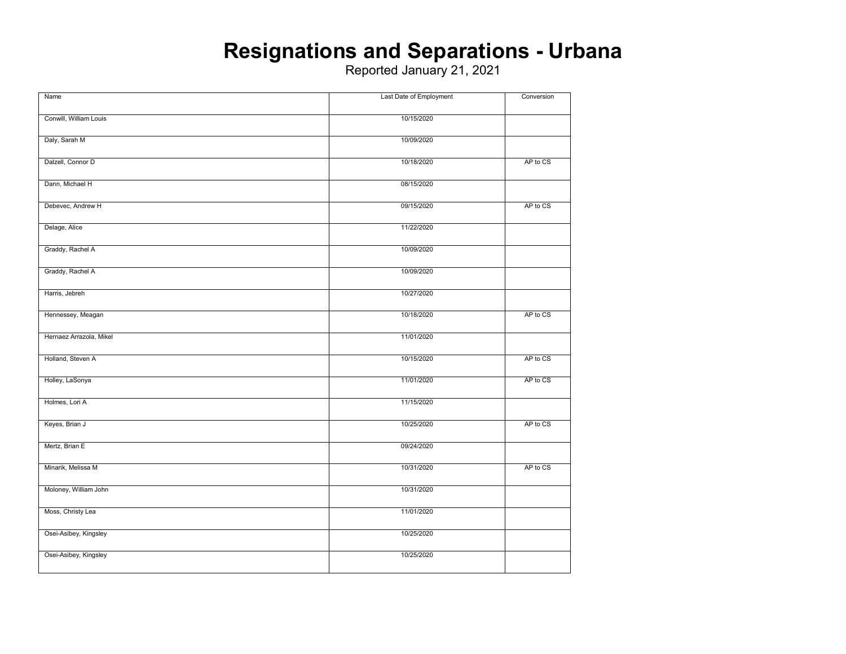#### **Resignations and Separations - Urbana**

| Name                    | Last Date of Employment | Conversion |
|-------------------------|-------------------------|------------|
|                         |                         |            |
| Conwill, William Louis  | 10/15/2020              |            |
| Daly, Sarah M           | 10/09/2020              |            |
|                         |                         |            |
| Dalzell, Connor D       | 10/18/2020              | AP to CS   |
| Dann, Michael H         | 08/15/2020              |            |
| Debevec, Andrew H       | 09/15/2020              | AP to CS   |
| Delage, Alice           | 11/22/2020              |            |
| Graddy, Rachel A        | 10/09/2020              |            |
|                         |                         |            |
| Graddy, Rachel A        | 10/09/2020              |            |
| Harris, Jebreh          | 10/27/2020              |            |
| Hennessey, Meagan       | 10/18/2020              | AP to CS   |
| Hernaez Arrazola, Mikel | 11/01/2020              |            |
| Holland, Steven A       | 10/15/2020              | AP to CS   |
| Holley, LaSonya         | 11/01/2020              | AP to CS   |
|                         |                         |            |
| Holmes, Lori A          | 11/15/2020              |            |
| Keyes, Brian J          | 10/25/2020              | AP to CS   |
| Mertz, Brian E          | 09/24/2020              |            |
| Minarik, Melissa M      | 10/31/2020              | AP to CS   |
| Moloney, William John   | 10/31/2020              |            |
| Moss, Christy Lea       | 11/01/2020              |            |
| Osei-Asibey, Kingsley   | 10/25/2020              |            |
| Osei-Asibey, Kingsley   | 10/25/2020              |            |
|                         |                         |            |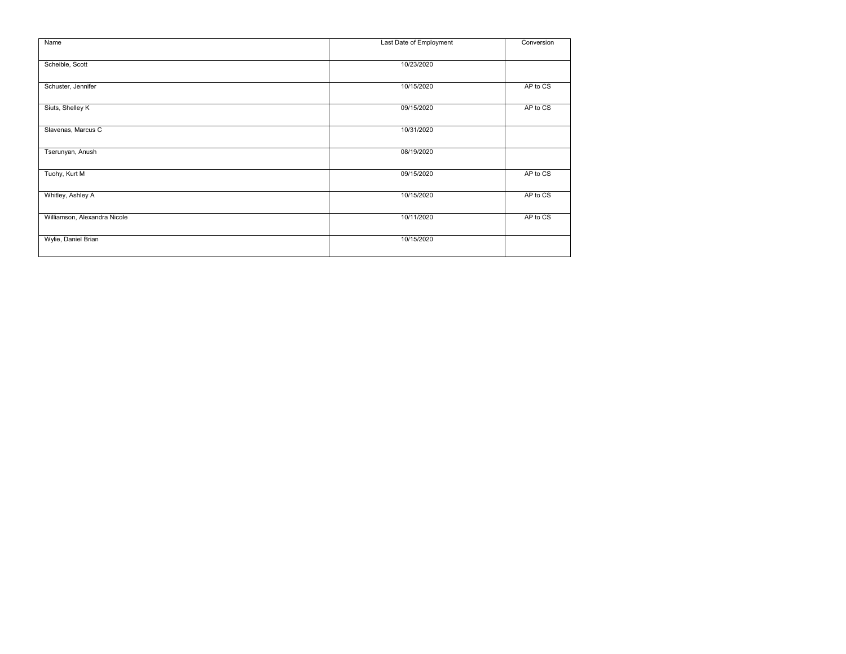| Name                         | Last Date of Employment | Conversion |
|------------------------------|-------------------------|------------|
| Scheible, Scott              | 10/23/2020              |            |
| Schuster, Jennifer           | 10/15/2020              | AP to CS   |
| Siuts, Shelley K             | 09/15/2020              | AP to CS   |
| Slavenas, Marcus C           | 10/31/2020              |            |
| Tserunyan, Anush             | 08/19/2020              |            |
| Tuohy, Kurt M                | 09/15/2020              | AP to CS   |
| Whitley, Ashley A            | 10/15/2020              | AP to CS   |
| Williamson, Alexandra Nicole | 10/11/2020              | AP to CS   |
| Wylie, Daniel Brian          | 10/15/2020              |            |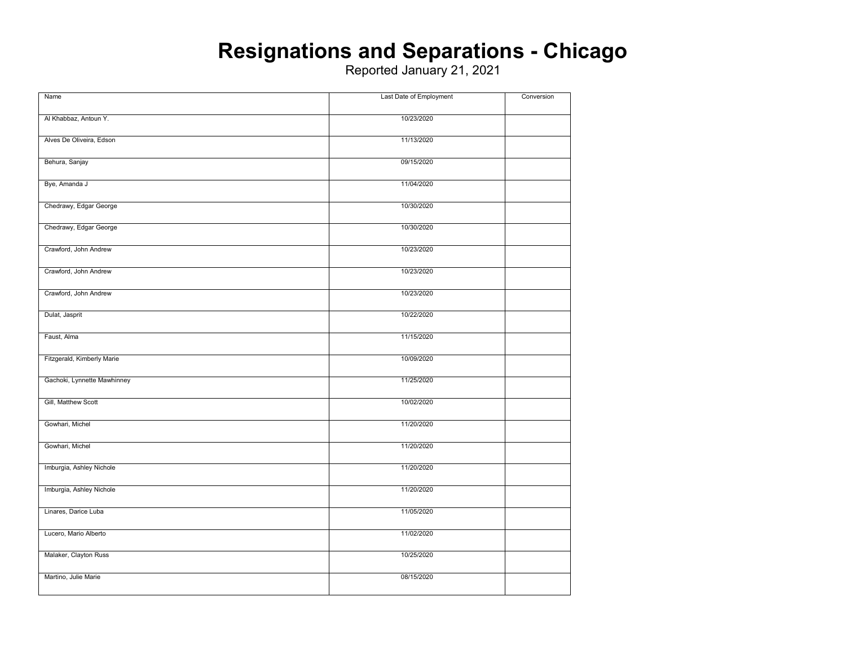#### **Resignations and Separations - Chicago**

| Name                        | Last Date of Employment | Conversion |
|-----------------------------|-------------------------|------------|
|                             |                         |            |
| Al Khabbaz, Antoun Y.       | 10/23/2020              |            |
| Alves De Oliveira, Edson    | 11/13/2020              |            |
|                             |                         |            |
| Behura, Sanjay              | 09/15/2020              |            |
|                             |                         |            |
| Bye, Amanda J               | 11/04/2020              |            |
|                             |                         |            |
| Chedrawy, Edgar George      | 10/30/2020              |            |
| Chedrawy, Edgar George      | 10/30/2020              |            |
|                             |                         |            |
| Crawford, John Andrew       | 10/23/2020              |            |
|                             |                         |            |
| Crawford, John Andrew       | 10/23/2020              |            |
|                             |                         |            |
| Crawford, John Andrew       | 10/23/2020              |            |
| Dulat, Jasprit              | 10/22/2020              |            |
|                             |                         |            |
| Faust, Alma                 | 11/15/2020              |            |
|                             |                         |            |
| Fitzgerald, Kimberly Marie  | 10/09/2020              |            |
| Gachoki, Lynnette Mawhinney | 11/25/2020              |            |
|                             |                         |            |
| Gill, Matthew Scott         | 10/02/2020              |            |
|                             |                         |            |
| Gowhari, Michel             | 11/20/2020              |            |
|                             |                         |            |
| Gowhari, Michel             | 11/20/2020              |            |
| Imburgia, Ashley Nichole    | 11/20/2020              |            |
|                             |                         |            |
| Imburgia, Ashley Nichole    | 11/20/2020              |            |
|                             |                         |            |
| Linares, Darice Luba        | 11/05/2020              |            |
|                             |                         |            |
| Lucero, Mario Alberto       | 11/02/2020              |            |
| Malaker, Clayton Russ       | 10/25/2020              |            |
|                             |                         |            |
| Martino, Julie Marie        | 08/15/2020              |            |
|                             |                         |            |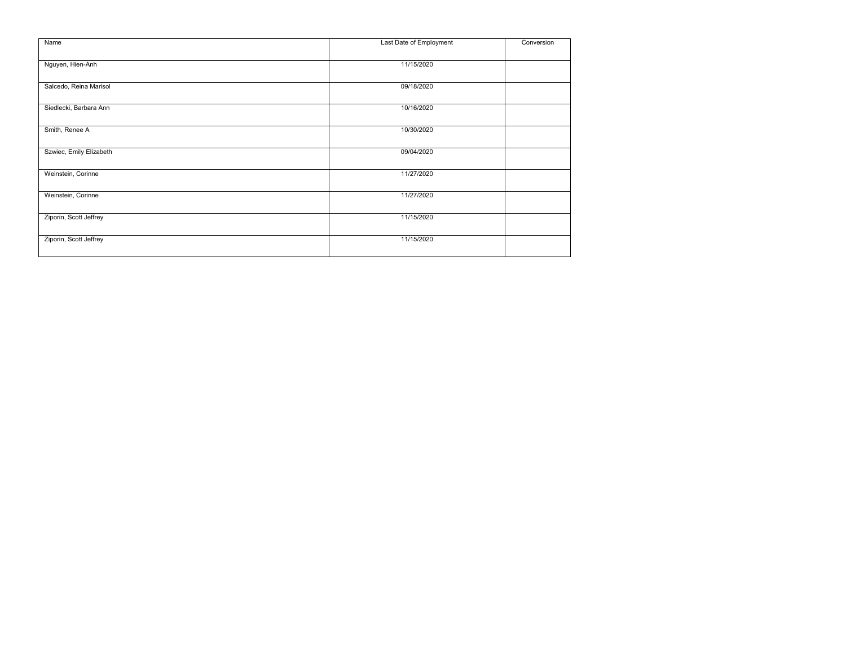| Name                    | Last Date of Employment | Conversion |
|-------------------------|-------------------------|------------|
| Nguyen, Hien-Anh        | 11/15/2020              |            |
| Salcedo, Reina Marisol  | 09/18/2020              |            |
| Siedlecki, Barbara Ann  | 10/16/2020              |            |
| Smith, Renee A          | 10/30/2020              |            |
| Szwiec, Emily Elizabeth | 09/04/2020              |            |
| Weinstein, Corinne      | 11/27/2020              |            |
| Weinstein, Corinne      | 11/27/2020              |            |
| Ziporin, Scott Jeffrey  | 11/15/2020              |            |
| Ziporin, Scott Jeffrey  | 11/15/2020              |            |
|                         |                         |            |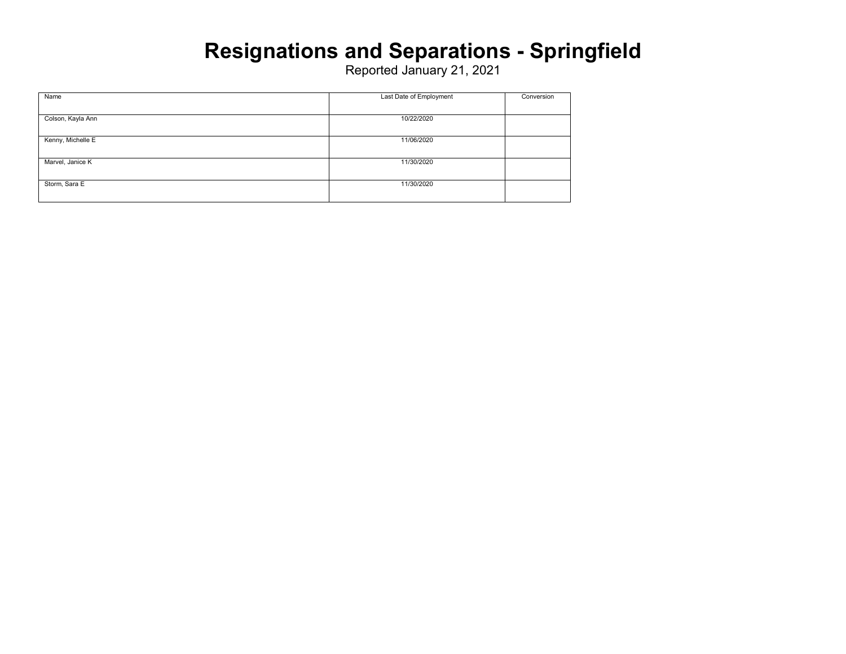### **Resignations and Separations - Springfield**

| Name              | Last Date of Employment | Conversion |
|-------------------|-------------------------|------------|
|                   |                         |            |
| Colson, Kayla Ann | 10/22/2020              |            |
|                   |                         |            |
| Kenny, Michelle E | 11/06/2020              |            |
|                   |                         |            |
| Marvel, Janice K  | 11/30/2020              |            |
|                   |                         |            |
| Storm, Sara E     | 11/30/2020              |            |
|                   |                         |            |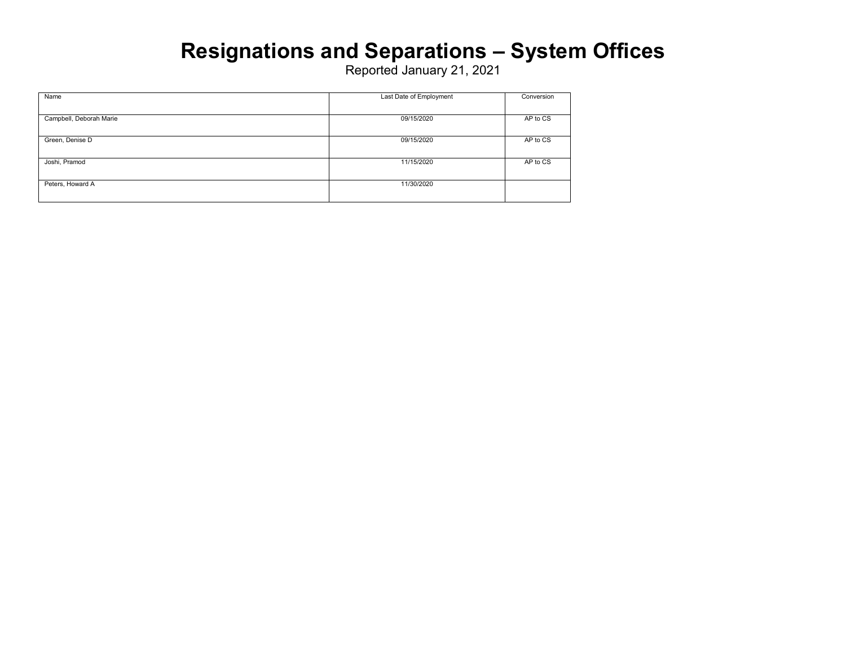### **Resignations and Separations – System Offices**

| Name                    | Last Date of Employment | Conversion |
|-------------------------|-------------------------|------------|
|                         |                         |            |
| Campbell, Deborah Marie | 09/15/2020              | AP to CS   |
|                         |                         |            |
| Green, Denise D         | 09/15/2020              | AP to CS   |
|                         |                         |            |
| Joshi, Pramod           | 11/15/2020              | AP to CS   |
|                         |                         |            |
| Peters, Howard A        | 11/30/2020              |            |
|                         |                         |            |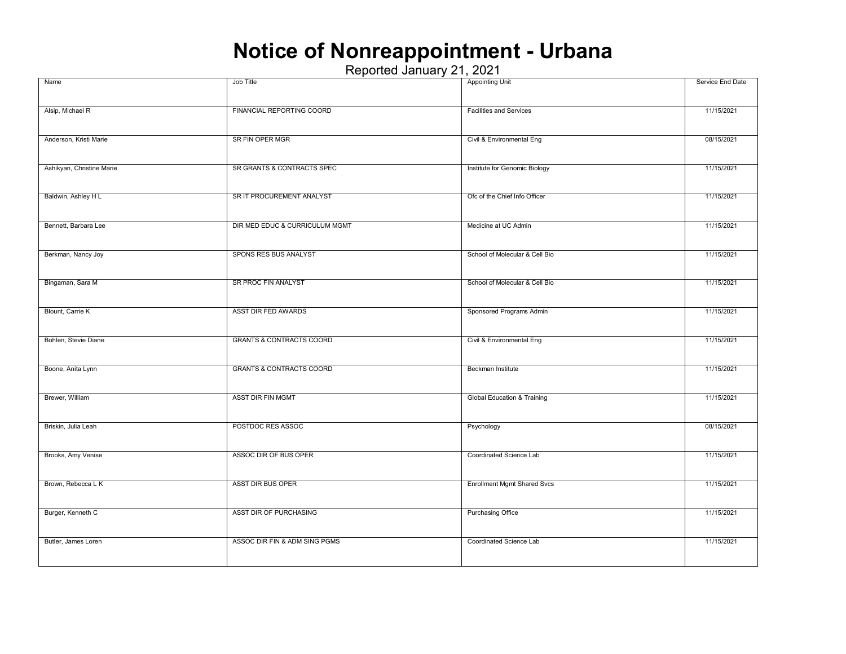### **Notice of Nonreappointment - Urbana**

| Name                      | Job Title                           | <b>Appointing Unit</b>                 | Service End Date |
|---------------------------|-------------------------------------|----------------------------------------|------------------|
|                           |                                     |                                        |                  |
| Alsip, Michael R          | FINANCIAL REPORTING COORD           | <b>Facilities and Services</b>         | 11/15/2021       |
| Anderson, Kristi Marie    | SR FIN OPER MGR                     | Civil & Environmental Eng              | 08/15/2021       |
| Ashikyan, Christine Marie | SR GRANTS & CONTRACTS SPEC          | Institute for Genomic Biology          | 11/15/2021       |
|                           |                                     |                                        |                  |
| Baldwin, Ashley H L       | SR IT PROCUREMENT ANALYST           | Ofc of the Chief Info Officer          | 11/15/2021       |
| Bennett, Barbara Lee      | DIR MED EDUC & CURRICULUM MGMT      | Medicine at UC Admin                   | 11/15/2021       |
| Berkman, Nancy Joy        | SPONS RES BUS ANALYST               | School of Molecular & Cell Bio         | 11/15/2021       |
| Bingaman, Sara M          | SR PROC FIN ANALYST                 | School of Molecular & Cell Bio         | 11/15/2021       |
| Blount, Carrie K          | ASST DIR FED AWARDS                 | Sponsored Programs Admin               | 11/15/2021       |
| Bohlen, Stevie Diane      | <b>GRANTS &amp; CONTRACTS COORD</b> | Civil & Environmental Eng              | 11/15/2021       |
| Boone, Anita Lynn         | <b>GRANTS &amp; CONTRACTS COORD</b> | Beckman Institute                      | 11/15/2021       |
| Brewer, William           | <b>ASST DIR FIN MGMT</b>            | <b>Global Education &amp; Training</b> | 11/15/2021       |
| Briskin, Julia Leah       | POSTDOC RES ASSOC                   | Psychology                             | 08/15/2021       |
| Brooks, Amy Venise        | ASSOC DIR OF BUS OPER               | Coordinated Science Lab                | 11/15/2021       |
| Brown, Rebecca L K        | <b>ASST DIR BUS OPER</b>            | <b>Enrollment Mgmt Shared Svcs</b>     | 11/15/2021       |
| Burger, Kenneth C         | ASST DIR OF PURCHASING              | <b>Purchasing Office</b>               | 11/15/2021       |
| Butler, James Loren       | ASSOC DIR FIN & ADM SING PGMS       | Coordinated Science Lab                | 11/15/2021       |
|                           |                                     |                                        |                  |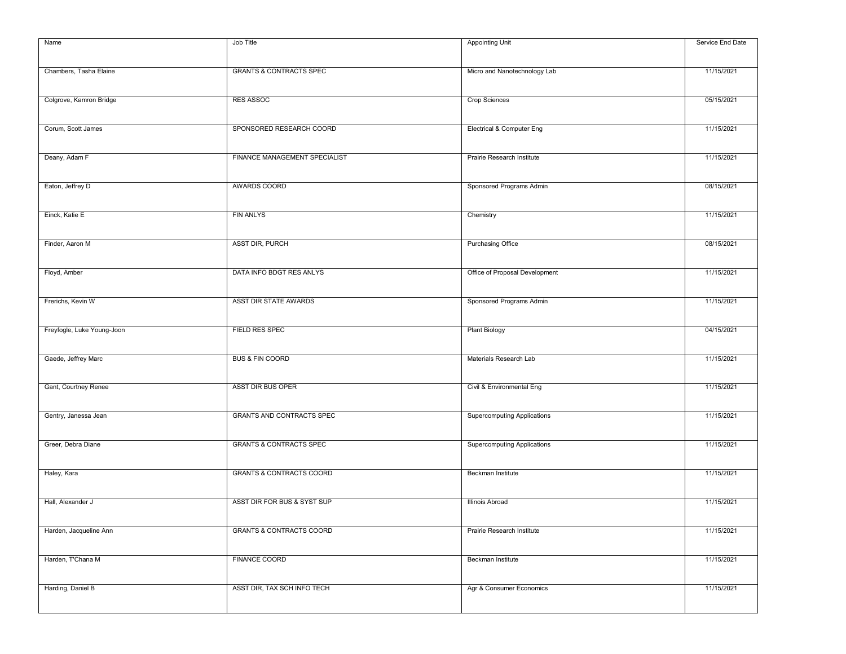| Name                       | Job Title                           | <b>Appointing Unit</b>             | Service End Date |
|----------------------------|-------------------------------------|------------------------------------|------------------|
|                            |                                     |                                    |                  |
| Chambers, Tasha Elaine     | <b>GRANTS &amp; CONTRACTS SPEC</b>  | Micro and Nanotechnology Lab       | 11/15/2021       |
| Colgrove, Kamron Bridge    | <b>RES ASSOC</b>                    | <b>Crop Sciences</b>               | 05/15/2021       |
| Corum, Scott James         | SPONSORED RESEARCH COORD            | Electrical & Computer Eng          | 11/15/2021       |
| Deany, Adam F              | FINANCE MANAGEMENT SPECIALIST       | Prairie Research Institute         | 11/15/2021       |
|                            |                                     |                                    |                  |
| Eaton, Jeffrey D           | AWARDS COORD                        | Sponsored Programs Admin           | 08/15/2021       |
| Einck, Katie E             | <b>FIN ANLYS</b>                    | Chemistry                          | 11/15/2021       |
| Finder, Aaron M            | ASST DIR, PURCH                     | <b>Purchasing Office</b>           | 08/15/2021       |
| Floyd, Amber               | DATA INFO BDGT RES ANLYS            | Office of Proposal Development     | 11/15/2021       |
| Frerichs, Kevin W          | ASST DIR STATE AWARDS               | Sponsored Programs Admin           | 11/15/2021       |
| Freyfogle, Luke Young-Joon | <b>FIELD RES SPEC</b>               | <b>Plant Biology</b>               | 04/15/2021       |
| Gaede, Jeffrey Marc        | <b>BUS &amp; FIN COORD</b>          | Materials Research Lab             | 11/15/2021       |
| Gant, Courtney Renee       | <b>ASST DIR BUS OPER</b>            | Civil & Environmental Eng          | 11/15/2021       |
| Gentry, Janessa Jean       | <b>GRANTS AND CONTRACTS SPEC</b>    | <b>Supercomputing Applications</b> | 11/15/2021       |
| Greer, Debra Diane         | <b>GRANTS &amp; CONTRACTS SPEC</b>  | <b>Supercomputing Applications</b> | 11/15/2021       |
|                            |                                     |                                    |                  |
| Haley, Kara                | <b>GRANTS &amp; CONTRACTS COORD</b> | Beckman Institute                  | 11/15/2021       |
| Hall, Alexander J          | ASST DIR FOR BUS & SYST SUP         | Illinois Abroad                    | 11/15/2021       |
| Harden, Jacqueline Ann     | <b>GRANTS &amp; CONTRACTS COORD</b> | Prairie Research Institute         | 11/15/2021       |
| Harden, T'Chana M          | <b>FINANCE COORD</b>                | Beckman Institute                  | 11/15/2021       |
| Harding, Daniel B          | ASST DIR, TAX SCH INFO TECH         | Agr & Consumer Economics           | 11/15/2021       |
|                            |                                     |                                    |                  |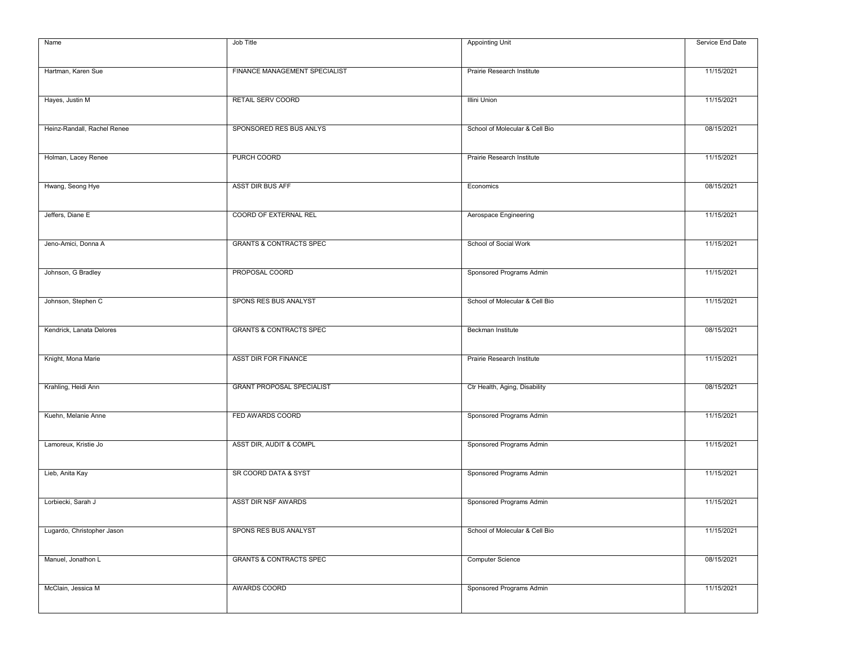| Name                        | Job Title                          | <b>Appointing Unit</b>         | Service End Date |
|-----------------------------|------------------------------------|--------------------------------|------------------|
|                             |                                    |                                |                  |
| Hartman, Karen Sue          | FINANCE MANAGEMENT SPECIALIST      | Prairie Research Institute     | 11/15/2021       |
| Hayes, Justin M             | RETAIL SERV COORD                  | <b>Illini Union</b>            | 11/15/2021       |
| Heinz-Randall, Rachel Renee | SPONSORED RES BUS ANLYS            | School of Molecular & Cell Bio | 08/15/2021       |
|                             |                                    |                                |                  |
| Holman, Lacey Renee         | PURCH COORD                        | Prairie Research Institute     | 11/15/2021       |
| Hwang, Seong Hye            | ASST DIR BUS AFF                   | Economics                      | 08/15/2021       |
| Jeffers, Diane E            | COORD OF EXTERNAL REL              | Aerospace Engineering          | 11/15/2021       |
| Jeno-Amici, Donna A         | <b>GRANTS &amp; CONTRACTS SPEC</b> | School of Social Work          | 11/15/2021       |
| Johnson, G Bradley          | PROPOSAL COORD                     | Sponsored Programs Admin       | 11/15/2021       |
| Johnson, Stephen C          | SPONS RES BUS ANALYST              | School of Molecular & Cell Bio | 11/15/2021       |
|                             |                                    |                                |                  |
| Kendrick, Lanata Delores    | <b>GRANTS &amp; CONTRACTS SPEC</b> | Beckman Institute              | 08/15/2021       |
| Knight, Mona Marie          | ASST DIR FOR FINANCE               | Prairie Research Institute     | 11/15/2021       |
| Krahling, Heidi Ann         | <b>GRANT PROPOSAL SPECIALIST</b>   | Ctr Health, Aging, Disability  | 08/15/2021       |
| Kuehn, Melanie Anne         | FED AWARDS COORD                   | Sponsored Programs Admin       | 11/15/2021       |
| Lamoreux, Kristie Jo        | ASST DIR, AUDIT & COMPL            | Sponsored Programs Admin       | 11/15/2021       |
| Lieb, Anita Kay             | SR COORD DATA & SYST               | Sponsored Programs Admin       | 11/15/2021       |
|                             |                                    |                                |                  |
| Lorbiecki, Sarah J          | ASST DIR NSF AWARDS                | Sponsored Programs Admin       | 11/15/2021       |
| Lugardo, Christopher Jason  | SPONS RES BUS ANALYST              | School of Molecular & Cell Bio | 11/15/2021       |
| Manuel, Jonathon L          | <b>GRANTS &amp; CONTRACTS SPEC</b> | <b>Computer Science</b>        | 08/15/2021       |
| McClain, Jessica M          | AWARDS COORD                       | Sponsored Programs Admin       | 11/15/2021       |
|                             |                                    |                                |                  |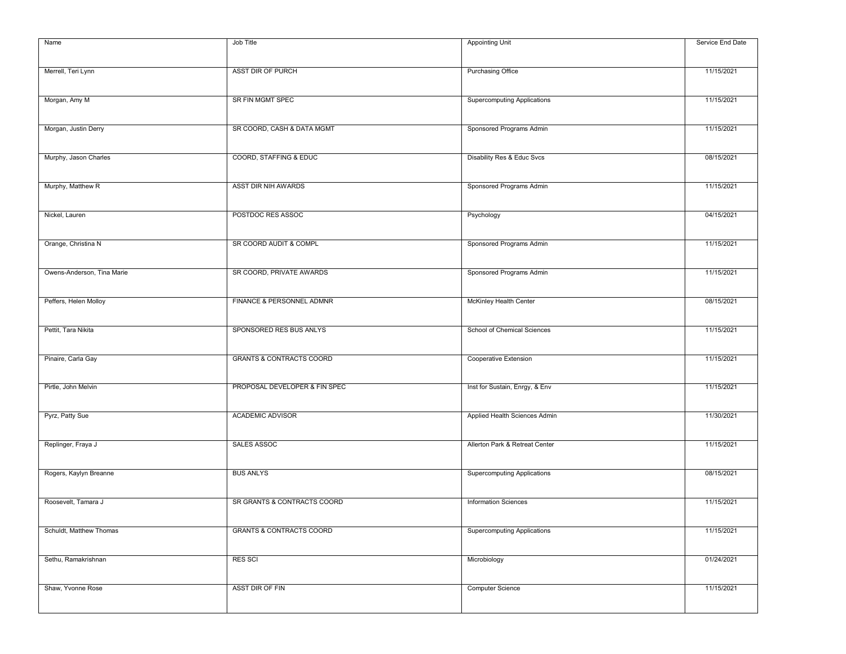| Name                       | Job Title                           | <b>Appointing Unit</b>             | Service End Date |
|----------------------------|-------------------------------------|------------------------------------|------------------|
|                            |                                     |                                    |                  |
| Merrell, Teri Lynn         | ASST DIR OF PURCH                   | <b>Purchasing Office</b>           | 11/15/2021       |
|                            |                                     |                                    |                  |
| Morgan, Amy M              | SR FIN MGMT SPEC                    | <b>Supercomputing Applications</b> | 11/15/2021       |
| Morgan, Justin Derry       | SR COORD, CASH & DATA MGMT          | Sponsored Programs Admin           | 11/15/2021       |
|                            |                                     |                                    |                  |
| Murphy, Jason Charles      | COORD, STAFFING & EDUC              | Disability Res & Educ Svcs         | 08/15/2021       |
|                            | ASST DIR NIH AWARDS                 |                                    | 11/15/2021       |
| Murphy, Matthew R          |                                     | Sponsored Programs Admin           |                  |
| Nickel, Lauren             | POSTDOC RES ASSOC                   | Psychology                         | 04/15/2021       |
|                            |                                     |                                    |                  |
| Orange, Christina N        | SR COORD AUDIT & COMPL              | Sponsored Programs Admin           | 11/15/2021       |
| Owens-Anderson, Tina Marie | SR COORD, PRIVATE AWARDS            | Sponsored Programs Admin           | 11/15/2021       |
|                            |                                     |                                    |                  |
| Peffers, Helen Molloy      | FINANCE & PERSONNEL ADMNR           | McKinley Health Center             | 08/15/2021       |
|                            |                                     |                                    |                  |
| Pettit, Tara Nikita        | SPONSORED RES BUS ANLYS             | School of Chemical Sciences        | 11/15/2021       |
| Pinaire, Carla Gay         | <b>GRANTS &amp; CONTRACTS COORD</b> | Cooperative Extension              | 11/15/2021       |
|                            |                                     |                                    |                  |
| Pirtle, John Melvin        | PROPOSAL DEVELOPER & FIN SPEC       | Inst for Sustain, Enrgy, & Env     | 11/15/2021       |
|                            |                                     |                                    |                  |
| Pyrz, Patty Sue            | <b>ACADEMIC ADVISOR</b>             | Applied Health Sciences Admin      | 11/30/2021       |
| Replinger, Fraya J         | SALES ASSOC                         | Allerton Park & Retreat Center     | 11/15/2021       |
|                            |                                     |                                    |                  |
| Rogers, Kaylyn Breanne     | <b>BUS ANLYS</b>                    | <b>Supercomputing Applications</b> | 08/15/2021       |
| Roosevelt, Tamara J        | SR GRANTS & CONTRACTS COORD         | <b>Information Sciences</b>        | 11/15/2021       |
|                            |                                     |                                    |                  |
| Schuldt, Matthew Thomas    | <b>GRANTS &amp; CONTRACTS COORD</b> | <b>Supercomputing Applications</b> | 11/15/2021       |
|                            |                                     |                                    |                  |
| Sethu, Ramakrishnan        | <b>RES SCI</b>                      | Microbiology                       | 01/24/2021       |
| Shaw, Yvonne Rose          | ASST DIR OF FIN                     | <b>Computer Science</b>            | 11/15/2021       |
|                            |                                     |                                    |                  |
|                            |                                     |                                    |                  |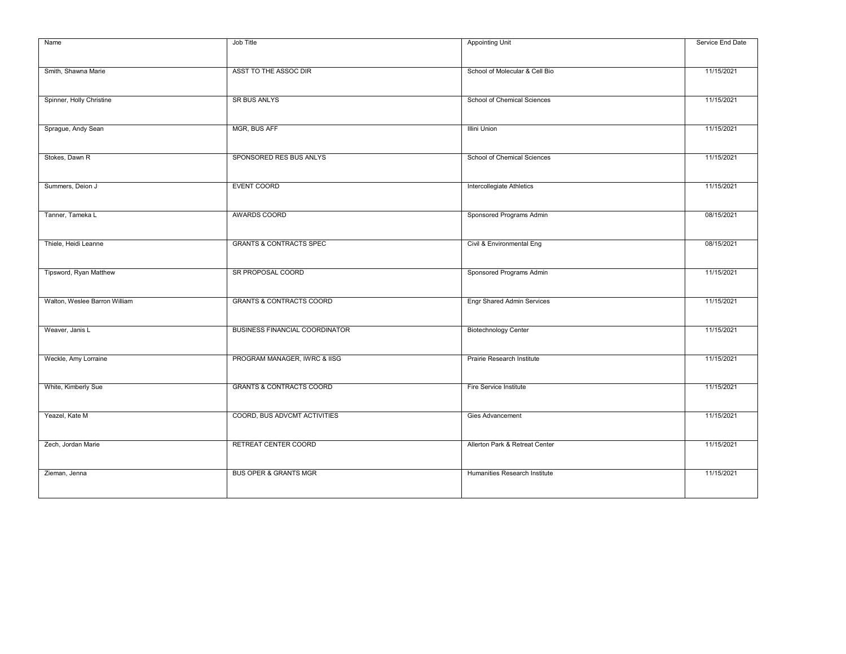| Name                          | Job Title                             | <b>Appointing Unit</b>            | Service End Date |
|-------------------------------|---------------------------------------|-----------------------------------|------------------|
|                               |                                       |                                   |                  |
| Smith, Shawna Marie           | ASST TO THE ASSOC DIR                 | School of Molecular & Cell Bio    | 11/15/2021       |
|                               |                                       |                                   |                  |
|                               |                                       |                                   |                  |
| Spinner, Holly Christine      | SR BUS ANLYS                          | School of Chemical Sciences       | 11/15/2021       |
|                               |                                       |                                   |                  |
| Sprague, Andy Sean            | MGR, BUS AFF                          | <b>Illini Union</b>               | 11/15/2021       |
|                               |                                       |                                   |                  |
|                               |                                       |                                   |                  |
| Stokes, Dawn R                | SPONSORED RES BUS ANLYS               | School of Chemical Sciences       | 11/15/2021       |
|                               |                                       |                                   |                  |
| Summers, Deion J              | <b>EVENT COORD</b>                    | Intercollegiate Athletics         | 11/15/2021       |
|                               |                                       |                                   |                  |
| Tanner, Tameka L              | AWARDS COORD                          | Sponsored Programs Admin          | 08/15/2021       |
|                               |                                       |                                   |                  |
|                               |                                       |                                   |                  |
| Thiele, Heidi Leanne          | <b>GRANTS &amp; CONTRACTS SPEC</b>    | Civil & Environmental Eng         | 08/15/2021       |
|                               |                                       |                                   |                  |
| Tipsword, Ryan Matthew        | SR PROPOSAL COORD                     | Sponsored Programs Admin          | 11/15/2021       |
|                               |                                       |                                   |                  |
| Walton, Weslee Barron William | <b>GRANTS &amp; CONTRACTS COORD</b>   | <b>Engr Shared Admin Services</b> | 11/15/2021       |
|                               |                                       |                                   |                  |
|                               |                                       |                                   |                  |
| Weaver, Janis L               | <b>BUSINESS FINANCIAL COORDINATOR</b> | <b>Biotechnology Center</b>       | 11/15/2021       |
|                               |                                       |                                   |                  |
| Weckle, Amy Lorraine          | PROGRAM MANAGER, IWRC & IISG          | Prairie Research Institute        | 11/15/2021       |
|                               |                                       |                                   |                  |
|                               |                                       |                                   |                  |
| White, Kimberly Sue           | <b>GRANTS &amp; CONTRACTS COORD</b>   | Fire Service Institute            | 11/15/2021       |
|                               |                                       |                                   |                  |
| Yeazel, Kate M                | COORD, BUS ADVCMT ACTIVITIES          | Gies Advancement                  | 11/15/2021       |
|                               |                                       |                                   |                  |
| Zech, Jordan Marie            | RETREAT CENTER COORD                  | Allerton Park & Retreat Center    | 11/15/2021       |
|                               |                                       |                                   |                  |
|                               |                                       |                                   |                  |
| Zieman, Jenna                 | <b>BUS OPER &amp; GRANTS MGR</b>      | Humanities Research Institute     | 11/15/2021       |
|                               |                                       |                                   |                  |
|                               |                                       |                                   |                  |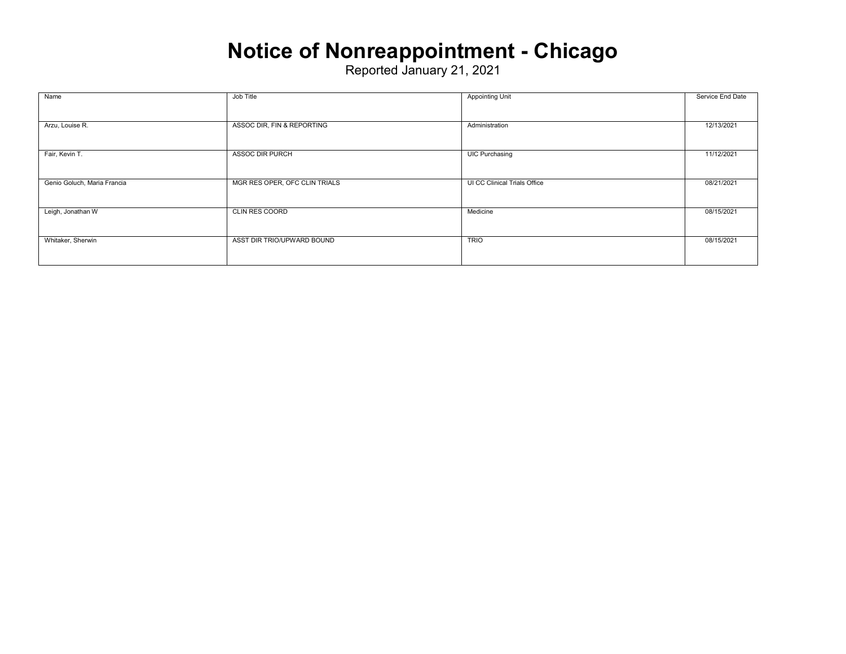### **Notice of Nonreappointment - Chicago**

| Name                        | Job Title                     | <b>Appointing Unit</b>       | Service End Date |
|-----------------------------|-------------------------------|------------------------------|------------------|
|                             |                               |                              |                  |
| Arzu, Louise R.             | ASSOC DIR, FIN & REPORTING    | Administration               | 12/13/2021       |
|                             |                               |                              |                  |
| Fair, Kevin T.              | <b>ASSOC DIR PURCH</b>        | <b>UIC Purchasing</b>        | 11/12/2021       |
|                             |                               |                              |                  |
| Genio Goluch, Maria Francia | MGR RES OPER, OFC CLIN TRIALS | UI CC Clinical Trials Office | 08/21/2021       |
|                             |                               |                              |                  |
| Leigh, Jonathan W           | <b>CLIN RES COORD</b>         | Medicine                     | 08/15/2021       |
|                             |                               |                              |                  |
| Whitaker, Sherwin           | ASST DIR TRIO/UPWARD BOUND    | <b>TRIO</b>                  | 08/15/2021       |
|                             |                               |                              |                  |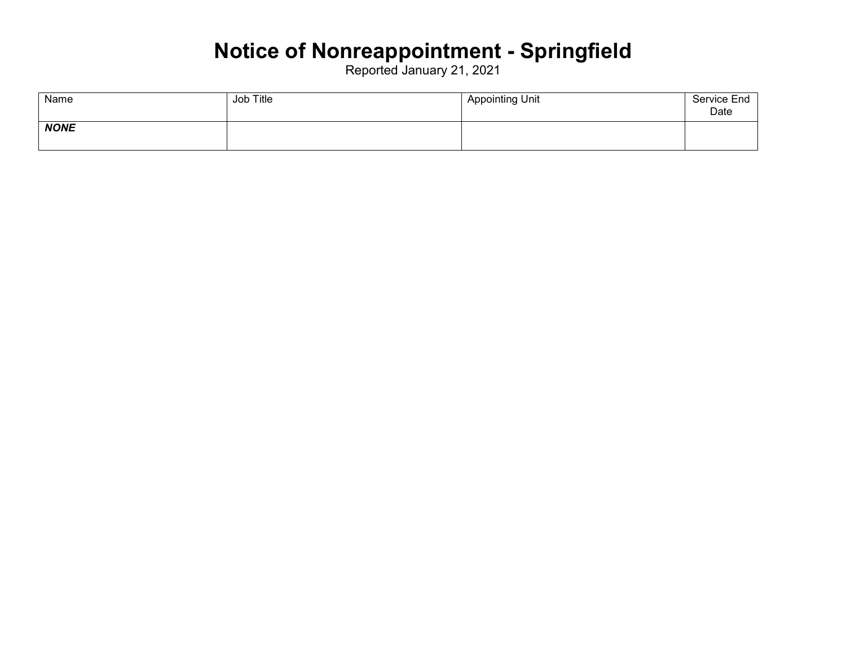### **Notice of Nonreappointment - Springfield**

| Name        | Job Title | <b>Appointing Unit</b> | Service End<br>Date |
|-------------|-----------|------------------------|---------------------|
| <b>NONE</b> |           |                        |                     |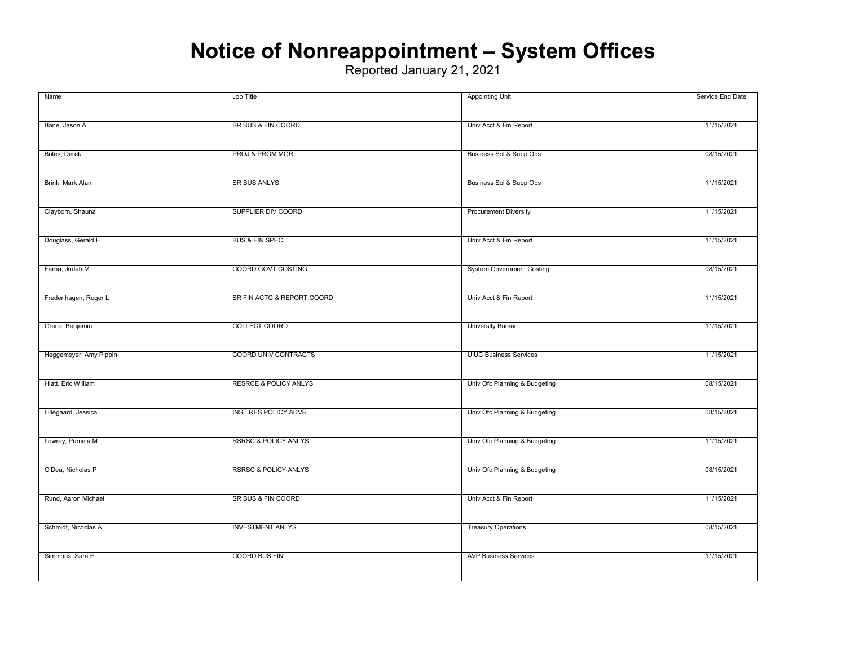### **Notice of Nonreappointment – System Offices**

| Name                   | Job Title                        | <b>Appointing Unit</b>           | Service End Date |
|------------------------|----------------------------------|----------------------------------|------------------|
|                        |                                  |                                  |                  |
| Bane, Jason A          | SR BUS & FIN COORD               | Univ Acct & Fin Report           | 11/15/2021       |
|                        |                                  |                                  |                  |
| <b>Briles, Derek</b>   | PROJ & PRGM MGR                  | Business Sol & Supp Ops          | 08/15/2021       |
|                        |                                  |                                  |                  |
| Brink, Mark Alan       | <b>SR BUS ANLYS</b>              | Business Sol & Supp Ops          | 11/15/2021       |
|                        | SUPPLIER DIV COORD               |                                  | 11/15/2021       |
| Clayborn, Shauna       |                                  | <b>Procurement Diversity</b>     |                  |
| Douglass, Gerald E     | <b>BUS &amp; FIN SPEC</b>        | Univ Acct & Fin Report           | 11/15/2021       |
|                        |                                  |                                  |                  |
| Farha, Judah M         | COORD GOVT COSTING               | <b>System Government Costing</b> | 08/15/2021       |
|                        |                                  |                                  |                  |
| Fredenhagen, Roger L   | SR FIN ACTG & REPORT COORD       | Univ Acct & Fin Report           | 11/15/2021       |
|                        |                                  |                                  |                  |
| Greco, Benjamin        | COLLECT COORD                    | <b>University Bursar</b>         | 11/15/2021       |
|                        |                                  |                                  |                  |
| Heggemeyer, Amy Pippin | COORD UNIV CONTRACTS             | <b>UIUC Business Services</b>    | 11/15/2021       |
| Hiatt, Eric William    | <b>RESRCE &amp; POLICY ANLYS</b> | Univ Ofc Planning & Budgeting    | 08/15/2021       |
|                        |                                  |                                  |                  |
| Lillegaard, Jessica    | <b>INST RES POLICY ADVR</b>      | Univ Ofc Planning & Budgeting    | 08/15/2021       |
|                        |                                  |                                  |                  |
| Lowrey, Pamela M       | <b>RSRSC &amp; POLICY ANLYS</b>  | Univ Ofc Planning & Budgeting    | 11/15/2021       |
|                        |                                  |                                  |                  |
| O'Dea, Nicholas P      | <b>RSRSC &amp; POLICY ANLYS</b>  | Univ Ofc Planning & Budgeting    | 08/15/2021       |
|                        |                                  |                                  |                  |
| Rund, Aaron Michael    | SR BUS & FIN COORD               | Univ Acct & Fin Report           | 11/15/2021       |
| Schmidt, Nicholas A    | <b>INVESTMENT ANLYS</b>          | <b>Treasury Operations</b>       | 08/15/2021       |
|                        |                                  |                                  |                  |
| Simmons, Sara E        | COORD BUS FIN                    | <b>AVP Business Services</b>     | 11/15/2021       |
|                        |                                  |                                  |                  |
|                        |                                  |                                  |                  |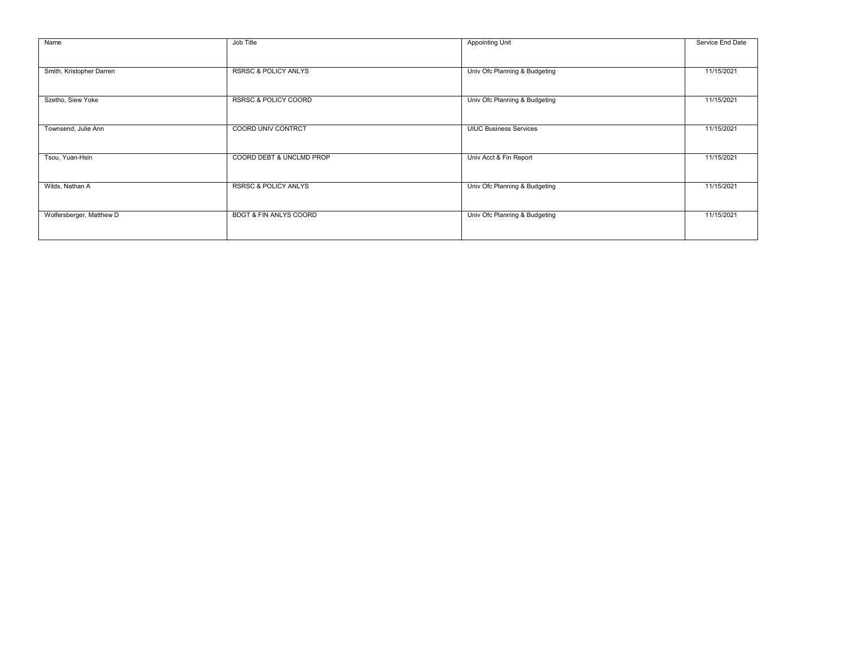| Name                     | Job Title                         | <b>Appointing Unit</b>        | Service End Date |
|--------------------------|-----------------------------------|-------------------------------|------------------|
|                          |                                   |                               |                  |
| Smith, Kristopher Darren | <b>RSRSC &amp; POLICY ANLYS</b>   | Univ Ofc Planning & Budgeting | 11/15/2021       |
| Szetho, Siew Yoke        | <b>RSRSC &amp; POLICY COORD</b>   | Univ Ofc Planning & Budgeting | 11/15/2021       |
|                          |                                   |                               |                  |
| Townsend, Julie Ann      | COORD UNIV CONTRCT                | <b>UIUC Business Services</b> | 11/15/2021       |
|                          |                                   |                               |                  |
| Tsou, Yuan-Hsin          | COORD DEBT & UNCLMD PROP          | Univ Acct & Fin Report        | 11/15/2021       |
|                          |                                   |                               |                  |
| Wilds, Nathan A          | <b>RSRSC &amp; POLICY ANLYS</b>   | Univ Ofc Planning & Budgeting | 11/15/2021       |
|                          |                                   |                               |                  |
| Wolfersberger, Matthew D | <b>BDGT &amp; FIN ANLYS COORD</b> | Univ Ofc Planning & Budgeting | 11/15/2021       |
|                          |                                   |                               |                  |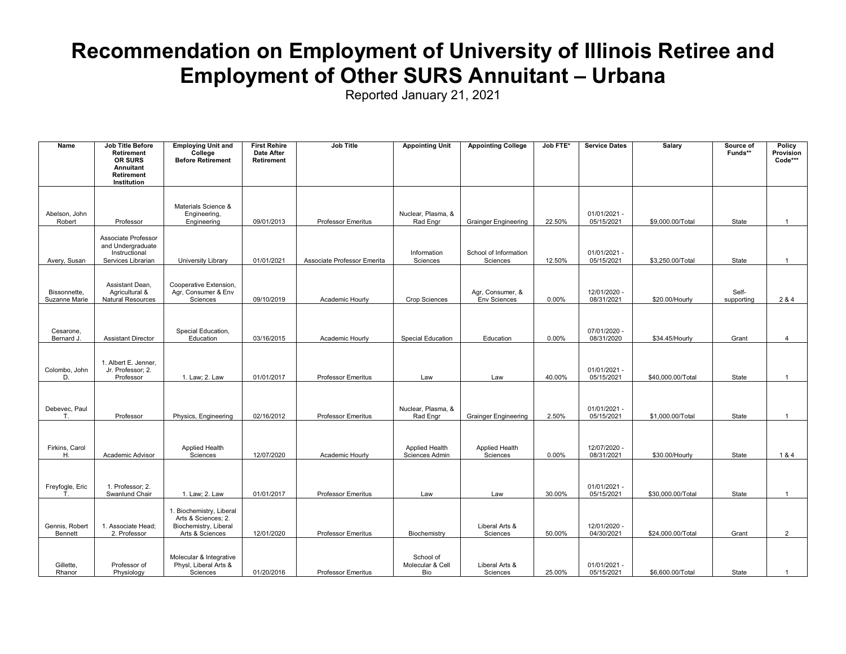#### **Recommendation on Employment of University of Illinois Retiree and Employment of Other SURS Annuitant – Urbana**

| Name                          | Job Title Before<br><b>Retirement</b><br>OR SURS<br>Annuitant<br>Retirement<br>Institution | <b>Employing Unit and</b><br>College<br><b>Before Retirement</b>                            | <b>First Rehire</b><br><b>Date After</b><br>Retirement | <b>Job Title</b>            | <b>Appointing Unit</b>               | <b>Appointing College</b>               | Job FTE* | <b>Service Dates</b>       | Salary            | Source of<br>Funds** | Policy<br>Provision<br>Code*** |
|-------------------------------|--------------------------------------------------------------------------------------------|---------------------------------------------------------------------------------------------|--------------------------------------------------------|-----------------------------|--------------------------------------|-----------------------------------------|----------|----------------------------|-------------------|----------------------|--------------------------------|
| Abelson, John<br>Robert       | Professor                                                                                  | Materials Science &<br>Engineering,<br>Engineering                                          | 09/01/2013                                             | <b>Professor Emeritus</b>   | Nuclear, Plasma, &<br>Rad Engr       | <b>Grainger Engineering</b>             | 22.50%   | 01/01/2021 -<br>05/15/2021 | \$9,000.00/Total  | State                |                                |
| Avery, Susan                  | Associate Professor<br>and Undergraduate<br>Instructional<br>Services Librarian            | University Library                                                                          | 01/01/2021                                             | Associate Professor Emerita | Information<br>Sciences              | School of Information<br>Sciences       | 12.50%   | 01/01/2021 -<br>05/15/2021 | \$3,250.00/Total  | State                | $\overline{1}$                 |
| Bissonnette.<br>Suzanne Marie | Assistant Dean,<br>Agricultural &<br>Natural Resources                                     | Cooperative Extension,<br>Agr, Consumer & Env<br>Sciences                                   | 09/10/2019                                             | Academic Hourly             | <b>Crop Sciences</b>                 | Agr, Consumer, &<br><b>Env Sciences</b> | 0.00%    | 12/01/2020 -<br>08/31/2021 | \$20.00/Hourly    | Self-<br>supporting  | 2 & 4                          |
| Cesarone,<br>Bernard J.       | <b>Assistant Director</b>                                                                  | Special Education,<br>Education                                                             | 03/16/2015                                             | Academic Hourly             | <b>Special Education</b>             | Education                               | 0.00%    | 07/01/2020 -<br>08/31/2020 | \$34.45/Hourly    | Grant                | $\boldsymbol{\Delta}$          |
| Colombo, John<br>D.           | 1. Albert E. Jenner,<br>Jr. Professor; 2.<br>Professor                                     | 1. Law; 2. Law                                                                              | 01/01/2017                                             | <b>Professor Emeritus</b>   | Law                                  | Law                                     | 40.00%   | 01/01/2021 -<br>05/15/2021 | \$40,000.00/Total | State                | $\overline{1}$                 |
| Debevec, Paul<br>T.           | Professor                                                                                  | Physics, Engineering                                                                        | 02/16/2012                                             | <b>Professor Emeritus</b>   | Nuclear, Plasma, &<br>Rad Engr       | <b>Grainger Engineering</b>             | 2.50%    | 01/01/2021 -<br>05/15/2021 | \$1,000.00/Total  | State                | $\overline{1}$                 |
| Firkins, Carol<br>Η.          | Academic Advisor                                                                           | Applied Health<br>Sciences                                                                  | 12/07/2020                                             | Academic Hourly             | Applied Health<br>Sciences Admin     | Applied Health<br>Sciences              | 0.00%    | 12/07/2020 -<br>08/31/2021 | \$30.00/Hourly    | State                | 1&4                            |
| Freyfogle, Eric               | 1. Professor; 2.<br>Swanlund Chair                                                         | 1. Law; 2. Law                                                                              | 01/01/2017                                             | Professor Emeritus          | Law                                  | Law                                     | 30.00%   | 01/01/2021 -<br>05/15/2021 | \$30,000.00/Total | State                | $\overline{1}$                 |
| Gennis, Robert<br>Bennett     | 1. Associate Head:<br>2. Professor                                                         | 1. Biochemistry, Liberal<br>Arts & Sciences; 2.<br>Biochemistry, Liberal<br>Arts & Sciences | 12/01/2020                                             | <b>Professor Emeritus</b>   | Biochemistry                         | Liberal Arts &<br>Sciences              | 50.00%   | 12/01/2020 -<br>04/30/2021 | \$24,000.00/Total | Grant                | $\overline{2}$                 |
| Gillette,<br>Rhanor           | Professor of<br>Physiology                                                                 | Molecular & Integrative<br>Physl, Liberal Arts &<br>Sciences                                | 01/20/2016                                             | <b>Professor Emeritus</b>   | School of<br>Molecular & Cell<br>Bio | Liberal Arts &<br>Sciences              | 25.00%   | 01/01/2021 -<br>05/15/2021 | \$6,600.00/Total  | State                | $\overline{1}$                 |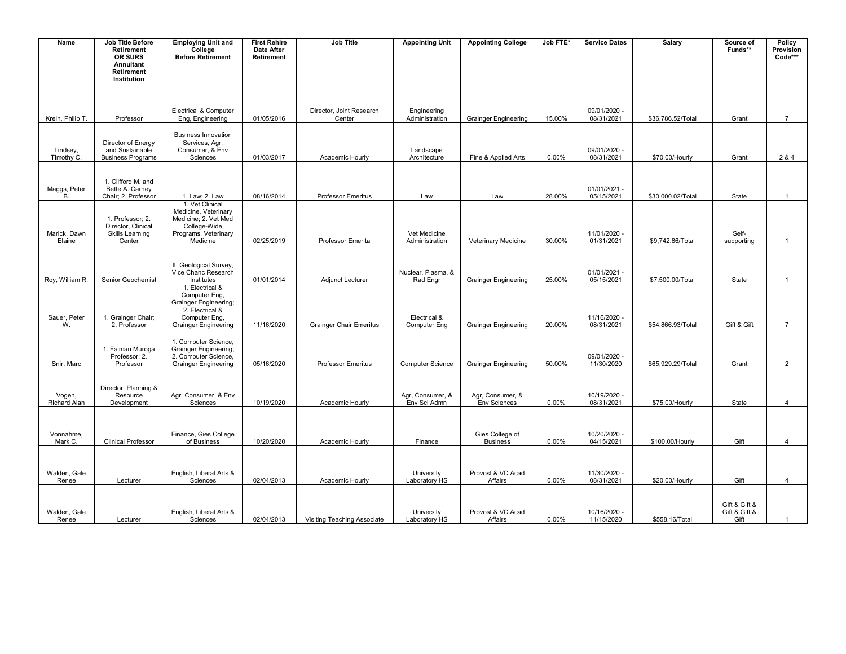| Name                   | Job Title Before<br>Retirement                                             | <b>Employing Unit and</b><br>College                                                                                | <b>First Rehire</b><br><b>Date After</b> | Job Title                      | <b>Appointing Unit</b>           | <b>Appointing College</b>               | Job FTE* | <b>Service Dates</b>         | Salary            | Source of<br>Funds**                   | Policy<br>Provision |
|------------------------|----------------------------------------------------------------------------|---------------------------------------------------------------------------------------------------------------------|------------------------------------------|--------------------------------|----------------------------------|-----------------------------------------|----------|------------------------------|-------------------|----------------------------------------|---------------------|
|                        | OR SURS<br>Annuitant<br>Retirement<br>Institution                          | <b>Before Retirement</b>                                                                                            | Retirement                               |                                |                                  |                                         |          |                              |                   |                                        | Code***             |
|                        |                                                                            | Electrical & Computer                                                                                               |                                          | Director, Joint Research       | Engineering                      |                                         |          | 09/01/2020 -                 |                   |                                        |                     |
| Krein, Philip T.       | Professor                                                                  | Eng, Engineering                                                                                                    | 01/05/2016                               | Center                         | Administration                   | <b>Grainger Engineering</b>             | 15.00%   | 08/31/2021                   | \$36,786.52/Total | Grant                                  | $\overline{7}$      |
| Lindsey,<br>Timothy C. | Director of Energy<br>and Sustainable<br><b>Business Programs</b>          | <b>Business Innovation</b><br>Services, Agr,<br>Consumer, & Env<br>Sciences                                         | 01/03/2017                               | Academic Hourly                | Landscape<br>Architecture        | Fine & Applied Arts                     | 0.00%    | 09/01/2020 -<br>08/31/2021   | \$70.00/Hourly    | Grant                                  | 2 & 4               |
| Maggs, Peter<br>B.     | 1. Clifford M. and<br>Bette A. Carney<br>Chair; 2. Professor               | 1. Law; 2. Law                                                                                                      | 08/16/2014                               | <b>Professor Emeritus</b>      | Law                              | Law                                     | 28.00%   | 01/01/2021 -<br>05/15/2021   | \$30,000.02/Total | State                                  | $\mathbf{1}$        |
| Marick, Dawn<br>Elaine | 1. Professor; 2.<br>Director, Clinical<br><b>Skills Learning</b><br>Center | 1. Vet Clinical<br>Medicine, Veterinary<br>Medicine; 2. Vet Med<br>College-Wide<br>Programs, Veterinary<br>Medicine | 02/25/2019                               | Professor Emerita              | Vet Medicine<br>Administration   | Veterinary Medicine                     | 30.00%   | 11/01/2020 -<br>01/31/2021   | \$9,742.86/Total  | Self-<br>supporting                    | $\overline{1}$      |
|                        |                                                                            |                                                                                                                     |                                          |                                |                                  |                                         |          |                              |                   |                                        |                     |
| Roy, William R.        | Senior Geochemist                                                          | IL Geological Survey,<br>Vice Chanc Research<br>Institutes                                                          | 01/01/2014                               | Adjunct Lecturer               | Nuclear, Plasma, &<br>Rad Engr   | <b>Grainger Engineering</b>             | 25.00%   | $01/01/2021 -$<br>05/15/2021 | \$7,500.00/Total  | State                                  | $\mathbf{1}$        |
| Sauer, Peter           | 1. Grainger Chair;                                                         | 1. Electrical &<br>Computer Eng,<br><b>Grainger Engineering;</b><br>2. Electrical &<br>Computer Eng,                |                                          |                                | Electrical &                     |                                         |          | 11/16/2020 -                 |                   |                                        |                     |
| W.                     | 2. Professor                                                               | <b>Grainger Engineering</b>                                                                                         | 11/16/2020                               | <b>Grainger Chair Emeritus</b> | Computer Eng                     | <b>Grainger Engineering</b>             | 20.00%   | 08/31/2021                   | \$54,866.93/Total | Gift & Gift                            | $\overline{7}$      |
| Snir, Marc             | 1. Faiman Muroga<br>Professor; 2.<br>Professor                             | 1. Computer Science,<br><b>Grainger Engineering;</b><br>2. Computer Science,<br><b>Grainger Engineering</b>         | 05/16/2020                               | <b>Professor Emeritus</b>      | <b>Computer Science</b>          | <b>Grainger Engineering</b>             | 50.00%   | 09/01/2020 -<br>11/30/2020   | \$65,929.29/Total | Grant                                  | 2                   |
| Vogen,<br>Richard Alan | Director, Planning &<br>Resource<br>Development                            | Agr, Consumer, & Env<br>Sciences                                                                                    | 10/19/2020                               | Academic Hourly                | Agr, Consumer, &<br>Env Sci Admn | Agr, Consumer, &<br><b>Env Sciences</b> | 0.00%    | 10/19/2020 -<br>08/31/2021   | \$75.00/Hourly    | State                                  | $\overline{4}$      |
| Vonnahme,<br>Mark C.   | <b>Clinical Professor</b>                                                  | Finance, Gies College<br>of Business                                                                                | 10/20/2020                               | Academic Hourly                | Finance                          | Gies College of<br><b>Business</b>      | 0.00%    | 10/20/2020 -<br>04/15/2021   | \$100.00/Hourly   | Gift                                   | $\overline{4}$      |
|                        |                                                                            |                                                                                                                     |                                          |                                |                                  |                                         |          |                              |                   |                                        |                     |
| Walden, Gale<br>Renee  | Lecturer                                                                   | English, Liberal Arts &<br>Sciences                                                                                 | 02/04/2013                               | Academic Hourly                | University<br>Laboratory HS      | Provost & VC Acad<br>Affairs            | 0.00%    | 11/30/2020 -<br>08/31/2021   | \$20.00/Hourly    | Gift                                   | $\overline{4}$      |
| Walden, Gale<br>Renee  | Lecturer                                                                   | English, Liberal Arts &<br>Sciences                                                                                 | 02/04/2013                               | Visiting Teaching Associate    | University<br>Laboratory HS      | Provost & VC Acad<br>Affairs            | $0.00\%$ | 10/16/2020 -<br>11/15/2020   | \$558.16/Total    | Gift & Gift &<br>Gift & Gift &<br>Gift | $\overline{1}$      |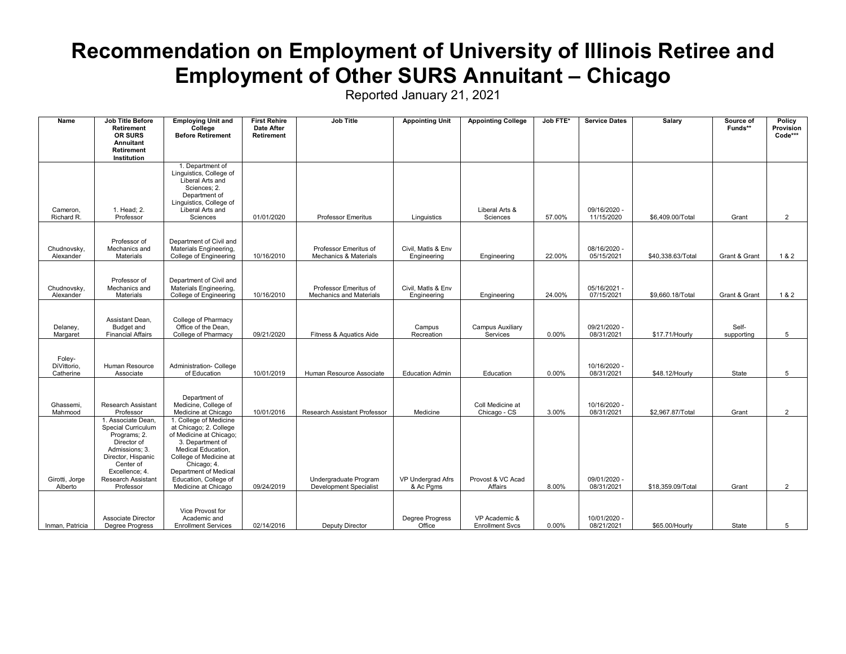#### **Recommendation on Employment of University of Illinois Retiree and Employment of Other SURS Annuitant – Chicago**

| Name                               | <b>Job Title Before</b><br>Retirement<br>OR SURS<br>Annuitant<br>Retirement<br>Institution                                                                                        | <b>Employing Unit and</b><br>College<br><b>Before Retirement</b>                                                                                                                                                                        | <b>First Rehire</b><br><b>Date After</b><br>Retirement | <b>Job Title</b>                                       | <b>Appointing Unit</b>            | <b>Appointing College</b>               | Job FTE* | <b>Service Dates</b>       | Salary            | Source of<br>Funds** | Policy<br>Provision<br>Code*** |
|------------------------------------|-----------------------------------------------------------------------------------------------------------------------------------------------------------------------------------|-----------------------------------------------------------------------------------------------------------------------------------------------------------------------------------------------------------------------------------------|--------------------------------------------------------|--------------------------------------------------------|-----------------------------------|-----------------------------------------|----------|----------------------------|-------------------|----------------------|--------------------------------|
| Cameron.<br>Richard R.             | 1. Head: 2.<br>Professor                                                                                                                                                          | 1. Department of<br>Linguistics, College of<br>Liberal Arts and<br>Sciences: 2.<br>Department of<br>Linguistics, College of<br>Liberal Arts and<br>Sciences                                                                             | 01/01/2020                                             | <b>Professor Emeritus</b>                              | Linguistics                       | Liberal Arts &<br>Sciences              | 57.00%   | 09/16/2020 -<br>11/15/2020 | \$6,409.00/Total  | Grant                | $\overline{2}$                 |
| Chudnovsky,<br>Alexander           | Professor of<br>Mechanics and<br>Materials                                                                                                                                        | Department of Civil and<br>Materials Engineering,<br>College of Engineering                                                                                                                                                             | 10/16/2010                                             | Professor Emeritus of<br>Mechanics & Materials         | Civil, Matls & Env<br>Engineering | Engineering                             | 22.00%   | 08/16/2020 -<br>05/15/2021 | \$40,338.63/Total | Grant & Grant        | 1 & 2                          |
| Chudnovsky,<br>Alexander           | Professor of<br>Mechanics and<br><b>Materials</b>                                                                                                                                 | Department of Civil and<br>Materials Engineering,<br>College of Engineering                                                                                                                                                             | 10/16/2010                                             | Professor Emeritus of<br>Mechanics and Materials       | Civil, Matls & Env<br>Engineering | Engineering                             | 24.00%   | 05/16/2021 -<br>07/15/2021 | \$9,660.18/Total  | Grant & Grant        | 1 & 2                          |
| Delaney,<br>Margaret               | Assistant Dean,<br>Budget and<br><b>Financial Affairs</b>                                                                                                                         | College of Pharmacy<br>Office of the Dean.<br>College of Pharmacy                                                                                                                                                                       | 09/21/2020                                             | Fitness & Aquatics Aide                                | Campus<br>Recreation              | <b>Campus Auxiliary</b><br>Services     | 0.00%    | 09/21/2020 -<br>08/31/2021 | \$17.71/Hourly    | Self-<br>supporting  | 5                              |
| Foley-<br>DiVittorio,<br>Catherine | Human Resource<br>Associate                                                                                                                                                       | Administration- College<br>of Education                                                                                                                                                                                                 | 10/01/2019                                             | Human Resource Associate                               | <b>Education Admin</b>            | Education                               | 0.00%    | 10/16/2020 -<br>08/31/2021 | \$48.12/Hourly    | State                | 5                              |
| Ghassemi,<br>Mahmood               | Research Assistant<br>Professor                                                                                                                                                   | Department of<br>Medicine, College of<br>Medicine at Chicago                                                                                                                                                                            | 10/01/2016                                             | Research Assistant Professor                           | Medicine                          | Coll Medicine at<br>Chicago - CS        | 3.00%    | 10/16/2020 -<br>08/31/2021 | \$2,967.87/Total  | Grant                | $\overline{2}$                 |
| Girotti, Jorge<br>Alberto          | 1. Associate Dean.<br>Special Curriculum<br>Programs; 2.<br>Director of<br>Admissions: 3.<br>Director, Hispanic<br>Center of<br>Excellence; 4.<br>Research Assistant<br>Professor | 1. College of Medicine<br>at Chicago; 2. College<br>of Medicine at Chicago;<br>3. Department of<br>Medical Education,<br>College of Medicine at<br>Chicago; 4.<br>Department of Medical<br>Education, College of<br>Medicine at Chicago | 09/24/2019                                             | Undergraduate Program<br><b>Development Specialist</b> | VP Undergrad Afrs<br>& Ac Pgms    | Provost & VC Acad<br>Affairs            | 8.00%    | 09/01/2020 -<br>08/31/2021 | \$18,359.09/Total | Grant                | $\overline{2}$                 |
| Inman, Patricia                    | <b>Associate Director</b><br><b>Degree Progress</b>                                                                                                                               | Vice Provost for<br>Academic and<br><b>Enrollment Services</b>                                                                                                                                                                          | 02/14/2016                                             | Deputy Director                                        | Degree Progress<br>Office         | VP Academic &<br><b>Enrollment Svcs</b> | 0.00%    | 10/01/2020 -<br>08/21/2021 | \$65.00/Hourly    | State                | 5                              |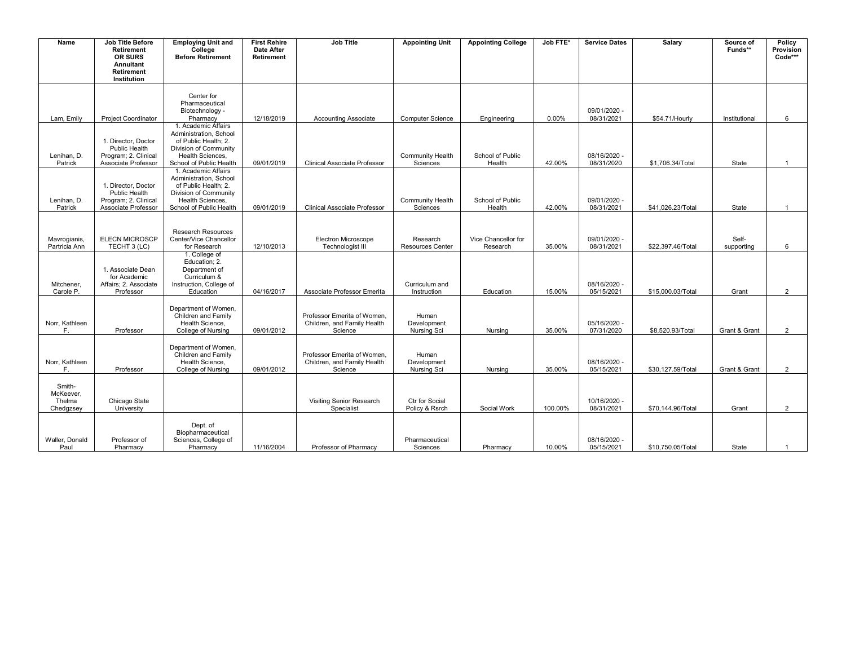| Name                                       | Job Title Before<br><b>Retirement</b><br>OR SURS<br><b>Annuitant</b><br>Retirement<br>Institution | <b>Employing Unit and</b><br>College<br><b>Before Retirement</b>                                                                              | <b>First Rehire</b><br><b>Date After</b><br><b>Retirement</b> | <b>Job Title</b>                                                      | <b>Appointing Unit</b>              | <b>Appointing College</b>       | Job FTE* | <b>Service Dates</b>       | Salary            | Source of<br>Funds** | Policy<br>Provision<br>Code*** |
|--------------------------------------------|---------------------------------------------------------------------------------------------------|-----------------------------------------------------------------------------------------------------------------------------------------------|---------------------------------------------------------------|-----------------------------------------------------------------------|-------------------------------------|---------------------------------|----------|----------------------------|-------------------|----------------------|--------------------------------|
| Lam, Emily                                 | <b>Project Coordinator</b>                                                                        | Center for<br>Pharmaceutical<br>Biotechnology -<br>Pharmacy                                                                                   | 12/18/2019                                                    | <b>Accounting Associate</b>                                           | <b>Computer Science</b>             | Engineering                     | 0.00%    | 09/01/2020 -<br>08/31/2021 | \$54.71/Hourly    | Institutional        | 6                              |
| Lenihan. D.<br>Patrick                     | 1. Director, Doctor<br>Public Health<br>Program; 2. Clinical<br>Associate Professor               | 1. Academic Affairs<br>Administration, School<br>of Public Health: 2.<br>Division of Community<br>Health Sciences.<br>School of Public Health | 09/01/2019                                                    | <b>Clinical Associate Professor</b>                                   | <b>Community Health</b><br>Sciences | School of Public<br>Health      | 42.00%   | 08/16/2020 -<br>08/31/2020 | \$1,706.34/Total  | State                | $\mathbf{1}$                   |
| Lenihan, D.<br>Patrick                     | 1. Director, Doctor<br>Public Health<br>Program: 2. Clinical<br>Associate Professor               | 1. Academic Affairs<br>Administration, School<br>of Public Health: 2.<br>Division of Community<br>Health Sciences.<br>School of Public Health | 09/01/2019                                                    | <b>Clinical Associate Professor</b>                                   | <b>Community Health</b><br>Sciences | School of Public<br>Health      | 42.00%   | 09/01/2020 -<br>08/31/2021 | \$41,026.23/Total | State                | $\overline{1}$                 |
| Mavrogianis,<br>Partricia Ann              | <b>ELECN MICROSCP</b><br>TECHT 3 (LC)                                                             | <b>Research Resources</b><br>Center/Vice Chancellor<br>for Research                                                                           | 12/10/2013                                                    | <b>Electron Microscope</b><br>Technologist III                        | Research<br>Resources Center        | Vice Chancellor for<br>Research | 35.00%   | 09/01/2020 -<br>08/31/2021 | \$22,397.46/Total | Self-<br>supporting  | 6                              |
| Mitchener.<br>Carole P.                    | 1. Associate Dean<br>for Academic<br>Affairs: 2. Associate<br>Professor                           | 1. College of<br>Education; 2.<br>Department of<br>Curriculum &<br>Instruction, College of<br>Education                                       | 04/16/2017                                                    | Associate Professor Emerita                                           | Curriculum and<br>Instruction       | Education                       | 15.00%   | 08/16/2020 -<br>05/15/2021 | \$15,000.03/Total | Grant                | $\overline{2}$                 |
| Norr, Kathleen<br>E.                       | Professor                                                                                         | Department of Women,<br>Children and Family<br>Health Science,<br>College of Nursing                                                          | 09/01/2012                                                    | Professor Emerita of Women,<br>Children, and Family Health<br>Science | Human<br>Development<br>Nursing Sci | Nursing                         | 35.00%   | 05/16/2020 -<br>07/31/2020 | \$8,520.93/Total  | Grant & Grant        | 2                              |
| Norr, Kathleen<br>E.                       | Professor                                                                                         | Department of Women,<br>Children and Family<br>Health Science,<br><b>College of Nursing</b>                                                   | 09/01/2012                                                    | Professor Emerita of Women,<br>Children, and Family Health<br>Science | Human<br>Development<br>Nursing Sci | Nursing                         | 35.00%   | 08/16/2020 -<br>05/15/2021 | \$30,127.59/Total | Grant & Grant        | $\overline{2}$                 |
| Smith-<br>McKeever,<br>Thelma<br>Chedgzsey | Chicago State<br>University                                                                       |                                                                                                                                               |                                                               | Visiting Senior Research<br>Specialist                                | Ctr for Social<br>Policy & Rsrch    | Social Work                     | 100.00%  | 10/16/2020 -<br>08/31/2021 | \$70.144.96/Total | Grant                | 2                              |
| Waller, Donald<br>Paul                     | Professor of<br>Pharmacy                                                                          | Dept. of<br>Biopharmaceutical<br>Sciences, College of<br>Pharmacy                                                                             | 11/16/2004                                                    | Professor of Pharmacv                                                 | Pharmaceutical<br>Sciences          | Pharmacy                        | 10.00%   | 08/16/2020 -<br>05/15/2021 | \$10,750.05/Total | State                | $\mathbf{1}$                   |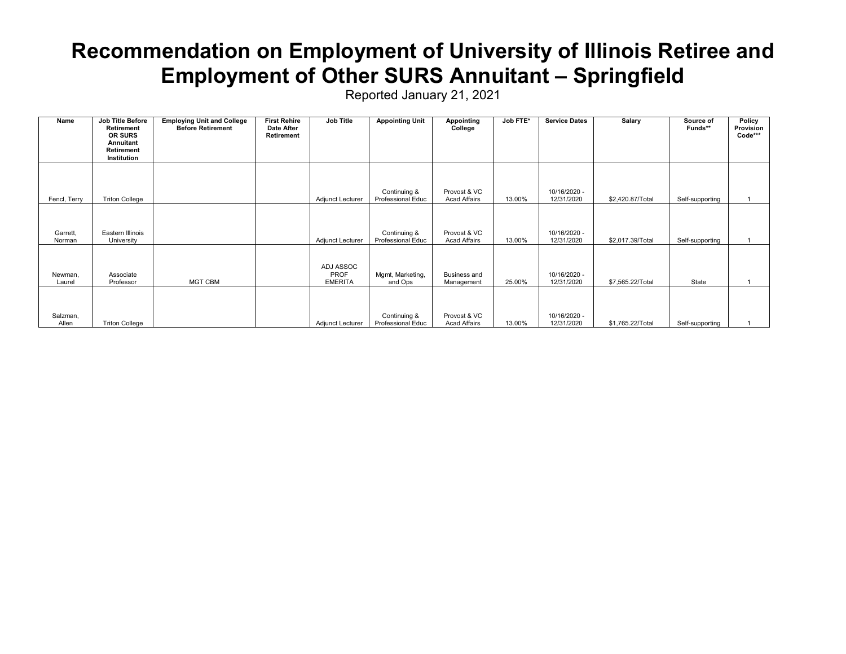#### **Recommendation on Employment of University of Illinois Retiree and Employment of Other SURS Annuitant – Springfield**

| Name               | <b>Job Title Before</b><br>Retirement                    | <b>Employing Unit and College</b><br><b>Before Retirement</b> | <b>First Rehire</b><br>Date After | Job Title                           | <b>Appointing Unit</b>            | <b>Appointing</b><br>College        | Job FTE* | <b>Service Dates</b>       | Salary           | Source of<br>Funds** | Policy<br>Provision |
|--------------------|----------------------------------------------------------|---------------------------------------------------------------|-----------------------------------|-------------------------------------|-----------------------------------|-------------------------------------|----------|----------------------------|------------------|----------------------|---------------------|
|                    | <b>OR SURS</b><br>Annuitant<br>Retirement<br>Institution |                                                               | Retirement                        |                                     |                                   |                                     |          |                            |                  |                      | Code***             |
| Fencl, Terry       | <b>Triton College</b>                                    |                                                               |                                   | Adjunct Lecturer                    | Continuing &<br>Professional Educ | Provost & VC<br><b>Acad Affairs</b> | 13.00%   | 10/16/2020 -<br>12/31/2020 | \$2,420.87/Total | Self-supporting      |                     |
| Garrett.<br>Norman | Eastern Illinois<br>University                           |                                                               |                                   | Adjunct Lecturer                    | Continuing &<br>Professional Educ | Provost & VC<br><b>Acad Affairs</b> | 13.00%   | 10/16/2020 -<br>12/31/2020 | \$2,017.39/Total | Self-supporting      |                     |
| Newman,<br>Laurel  | Associate<br>Professor                                   | <b>MGT CBM</b>                                                |                                   | ADJ ASSOC<br>PROF<br><b>EMERITA</b> | Mgmt, Marketing,<br>and Ops       | Business and<br>Management          | 25.00%   | 10/16/2020 -<br>12/31/2020 | \$7,565.22/Total | State                |                     |
| Salzman,<br>Allen  | <b>Triton College</b>                                    |                                                               |                                   | Adjunct Lecturer                    | Continuing &<br>Professional Educ | Provost & VC<br><b>Acad Affairs</b> | 13.00%   | 10/16/2020 -<br>12/31/2020 | \$1,765.22/Total | Self-supporting      |                     |